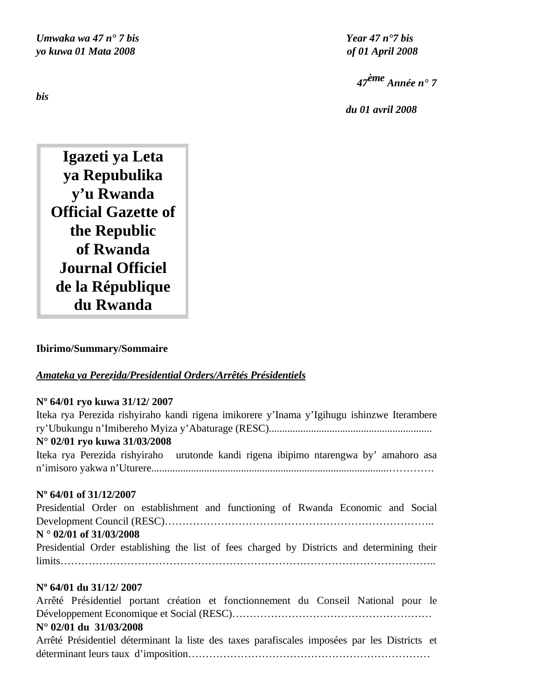*Umwaka wa 47 n° 7 bis Year 47 n°7 bis yo kuwa 01 Mata 2008 of 01 April 2008*

*<sup>47</sup>ème Année n° 7* 

 *du 01 avril 2008*

**Igazeti ya Leta ya Repubulika y'u Rwanda Official Gazette of the Republic of Rwanda Journal Officiel de la République du Rwanda**

#### **Ibirimo/Summary/Sommaire**

#### *Amateka ya Perezida/Presidential Orders/Arrêtés Présidentiels*

#### **Nº 64/01 ryo kuwa 31/12/ 2007**

| Iteka rya Perezida rishyiraho kandi rigena imikorere y'Inama y'Igihugu ishinzwe Iterambere  |
|---------------------------------------------------------------------------------------------|
|                                                                                             |
| N° 02/01 ryo kuwa 31/03/2008                                                                |
| Iteka rya Perezida rishyiraho urutonde kandi rigena ibipimo ntarengwa by' amahoro asa       |
|                                                                                             |
|                                                                                             |
| $N^{\circ}$ 64/01 of 31/12/2007                                                             |
| Presidential Order on establishment and functioning of Rwanda Economic and Social           |
|                                                                                             |
| $N^{\circ}$ 02/01 of 31/03/2008                                                             |
| Presidential Order establishing the list of fees charged by Districts and determining their |
|                                                                                             |
|                                                                                             |

#### **Nº 64/01 du 31/12/ 2007**

Arrêté Présidentiel portant création et fonctionnement du Conseil National pour le Développement Economique et Social (RESC)………………………………………………… **N° 02/01 du 31/03/2008**

Arrêté Présidentiel déterminant la liste des taxes parafiscales imposées par les Districts et déterminant leurs taux d'imposition……………………………………………………………

*bis*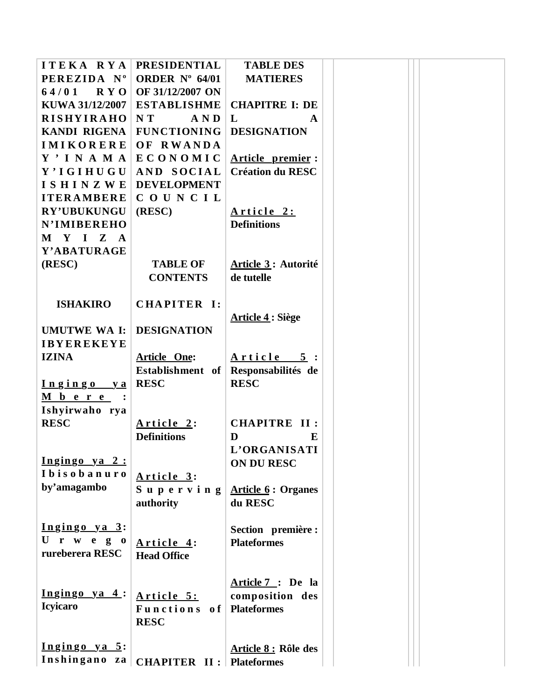| ITEKA RYA            | <b>PRESIDENTIAL</b>              | <b>TABLE DES</b>          |  |
|----------------------|----------------------------------|---------------------------|--|
| PEREZIDA Nº          | ORDER $N^{\circ}$ 64/01          | <b>MATIERES</b>           |  |
| $64/01$ RYO          | OF 31/12/2007 ON                 |                           |  |
| KUWA 31/12/2007      | <b>ESTABLISHME</b>               | <b>CHAPITRE I: DE</b>     |  |
| <b>RISHYIRAHO</b>    | NT<br>AND                        | L<br>$\mathbf{A}$         |  |
| KANDI RIGENA         | <b>FUNCTIONING</b>               | <b>DESIGNATION</b>        |  |
| <b>IMIKORERE</b>     | OF RWANDA                        |                           |  |
| Y' I N A M A         | ECONOMIC                         | Article premier:          |  |
| Y'IGIHUGU            | AND SOCIAL                       | <b>Création du RESC</b>   |  |
| ISHINZWE             | <b>DEVELOPMENT</b>               |                           |  |
| <b>ITERAMBERE</b>    | COUNCIL                          |                           |  |
| <b>RY'UBUKUNGU</b>   | (RESC)                           | Article 2:                |  |
| <b>N'IMIBEREHO</b>   |                                  | <b>Definitions</b>        |  |
| M Y I Z A            |                                  |                           |  |
| Y'ABATURAGE          |                                  |                           |  |
| (RESC)               | <b>TABLE OF</b>                  | Article 3: Autorité       |  |
|                      | <b>CONTENTS</b>                  | de tutelle                |  |
|                      |                                  |                           |  |
| <b>ISHAKIRO</b>      | CHAPITER I:                      |                           |  |
|                      |                                  | <b>Article 4: Siège</b>   |  |
| <b>UMUTWE WA I:</b>  | <b>DESIGNATION</b>               |                           |  |
| <b>IBYEREKEYE</b>    |                                  |                           |  |
| <b>IZINA</b>         | <b>Article One:</b>              | Article 5:                |  |
|                      | Establishment of                 | Responsabilités de        |  |
| Ingingo ya           | <b>RESC</b>                      | <b>RESC</b>               |  |
| $M b e r e$ :        |                                  |                           |  |
| Ishyirwaho rya       |                                  |                           |  |
| <b>RESC</b>          | Article 2:                       | <b>CHAPITRE II:</b>       |  |
|                      | <b>Definitions</b>               | D<br>E                    |  |
|                      |                                  | L'ORGANISATI              |  |
| $Ingingo$ ya 2:      |                                  | <b>ON DU RESC</b>         |  |
| Ibisobanuro          | Article 3:                       |                           |  |
| by'amagambo          | Superving                        | <b>Article 6: Organes</b> |  |
|                      | authority                        | du RESC                   |  |
|                      |                                  |                           |  |
| Ingingo ya 3:        |                                  | Section première :        |  |
| U r w e g $0$        | Article 4:                       | <b>Plateformes</b>        |  |
| rureberera RESC      | <b>Head Office</b>               |                           |  |
|                      |                                  |                           |  |
|                      |                                  | Article 7: De la          |  |
| $Ingingo$ ya 4:      | Article 5:                       | composition des           |  |
| <b>Icyicaro</b>      | Functions of                     | <b>Plateformes</b>        |  |
|                      | <b>RESC</b>                      |                           |  |
|                      |                                  |                           |  |
| <u>Ingingo ya 5:</u> |                                  | Article 8 : Rôle des      |  |
| Inshingano za        | <b>CHAPITER II : Plateformes</b> |                           |  |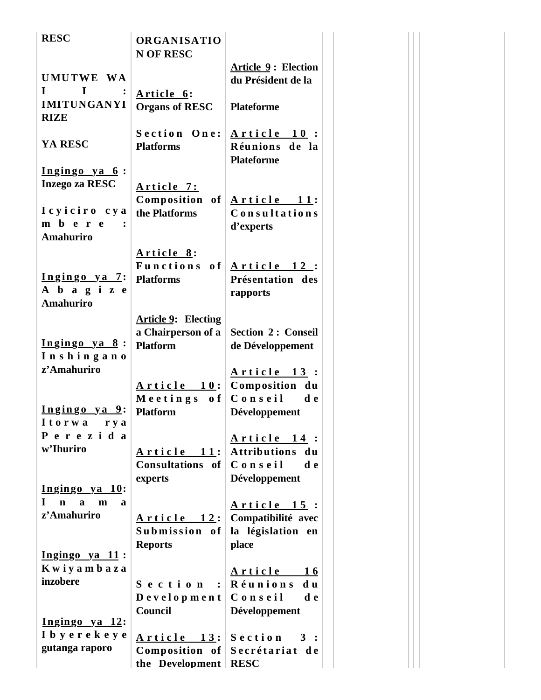| <b>RESC</b>                                                          | <b>ORGANISATIO</b><br><b>N OF RESC</b>           |                                                    |
|----------------------------------------------------------------------|--------------------------------------------------|----------------------------------------------------|
| UMUTWE WA                                                            |                                                  | <b>Article 9: Election</b><br>du Président de la   |
| $\mathbf I$<br>$\bf{I}$<br><b>IMITUNGANYI</b><br><b>RIZE</b>         | Article 6:<br><b>Organs of RESC</b>              | <b>Plateforme</b>                                  |
| YA RESC                                                              | Section One:<br><b>Platforms</b>                 | Article 10:<br>Réunions de la<br><b>Plateforme</b> |
| <u>Ingingo ya 6</u> :<br><b>Inzego za RESC</b>                       | <u>Article 7:</u><br>Composition of              | Article 11:                                        |
| Icyiciro cya<br>m b e r e<br>Amahuriro                               | the Platforms                                    | Consultations<br>d'experts                         |
|                                                                      | Article 8:<br>Functions of                       | <u>Article 12:</u>                                 |
| <u>Ingingo ya 7:</u><br>A b a g i z e<br><b>Amahuriro</b>            | <b>Platforms</b>                                 | Présentation des<br>rapports                       |
|                                                                      | <b>Article 9: Electing</b><br>a Chairperson of a | <b>Section 2: Conseil</b>                          |
| Ingingo ya 8:<br>Inshingano                                          | <b>Platform</b>                                  | de Développement                                   |
| z'Amahuriro                                                          |                                                  | Article 13:                                        |
|                                                                      | <u>Article 10</u> :<br>Meetings of               | Composition du<br>Conseil de                       |
| <u>Ingingo ya 9:</u><br>Itorwa rya                                   | <b>Platform</b>                                  | Développement                                      |
| Perezida<br>w'Ihuriro                                                | <u>Article 11</u> :                              | <u>Article 14</u> :<br>Attributions du             |
|                                                                      | Consultations of                                 | Conseil<br>d e                                     |
| Ingingo ya 10:                                                       | experts                                          | Développement                                      |
| L<br>$\mathbf n$<br>$\mathbf{a}$<br>a<br>$\mathbf{m}$<br>z'Amahuriro | <u>Article 12:</u>                               | <u>Article 15</u> :<br>Compatibilité avec          |
|                                                                      | Submission of                                    | la législation en                                  |
| $I$ ngingo ya 11:                                                    | <b>Reports</b>                                   | place                                              |
| Kwiyambaza                                                           |                                                  | <u>Article 16</u>                                  |
| inzobere                                                             | Section:                                         | Réunions<br>d u                                    |
|                                                                      | Development<br>Council                           | Conseil<br>d e<br>Développement                    |
| <u>Ingingo ya 12:</u>                                                |                                                  |                                                    |
| I b y e r e k e y e                                                  | <u>Article 13</u> :                              | Section 3:                                         |
| gutanga raporo                                                       | $Composition$ of                                 | Secrétariat de                                     |
|                                                                      | the Development                                  | <b>RESC</b>                                        |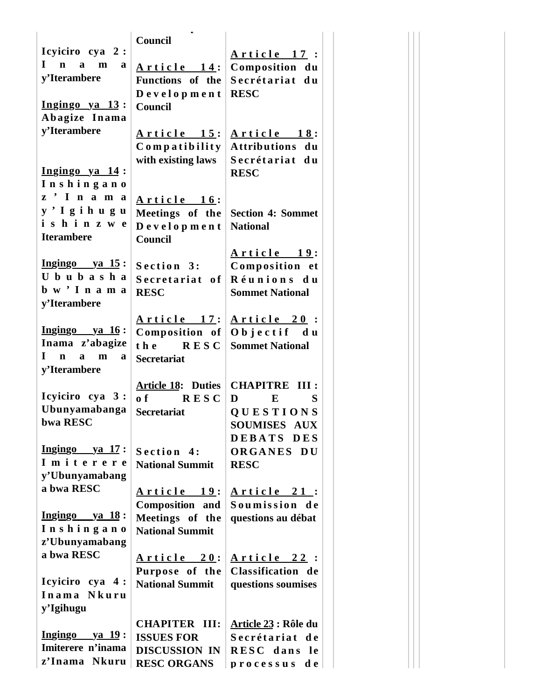|                                                 | Council                   |                                      |
|-------------------------------------------------|---------------------------|--------------------------------------|
| Icyiciro cya 2:                                 |                           | Article 17:                          |
| $\mathbf{I}$<br>n a<br>m<br>a                   | <u>Article 14:</u>        | Composition du                       |
| y'Iterambere                                    | Functions of the          | Secrétariat du                       |
|                                                 | Development               | <b>RESC</b>                          |
| $Ingingo$ ya $13:$                              | Council                   |                                      |
| Abagize Inama                                   |                           |                                      |
| y'Iterambere                                    | <u>Article 15</u> :       | <u>Article 18</u> :                  |
|                                                 | Compatibility             | <b>Attributions</b><br>du            |
|                                                 | with existing laws        | Secrétariat du                       |
| Ingingo ya 14:                                  |                           | <b>RESC</b>                          |
| Inshingano                                      |                           |                                      |
| z'Inama                                         |                           |                                      |
| y'Igihugu                                       | Article 16:               |                                      |
| ishinzwe                                        | Meetings of the           | <b>Section 4: Sommet</b>             |
| <b>Iterambere</b>                               | Development               | <b>National</b>                      |
|                                                 | <b>Council</b>            |                                      |
|                                                 |                           | <u>Article 19:</u>                   |
| $Ingingo ya 15:$                                | Section 3:                | Composition et                       |
| Ububasha                                        | Secretariat of            | Réunions du                          |
| bw <sup>'</sup> Inama                           | <b>RESC</b>               | <b>Sommet National</b>               |
| y'Iterambere                                    |                           |                                      |
|                                                 | <u>Article 17:</u>        | Article 20:                          |
| $Ingingo ya 16:$                                | Composition of            | Objectif du                          |
| Inama z'abagize                                 | the RESC                  | <b>Sommet National</b>               |
| $\mathbf{I}$<br>$a \quad m$<br>$\mathbf n$<br>a | <b>Secretariat</b>        |                                      |
| y'Iterambere                                    |                           |                                      |
|                                                 | <b>Article 18: Duties</b> | <b>CHAPITRE</b><br>III:              |
| Icyiciro cya 3:                                 | of RESC                   | D<br>E<br>S                          |
| Ubunyamabanga                                   | <b>Secretariat</b>        | <b>QUESTIONS</b>                     |
| bwa RESC                                        |                           | <b>SOUMISES</b><br><b>AUX</b>        |
|                                                 |                           | <b>DEBATS</b><br><b>DES</b>          |
| $\overline{\text{Ingingo}}$ ya 17:              | Section 4:                | ORGANES DU                           |
| Imiterere                                       | <b>National Summit</b>    | <b>RESC</b>                          |
| y'Ubunyamabang                                  |                           |                                      |
| a bwa RESC                                      | <u>Article 19:</u>        |                                      |
|                                                 | Composition and           | <u>Article 21</u> :<br>Soumission de |
| $Ingingo ya 18:$                                | Meetings of the           | questions au débat                   |
| Inshingano                                      | <b>National Summit</b>    |                                      |
| z'Ubunyamabang                                  |                           |                                      |
| a bwa RESC                                      |                           |                                      |
|                                                 | <u>Article 20</u> :       | <u>Article 22</u> :                  |
| Icyiciro cya 4:                                 | Purpose of the            | Classification de                    |
| Inama Nkuru                                     | <b>National Summit</b>    | questions soumises                   |
| y'Igihugu                                       |                           |                                      |
|                                                 |                           |                                      |
|                                                 | <b>CHAPITER III:</b>      | <u> Article 23</u> : Rôle du         |
| $Ingingo ya 19:$<br>Imiterere n'inama           | <b>ISSUES FOR</b>         | Secrétariat de                       |
|                                                 | <b>DISCUSSION IN</b>      | RESC dans le                         |
| z'Inama Nkuru                                   | <b>RESC ORGANS</b>        | d e<br>p r o c e s s u s             |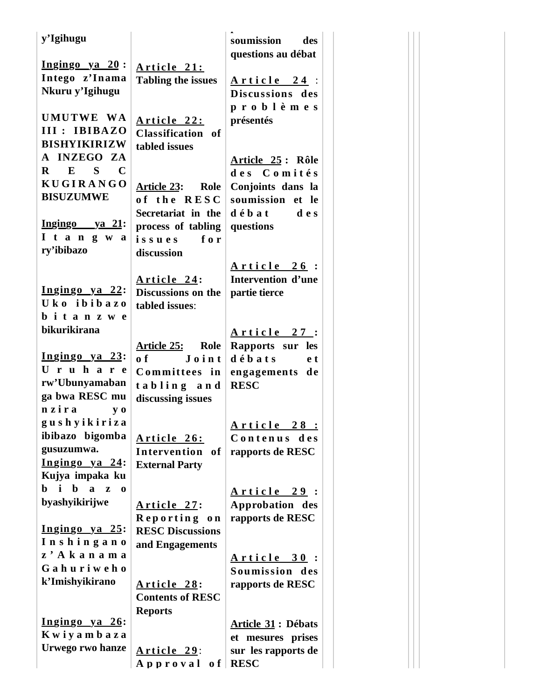| y'Igihugu                            |                           | soumission<br>des         |
|--------------------------------------|---------------------------|---------------------------|
|                                      |                           | questions au débat        |
| $I$ ngingo ya 20:                    | Article 21:               |                           |
| Intego z'Inama                       | <b>Tabling the issues</b> | Article 24:               |
| Nkuru y'Igihugu                      |                           | Discussions des           |
|                                      |                           | problèmes                 |
| UMUTWE WA                            | Article 22:               | présentés                 |
| III : IBIBAZO                        | Classification of         |                           |
| <b>BISHYIKIRIZW</b>                  | tabled issues             |                           |
| A INZEGO ZA                          |                           | Article 25: Rôle          |
| $E$ S C<br>$\mathbf{R}$              |                           | des Comités               |
| <b>KUGIRANGO</b>                     | Article 23: Role          | Conjoints dans la         |
| <b>BISUZUMWE</b>                     | of the RESC               | soumission et le          |
|                                      | Secretariat in the        | $d \theta$ b a t<br>d e s |
| <u>Ingingo ya 21:</u>                |                           | questions                 |
| I t a n g w a                        | process of tabling<br>for |                           |
| ry'ibibazo                           | issues                    |                           |
|                                      | discussion                |                           |
|                                      |                           | Article 26:               |
|                                      | Article 24:               | Intervention d'une        |
| <u>Ingingo ya 22:</u><br>Uko ibibazo | Discussions on the        | partie tierce             |
|                                      | tabled issues:            |                           |
| bitanzwe                             |                           |                           |
| bikurikirana                         |                           | <u>Article 27</u> :       |
|                                      | Article 25: Role          | Rapports sur les          |
| <u>Ingingo ya 23:</u>                | o f<br>$J \circ in t$     | débats<br>e t             |
| Uruhare                              | Committees in             | engagements de            |
| rw'Ubunyamaban                       | tabling and               | <b>RESC</b>               |
| ga bwa RESC mu                       | discussing issues         |                           |
| nzira<br>$y_0$                       |                           |                           |
| gushyikiriza                         |                           | Article 28 :              |
| ibibazo bigomba                      | Article 26:               | Contenus<br>des           |
| gusuzumwa.                           | Intervention of           | rapports de RESC          |
| Ingingo ya 24:                       | <b>External Party</b>     |                           |
| Kujya impaka ku                      |                           |                           |
| b i b<br>$a \quad z$<br>$\bf{0}$     |                           | <u>Article 29</u> :       |
| byashyikirijwe                       | Article 27:               | Approbation des           |
|                                      | Reporting on              | rapports de RESC          |
| Ingingo ya 25:                       | <b>RESC Discussions</b>   |                           |
| Inshingano                           | and Engagements           |                           |
| z' Akanama                           |                           | <u>Article 30</u> :       |
| Gahuriweho                           |                           | Soumission des            |
| k'Imishyikirano                      | Article 28:               | rapports de RESC          |
|                                      | <b>Contents of RESC</b>   |                           |
|                                      |                           |                           |
| <u>Ingingo ya 26:</u>                | <b>Reports</b>            |                           |
| Kwiyambaza                           |                           | <b>Article 31: Débats</b> |
| Urwego rwo hanze                     |                           | et mesures prises         |
|                                      | Article 29:               | sur les rapports de       |
|                                      | Approval of               | <b>RESC</b>               |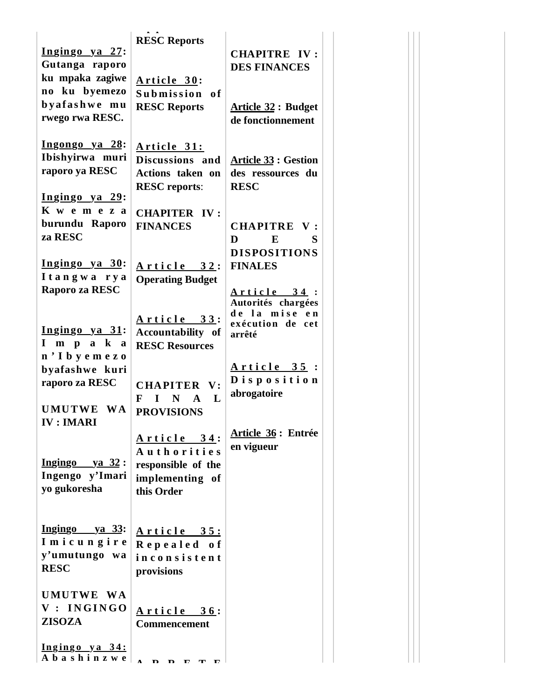| <u>Ingingo ya 27:</u><br>Gutanga raporo                                                                                                                                                                                                                      | <b>RESC Reports</b>                                                               | <b>CHAPITRE IV:</b><br><b>DES FINANCES</b>                      |
|--------------------------------------------------------------------------------------------------------------------------------------------------------------------------------------------------------------------------------------------------------------|-----------------------------------------------------------------------------------|-----------------------------------------------------------------|
| ku mpaka zagiwe<br>no ku byemezo                                                                                                                                                                                                                             | Article 30:<br>Submission of                                                      |                                                                 |
| byafashwe mu<br>rwego rwa RESC.                                                                                                                                                                                                                              | <b>RESC Reports</b>                                                               | <b>Article 32: Budget</b><br>de fonctionnement                  |
| <u>Ingongo ya 28:</u><br>Ibishyirwa muri<br>raporo ya RESC                                                                                                                                                                                                   | Article 31:<br>Discussions and<br><b>Actions taken on</b><br><b>RESC</b> reports: | <b>Article 33 : Gestion</b><br>des ressources du<br><b>RESC</b> |
| <u>Ingingo ya 29:</u><br>K w e m e z a                                                                                                                                                                                                                       | <b>CHAPITER IV:</b>                                                               |                                                                 |
| burundu Raporo<br>za RESC                                                                                                                                                                                                                                    | <b>FINANCES</b>                                                                   | CHAPITRE V:<br>D<br>E<br>S<br><b>DISPOSITIONS</b>               |
| Ingingo ya 30:<br>Itangwa rya                                                                                                                                                                                                                                | Article 32:<br><b>Operating Budget</b>                                            | <b>FINALES</b>                                                  |
| Raporo za RESC                                                                                                                                                                                                                                               |                                                                                   | Article 34:<br>Autorités chargées<br>de la mise en              |
| Ingingo ya 31:<br>Impaka                                                                                                                                                                                                                                     | <u>Article 33:</u><br><b>Accountability of</b><br><b>RESC Resources</b>           | exécution de cet<br>arrêté                                      |
| n'Ibyemezo<br>byafashwe kuri                                                                                                                                                                                                                                 |                                                                                   | <u>Article 35</u> :                                             |
| raporo za RESC                                                                                                                                                                                                                                               | <b>CHAPITER V:</b><br>F<br>I N A L                                                | Disposition<br>abrogatoire                                      |
| UMUTWE WA<br>IV: IMARI                                                                                                                                                                                                                                       | <b>PROVISIONS</b>                                                                 | Article 36 : Entrée                                             |
| $\overline{\text{Ingingo}}$ ya 32:                                                                                                                                                                                                                           | Article 34:<br><b>Authorities</b><br>responsible of the                           | en vigueur                                                      |
| Ingengo y'Imari<br>yo gukoresha                                                                                                                                                                                                                              | implementing of<br>this Order                                                     |                                                                 |
| $Ingingo ya 33:$<br>Imicungire                                                                                                                                                                                                                               | Article 35:                                                                       |                                                                 |
| y'umutungo wa<br><b>RESC</b>                                                                                                                                                                                                                                 | Repealed of<br>inconsistent<br>provisions                                         |                                                                 |
| UMUTWE WA<br>V : INGINGO<br><b>ZISOZA</b>                                                                                                                                                                                                                    | Article 36:<br>Commencement                                                       |                                                                 |
| The Terms of Terms 1941<br>The Terms of Terms 1941<br>The Terms of Terms 1941<br>Terms 1942<br>Terms 1943<br>Terms 1943<br>Terms 1944<br>Terms 1944<br>Terms 1944<br>Terms 1944<br>Terms 1944<br>Terms 1944<br>Terms 1944<br>Terms 1944<br>Terms 1944<br>Ter |                                                                                   |                                                                 |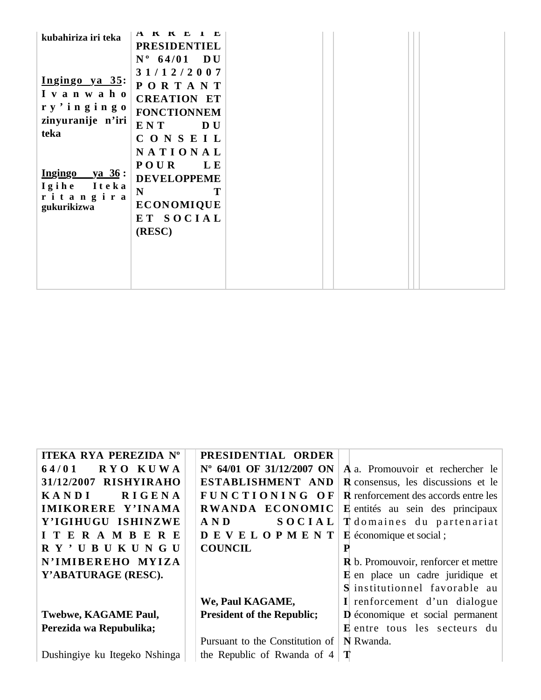| NATIONAL<br><b>POUR</b><br>L E<br><b>DEVELOPPEME</b><br>$\mathbf N$<br>Т<br>ritangira<br><b>ECONOMIQUE</b><br>gukurikizwa<br>ET SOCIAL<br>(RESC) | $\blacksquare$<br>A K K L<br>kubahiriza iri teka<br><b>PRESIDENTIEL</b><br>$N^{\circ}$ 64/01 DU<br>31/12/2007<br>Ingingo ya 35:<br><b>PORTANT</b><br>I v a n w a h o<br><b>CREATION ET</b><br>ry'ingingo<br><b>FONCTIONNEM</b><br>zinyuranije n'iri<br>ENT<br><b>DU</b><br>teka<br>CONSEIL<br>$Ingingo ya 36 :$<br>Igihe Iteka |  |
|--------------------------------------------------------------------------------------------------------------------------------------------------|--------------------------------------------------------------------------------------------------------------------------------------------------------------------------------------------------------------------------------------------------------------------------------------------------------------------------------|--|
|--------------------------------------------------------------------------------------------------------------------------------------------------|--------------------------------------------------------------------------------------------------------------------------------------------------------------------------------------------------------------------------------------------------------------------------------------------------------------------------------|--|

| <b>ITEKA RYA PEREZIDA Nº</b>  | PRESIDENTIAL ORDER                |   |                                             |
|-------------------------------|-----------------------------------|---|---------------------------------------------|
| 64/01<br>RYO KUWA             | N° 64/01 OF 31/12/2007 ON         |   | A a. Promouvoir et rechercher le            |
| 31/12/2007 RISHYIRAHO         | ESTABLISHMENT AND                 |   | <b>R</b> consensus, les discussions et le   |
| <b>RIGENA</b><br><b>KANDI</b> | FUNCTIONING OF                    |   | <b>R</b> renforcement des accords entre les |
| IMIKORERE Y'INAMA             | RWANDA ECONOMIC                   |   | <b>E</b> entités au sein des principaux     |
| Y'IGIHUGU ISHINZWE            | AND<br>SOCIAL                     |   | T domaines du partenariat                   |
| <b>ITERAMBERE</b>             | <b>DEVELOPMENT</b>                |   | <b>E</b> économique et social;              |
| R Y' U B U K U N G U          | <b>COUNCIL</b>                    |   |                                             |
| N'IMIBEREHO MYIZA             |                                   |   | <b>R</b> b. Promouvoir, renforcer et mettre |
| Y'ABATURAGE (RESC).           |                                   |   | <b>E</b> en place un cadre juridique et     |
|                               |                                   |   | S institutionnel favorable au               |
|                               | We, Paul KAGAME,                  |   | I renforcement d'un dialogue                |
| <b>Twebwe, KAGAME Paul,</b>   | <b>President of the Republic;</b> |   | <b>D</b> économique et social permanent     |
| Perezida wa Repubulika;       |                                   |   | <b>E</b> entre tous les secteurs du         |
|                               | Pursuant to the Constitution of   |   | N Rwanda.                                   |
| Dushingiye ku Itegeko Nshinga | the Republic of Rwanda of 4       | Т |                                             |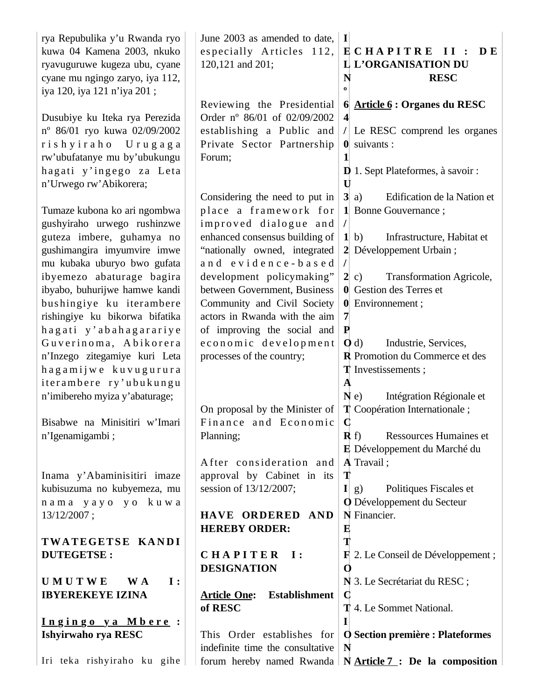| rya Repubulika y'u Rwanda ryo<br>kuwa 04 Kamena 2003, nkuko<br>ryavuguruwe kugeza ubu, cyane<br>cyane mu ngingo zaryo, iya 112,<br>iya 120, iya 121 n'iya 201;            | June 2003 as amended to date,<br>especially Articles 112,<br>120,121 and 201;                                                   | $\mathbf{I}$<br>ECHAPITRE II :<br>DE.<br><b>IL L'ORGANISATION DU</b><br>N<br><b>RESC</b><br>$\bf{o}$                                                                  |
|---------------------------------------------------------------------------------------------------------------------------------------------------------------------------|---------------------------------------------------------------------------------------------------------------------------------|-----------------------------------------------------------------------------------------------------------------------------------------------------------------------|
| Dusubiye ku Iteka rya Perezida<br>nº 86/01 ryo kuwa 02/09/2002<br>rishyiraho Urugaga<br>rw'ubufatanye mu by'ubukungu<br>hagati y'ingego za Leta<br>n'Urwego rw'Abikorera; | Reviewing the Presidential<br>Order nº 86/01 of 02/09/2002<br>establishing a Public and<br>Private Sector Partnership<br>Forum; | 6 $Article 6: Organes du RESC$<br>$\overline{\mathbf{4}}$<br>$/$ Le RESC comprend les organes<br>$\theta$ suivants :<br><b>D</b> 1. Sept Plateformes, à savoir :<br>U |
| Tumaze kubona ko ari ngombwa<br>gushyiraho urwego rushinzwe                                                                                                               | Considering the need to put in<br>place a framework for<br>improved dialogue and                                                | Edification de la Nation et<br>$3$ a)<br>1 Bonne Gouvernance;<br>$\prime$                                                                                             |
| guteza imbere, guhamya no<br>gushimangira imyumvire imwe<br>mu kubaka uburyo bwo gufata<br>ibyemezo abaturage bagira                                                      | enhanced consensus building of<br>"nationally owned, integrated<br>and evidence-based<br>development policymaking"              | Infrastructure, Habitat et<br>1 <sub>b</sub><br>2 Développement Urbain;<br>Transformation Agricole,<br>2 c)                                                           |
| ibyabo, buhurijwe hamwe kandi<br>bushingiye ku iterambere<br>rishingiye ku bikorwa bifatika                                                                               | between Government, Business<br>Community and Civil Society<br>actors in Rwanda with the aim                                    | <b>0</b> Gestion des Terres et<br>0 Environmement;<br>$\overline{7}$<br>P                                                                                             |
| hagati y'abahagarariye<br>Guverinoma, Abikorera<br>n'Inzego zitegamiye kuri Leta<br>hagamijwe kuvugurura<br>iterambere ry'ubukungu                                        | of improving the social and<br>economic development<br>processes of the country;                                                | Industrie, Services,<br>$\mathbf{0}$ d)<br>R Promotion du Commerce et des<br><b>T</b> Investissements;<br>$\mathbf A$                                                 |
| n'imibereho myiza y'abaturage;<br>Bisabwe na Minisitiri w'Imari                                                                                                           | On proposal by the Minister of<br>Finance and Economic                                                                          | Intégration Régionale et<br>N e<br>T Coopération Internationale;<br>$\mathbf C$                                                                                       |
| n'Igenamigambi;                                                                                                                                                           | Planning;<br>After consideration and                                                                                            | Ressources Humaines et<br>$\mathbf{R}$ f)<br>E Développement du Marché du<br>A Travail;<br>Т                                                                          |
| Inama y'Abaminisitiri imaze<br>kubisuzuma no kubyemeza, mu<br>nama yayo yo kuwa<br>13/12/2007;                                                                            | approval by Cabinet in its<br>session of 13/12/2007;<br>HAVE ORDERED AND                                                        | I g)<br>Politiques Fiscales et<br><b>O</b> Développement du Secteur<br>N Financier.                                                                                   |
| TWATEGETSE KANDI<br><b>DUTEGETSE:</b>                                                                                                                                     | <b>HEREBY ORDER:</b><br><b>CHAPITER</b><br>$\mathbf{I}$ :<br><b>DESIGNATION</b>                                                 | Е<br>Т<br><b>F</b> 2. Le Conseil de Développement ;<br>$\mathbf 0$                                                                                                    |
| <b>UMUTWE</b><br><b>I</b> :<br>W A<br><b>IBYEREKEYE IZINA</b>                                                                                                             | <b>Article One:</b><br><b>Establishment</b><br>of RESC                                                                          | N 3. Le Secrétariat du RESC;<br>$\mathbf C$<br><b>T</b> 4. Le Sommet National.                                                                                        |
| Ingingo ya Mbere:<br>Ishyirwaho rya RESC                                                                                                                                  | This Order establishes for<br>indefinite time the consultative                                                                  | I<br><b>O</b> Section première : Plateformes<br>N                                                                                                                     |
| Iri teka rishyiraho ku gihe                                                                                                                                               |                                                                                                                                 | forum hereby named Rwanda   $N$ Article 7: De la composition                                                                                                          |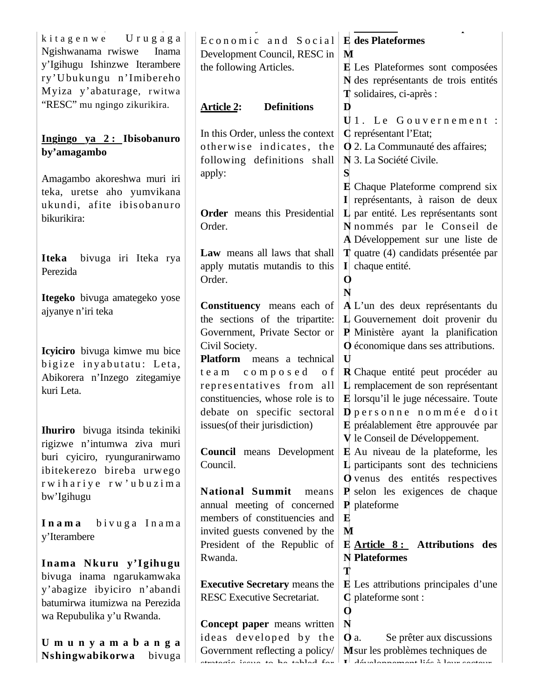| kitagenwe Urugaga                    | Economic and Social                                                        | <b>E</b> des Plateformes                                                                     |
|--------------------------------------|----------------------------------------------------------------------------|----------------------------------------------------------------------------------------------|
| Ngishwanama rwiswe<br>Inama          | Development Council, RESC in                                               | M                                                                                            |
| y'Igihugu Ishinzwe Iterambere        | the following Articles.                                                    | E Les Plateformes sont composées                                                             |
| ry'Ubukungu n'Imibereho              |                                                                            | N des représentants de trois entités                                                         |
| Myiza y'abaturage, rwitwa            |                                                                            | <b>T</b> solidaires, ci-après :                                                              |
| "RESC" mu ngingo zikurikira.         | <b>Definitions</b><br><b>Article 2:</b>                                    | D                                                                                            |
|                                      |                                                                            | U1. Le Gouvernement :                                                                        |
| Ingingo ya 2: Ibisobanuro            | In this Order, unless the context                                          | C représentant l'Etat;                                                                       |
| by'amagambo                          | otherwise indicates, the                                                   | <b>Q</b> 2. La Communauté des affaires;                                                      |
|                                      | following definitions shall                                                | N 3. La Société Civile.                                                                      |
| Amagambo akoreshwa muri iri          | apply:                                                                     | S                                                                                            |
| teka, uretse aho yumvikana           |                                                                            | <b>E</b> Chaque Plateforme comprend six                                                      |
| ukundi, afite ibisobanuro            |                                                                            | I représentants, à raison de deux                                                            |
| bikurikira:                          | <b>Order</b> means this Presidential                                       | $\bf{L}$ par entité. Les représentants sont                                                  |
|                                      | Order.                                                                     | N nommés par le Conseil de<br>A Développement sur une liste de                               |
|                                      | Law means all laws that shall                                              | <b>T</b> quatre (4) candidats présentée par                                                  |
| <b>Iteka</b><br>bivuga iri Iteka rya | apply mutatis mutandis to this                                             | $\mathbf{I}$ chaque entité.                                                                  |
| Perezida                             | Order.                                                                     | O                                                                                            |
|                                      |                                                                            | N                                                                                            |
| Itegeko bivuga amategeko yose        | <b>Constituency</b> means each of                                          | A L'un des deux représentants du                                                             |
| ajyanye n'iri teka                   | the sections of the tripartite:                                            | L Gouvernement doit provenir du                                                              |
|                                      | Government, Private Sector or                                              | P Ministère ayant la planification                                                           |
| Icyiciro bivuga kimwe mu bice        | Civil Society.                                                             | O économique dans ses attributions.                                                          |
| bigize inyabutatu: Leta,             | Platform means a technical                                                 | U                                                                                            |
| Abikorera n'Inzego zitegamiye        | team composed<br>o f                                                       | <b>R</b> Chaque entité peut procéder au                                                      |
| kuri Leta.                           | representatives from all                                                   | L remplacement de son représentant                                                           |
|                                      | constituencies, whose role is to                                           | E lorsqu'il le juge nécessaire. Toute                                                        |
|                                      | debate on specific sectoral                                                | $\mathbf D$ personne nommée doit                                                             |
| Ihuriro bivuga itsinda tekiniki      | issues (of their jurisdiction)                                             | E préalablement être approuvée par                                                           |
| rigizwe n'intumwa ziva muri          | <b>Council</b> means Development                                           | V le Conseil de Développement.<br>E Au niveau de la plateforme, les                          |
| buri cyiciro, ryunguranirwamo        | Council.                                                                   | L participants sont des techniciens                                                          |
| ibitekerezo bireba urwego            |                                                                            | O venus des entités respectives                                                              |
| rwihariye rw'ubuzima                 | <b>National Summit</b><br>means                                            | $\mathbf{P}$ selon les exigences de chaque                                                   |
| bw'Igihugu                           | annual meeting of concerned                                                | $\bf{P}$ plateforme                                                                          |
| bivuga Inama<br>Inama                | members of constituencies and                                              | $\bf E$                                                                                      |
| y'Iterambere                         | invited guests convened by the                                             | M                                                                                            |
|                                      | President of the Republic of                                               | E Article 8: Attributions des                                                                |
| Inama Nkuru y'Igihugu                | Rwanda.                                                                    | N Plateformes                                                                                |
| bivuga inama ngarukamwaka            |                                                                            | Т                                                                                            |
| y'abagize ibyiciro n'abandi          | <b>Executive Secretary</b> means the                                       | <b>E</b> Les attributions principales d'une                                                  |
| batumirwa itumizwa na Perezida       | RESC Executive Secretariat.                                                | $C$ plateforme sont :                                                                        |
| wa Repubulika y'u Rwanda.            |                                                                            | $\mathbf 0$                                                                                  |
|                                      | Concept paper means written                                                | N                                                                                            |
| Umunyamabanga                        | ideas developed by the                                                     | Se prêter aux discussions<br>$\mathbf{0}$ a.<br>M <sub>sur</sub> les problèmes techniques de |
| Nshingwabikorwa<br>bivuga            | Government reflecting a policy/<br>أسجك لاحتلطوه جحلا مه جيبود: ويُوجهونهم | $\mathbf{T}$ . A final summaries of $12.6$ . A form a substance                              |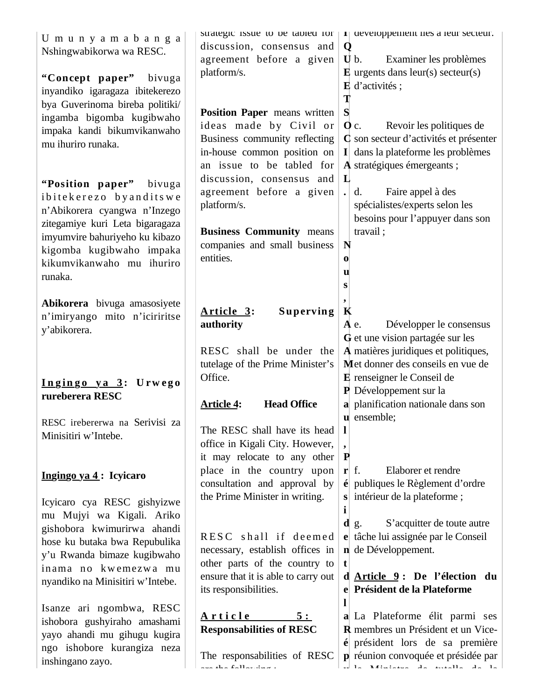| U m u n y a m a b a n g a<br>Nshingwabikorwa wa RESC.<br>"Concept paper" bivuga<br>inyandiko igaragaza ibitekerezo<br>bya Guverinoma bireba politiki/                                                                      | discussion, consensus and<br>agreement before a given<br>platform/s.                                                                                       | strategic issue to be tabled for $ I $ developpement nes a feur secteur.<br>Q<br>$U b.$<br>Examiner les problèmes<br>$\bf{E}$ urgents dans leur(s) secteur(s)<br>$\bf{E}$ d'activités;<br>T         |
|----------------------------------------------------------------------------------------------------------------------------------------------------------------------------------------------------------------------------|------------------------------------------------------------------------------------------------------------------------------------------------------------|-----------------------------------------------------------------------------------------------------------------------------------------------------------------------------------------------------|
| ingamba bigomba kugibwaho<br>impaka kandi bikumvikanwaho<br>mu ihuriro runaka.                                                                                                                                             | <b>Position Paper</b> means written<br>ideas made by Civil or<br>Business community reflecting<br>in-house common position on<br>an issue to be tabled for | S<br>Revoir les politiques de<br>$Q_{c}$<br>C son secteur d'activités et présenter<br>I dans la plateforme les problèmes<br>A stratégiques émergeants ;                                             |
| "Position paper" bivuga<br>ibitekerezo byanditswe<br>n'Abikorera cyangwa n'Inzego<br>zitegamiye kuri Leta bigaragaza<br>imyumvire bahuriyeho ku kibazo<br>kigomba kugibwaho impaka<br>kikumvikanwaho mu ihuriro<br>runaka. | discussion, consensus and<br>agreement before a given<br>platform/s.<br><b>Business Community means</b><br>companies and small business<br>entities.       | L<br>Faire appel à des<br>d.<br>spécialistes/experts selon les<br>besoins pour l'appuyer dans son<br>travail;<br>N<br>$\bf{0}$<br>u<br>S                                                            |
| Abikorera bivuga amasosiyete<br>n'imiryango mito n'iciriritse<br>y'abikorera.                                                                                                                                              | Article 3:<br><b>Superving</b><br>authority                                                                                                                | K<br>Développer le consensus<br>$A$ e.<br>G et une vision partagée sur les                                                                                                                          |
| Ingingo ya 3: Urwego<br>rureberera RESC                                                                                                                                                                                    | RESC shall be under the<br>tutelage of the Prime Minister's<br>Office.                                                                                     | A matières juridiques et politiques,<br>Met donner des conseils en vue de<br>E renseigner le Conseil de<br>P Développement sur la                                                                   |
| RESC irebererwa na Serivisi za<br>Minisitiri w'Intebe.                                                                                                                                                                     | <b>Head Office</b><br><b>Article 4:</b><br>The RESC shall have its head<br>office in Kigali City. However,<br>it may relocate to any other                 | a planification nationale dans son<br>u ensemble;<br>-1<br>$\mathbf P$                                                                                                                              |
| Ingingo ya 4: Icyicaro<br>Icyicaro cya RESC gishyizwe                                                                                                                                                                      | place in the country upon<br>consultation and approval by<br>the Prime Minister in writing.                                                                | Elaborer et rendre<br>$\mathbf{r}$ f.<br>$\acute{\mathbf{e}}$ publiques le Règlement d'ordre<br>intérieur de la plateforme;                                                                         |
| mu Mujyi wa Kigali. Ariko<br>gishobora kwimurirwa ahandi<br>hose ku butaka bwa Repubulika<br>y'u Rwanda bimaze kugibwaho<br>inama no kwemezwa mu<br>nyandiko na Minisitiri w'Intebe.                                       | RESC shall if deemed<br>necessary, establish offices in<br>other parts of the country to<br>ensure that it is able to carry out<br>its responsibilities.   | i<br>S'acquitter de toute autre<br>$\mathbf{d}$ g.<br>e tâche lui assignée par le Conseil<br>n de Développement.<br>t<br>d Article 9: De l'élection du<br>e Président de la Plateforme              |
| Isanze ari ngombwa, RESC<br>ishobora gushyiraho amashami<br>yayo ahandi mu gihugu kugira<br>ngo ishobore kurangiza neza<br>inshingano zayo.                                                                                | Article<br>5:<br><b>Responsabilities of RESC</b><br>The responsabilities of RESC<br>والمستنصر المكالم والمسار                                              | a La Plateforme élit parmi ses<br>R membres un Président et un Vice-<br>$\acute{\mathbf{e}}$ président lors de sa première<br>p réunion convoquée et présidée par<br>al 12 Miliones de muelle de 16 |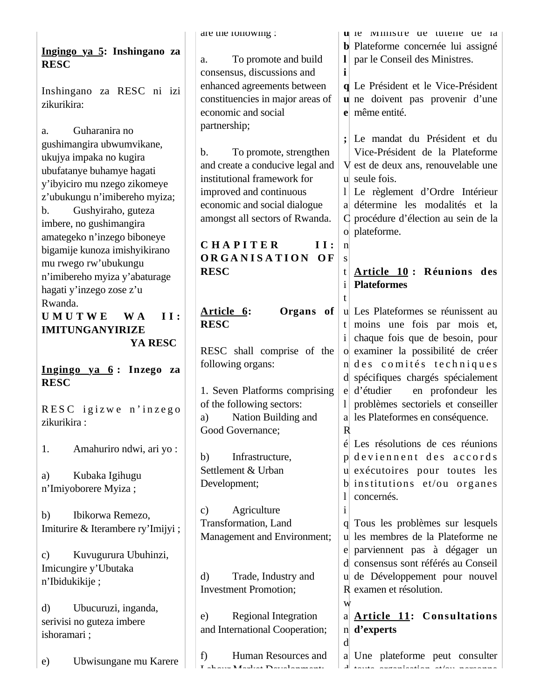|                                                           | are the ronowing :                                      | u le ministre de tutelle de la                                   |
|-----------------------------------------------------------|---------------------------------------------------------|------------------------------------------------------------------|
| Ingingo ya 5: Inshingano za                               |                                                         | <b>b</b> Plateforme concernée lui assigné                        |
| <b>RESC</b>                                               | To promote and build<br>a.                              | par le Conseil des Ministres.                                    |
|                                                           | consensus, discussions and                              | i                                                                |
| Inshingano za RESC ni izi                                 | enhanced agreements between                             | q Le Président et le Vice-Président                              |
| zikurikira:                                               | constituencies in major areas of<br>economic and social | u ne doivent pas provenir d'une<br>e même entité.                |
|                                                           | partnership;                                            |                                                                  |
| Guharanira no<br>a.                                       |                                                         | Le mandat du Président et du                                     |
| gushimangira ubwumvikane,                                 | To promote, strengthen<br>$\mathbf{b}$ .                | Vice-Président de la Plateforme                                  |
| ukujya impaka no kugira                                   | and create a conducive legal and                        | V est de deux ans, renouvelable une                              |
| ubufatanye buhamye hagati<br>y'ibyiciro mu nzego zikomeye | institutional framework for                             | u seule fois.                                                    |
| z'ubukungu n'imibereho myiza;                             | improved and continuous                                 | Le règlement d'Ordre Intérieur<br>$\frac{1}{2}$                  |
| Gushyiraho, guteza<br>$\mathbf b$ .                       | economic and social dialogue                            | a détermine les modalités et la                                  |
| imbere, no gushimangira                                   | amongst all sectors of Rwanda.                          | C procédure d'élection au sein de la                             |
| amategeko n'inzego biboneye                               |                                                         | o plateforme.                                                    |
| bigamije kunoza imishyikirano                             | <b>CHAPITER</b><br>II:                                  | $\mathbf{n}$                                                     |
| mu rwego rw'ubukungu                                      | ORGANISATION OF                                         | S                                                                |
| n'imibereho myiza y'abaturage                             | <b>RESC</b>                                             | Article 10: Réunions des<br>t<br><b>Plateformes</b>              |
| hagati y'inzego zose z'u                                  |                                                         |                                                                  |
| Rwanda.                                                   | Article 6:<br>Organs of                                 | u Les Plateformes se réunissent au                               |
| <b>UMUTWE</b><br>W A<br>II:                               | <b>RESC</b>                                             | moins une fois par mois et,<br>t                                 |
| <b>IMITUNGANYIRIZE</b>                                    |                                                         | chaque fois que de besoin, pour<br>$\mathbf{1}$                  |
| YA RESC                                                   | RESC shall comprise of the                              | o examiner la possibilité de créer                               |
| Ingingo ya 6: Inzego za                                   | following organs:                                       | n des comités techniques                                         |
| <b>RESC</b>                                               |                                                         | d spécifiques chargés spécialement                               |
|                                                           | 1. Seven Platforms comprising                           | d'étudier<br>en profondeur les<br>e                              |
| RESC igizwe n'inzego                                      | of the following sectors:                               | problèmes sectoriels et conseiller                               |
| zikurikira :                                              | Nation Building and<br>a)                               | a les Plateformes en conséquence.                                |
|                                                           | Good Governance;                                        | R                                                                |
| Amahuriro ndwi, ari yo:<br>1.                             | Infrastructure,<br>b)                                   | Les résolutions de ces réunions<br>é<br>p deviennent des accords |
|                                                           | Settlement & Urban                                      | u exécutoires pour toutes les                                    |
| Kubaka Igihugu<br>a)                                      | Development;                                            | $\mathbf b$ institutions et/ou organes                           |
| n'Imiyoborere Myiza;                                      |                                                         | concernés.                                                       |
| Ibikorwa Remezo,<br>b)                                    | Agriculture<br>$\mathbf{c})$                            | <sup>1</sup>                                                     |
| Imiturire & Iterambere ry'Imijyi;                         | Transformation, Land                                    | Tous les problèmes sur lesquels                                  |
|                                                           | Management and Environment;                             | les membres de la Plateforme ne<br>u                             |
| Kuvugurura Ubuhinzi,<br>$\mathbf{c})$                     |                                                         | parviennent pas à dégager un<br>e                                |
| Imicungire y'Ubutaka                                      |                                                         | d consensus sont référés au Conseil                              |
| n'Ibidukikije;                                            | Trade, Industry and<br>$\mathbf{d}$                     | u de Développement pour nouvel                                   |
|                                                           | <b>Investment Promotion;</b>                            | R examen et résolution.                                          |
| $\rm d$<br>Ubucuruzi, inganda,                            | <b>Regional Integration</b><br>e)                       | W<br>a Article 11: Consultations                                 |
| serivisi no guteza imbere                                 | and International Cooperation;                          | n d'experts                                                      |
| ishoramari;                                               |                                                         | d                                                                |
|                                                           | Human Resources and<br>f)                               | a Une plateforme peut consulter                                  |
| Ubwisungane mu Karere<br>e)                               | Lakana Madret Davidsmanati                              | d tanta anaaniaatian atlan nanaanna                              |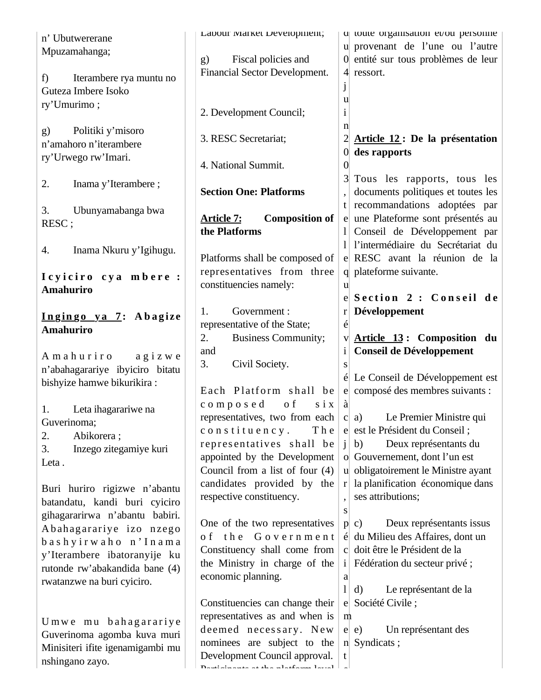| n' Ubutwererane                  | Labour Iviarket Development;               |                | q toute organisation et/ou personne |
|----------------------------------|--------------------------------------------|----------------|-------------------------------------|
| Mpuzamahanga;                    |                                            |                | u provenant de l'une ou l'autre     |
|                                  | Fiscal policies and<br>g)                  |                | 0 entité sur tous problèmes de leur |
| Iterambere rya muntu no<br>f     | Financial Sector Development.              |                | 4 ressort.                          |
| Guteza Imbere Isoko              |                                            |                |                                     |
|                                  |                                            | u              |                                     |
| ry'Umurimo;                      | 2. Development Council;                    | <sup>i</sup>   |                                     |
|                                  |                                            | n              |                                     |
| Politiki y'misoro<br>g)          | 3. RESC Secretariat;                       |                | Article 12 : De la présentation     |
| n'amahoro n'iterambere           |                                            |                | $\alpha$ des rapports               |
| ry'Urwego rw'Imari.              | 4. National Summit.                        | $\overline{0}$ |                                     |
|                                  |                                            |                | Tous les rapports, tous les         |
| 2.<br>Inama y'Iterambere;        | <b>Section One: Platforms</b>              |                | documents politiques et toutes les  |
|                                  |                                            | t              | recommandations adoptées par        |
| 3.<br>Ubunyamabanga bwa          | <b>Article 7:</b><br><b>Composition of</b> | e              | une Plateforme sont présentés au    |
| RESC;                            | the Platforms                              |                | Conseil de Développement par        |
|                                  |                                            |                | l'intermédiaire du Secrétariat du   |
| Inama Nkuru y'Igihugu.<br>4.     | Platforms shall be composed of             |                | e RESC avant la réunion de la       |
|                                  | representatives from three                 |                | q plateforme suivante.              |
| Icyiciro cya mbere:              | constituencies namely:                     |                |                                     |
| Amahuriro                        |                                            | u              | Section 2 : Conseil de              |
|                                  | 1.                                         |                |                                     |
| Ingingo ya 7: Abagize            | Government :                               | $\bf r$        | Développement                       |
| <b>Amahuriro</b>                 | representative of the State;               | é              |                                     |
|                                  | 2.<br><b>Business Community;</b>           | V              | Article 13: Composition du          |
| Amahuriro<br>agizwe              | and                                        | $\mathbf{i}$   | <b>Conseil de Développement</b>     |
| n'abahagarariye ibyiciro bitatu  | 3.<br>Civil Society.                       | <b>S</b>       |                                     |
| bishyize hamwe bikurikira:       |                                            |                | Le Conseil de Développement est     |
|                                  | Each Platform shall be                     | $\mathbf{e}$   | composé des membres suivants :      |
| Leta ihagarariwe na<br>1.        | composed<br>o f<br>$\sin x$                | à              |                                     |
| Guverinoma;                      | representatives, two from each             |                | Le Premier Ministre qui<br>c a)     |
| 2.<br>Abikorera;                 | constituency.<br>The                       |                | e est le Président du Conseil;      |
| 3.<br>Inzego zitegamiye kuri     | representatives shall be                   | Ť              | Deux représentants du<br>b)         |
| Leta.                            | appointed by the Development               |                | o Gouvernement, dont l'un est       |
|                                  | Council from a list of four $(4)$          |                | u obligatoirement le Ministre ayant |
| Buri huriro rigizwe n'abantu     | candidates provided by the                 | r              | la planification économique dans    |
| batandatu, kandi buri cyiciro    | respective constituency.                   |                | ses attributions;                   |
| gihagararirwa n'abantu babiri.   |                                            | S              |                                     |
| Abahagarariye izo nzego          | One of the two representatives             |                | Deux représentants issus<br>p c)    |
| bashyirwaho n'Inama              | of the Government                          | é              | du Milieu des Affaires, dont un     |
| y'Iterambere ibatoranyije ku     | Constituency shall come from               |                | c doit être le Président de la      |
| rutonde rw'abakandida bane (4)   | the Ministry in charge of the              |                | i Fédération du secteur privé ;     |
| rwatanzwe na buri cyiciro.       | economic planning.                         | a              |                                     |
|                                  |                                            | $\mathbf{l}$   | Le représentant de la<br>d)         |
|                                  | Constituencies can change their            |                | e Société Civile;                   |
| Umwe mu bahagarariye             | representatives as and when is             | m              |                                     |
| Guverinoma agomba kuva muri      | deemed necessary. New                      |                | Un représentant des<br>$e \mid e$   |
| Minisiteri ifite igenamigambi mu | nominees are subject to the                |                | n Syndicats;                        |
|                                  |                                            |                |                                     |
| nshingano zayo.                  | Development Council approval.              | t              |                                     |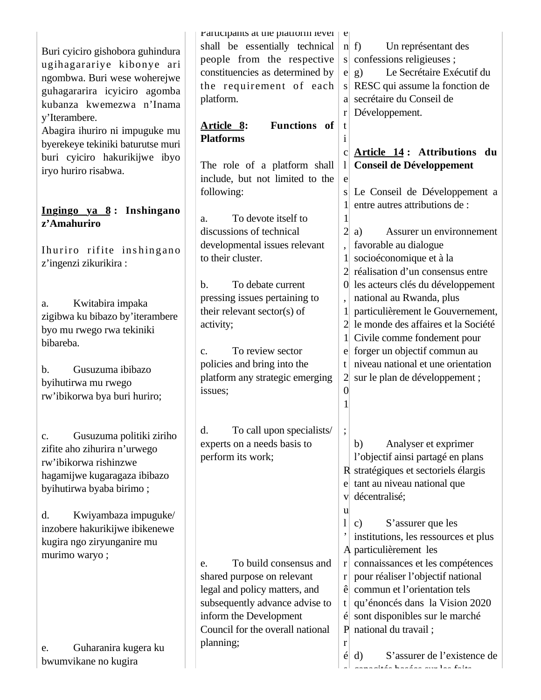|                                                       | rarucipants at the platform level                  | $\mathbf{c}$   |                                                                       |
|-------------------------------------------------------|----------------------------------------------------|----------------|-----------------------------------------------------------------------|
| Buri cyiciro gishobora guhindura                      | shall be essentially technical                     |                | $n \mid f$<br>Un représentant des                                     |
| ugihagarariye kibonye ari                             | people from the respective                         |                | s confessions religieuses;                                            |
| ngombwa. Buri wese woherejwe                          | constituencies as determined by                    | e              | Le Secrétaire Exécutif du<br>g)                                       |
| guhagararira icyiciro agomba                          | the requirement of each                            | S              | RESC qui assume la fonction de                                        |
| kubanza kwemezwa n'Inama                              | platform.                                          |                | a secrétaire du Conseil de                                            |
|                                                       |                                                    | $\mathbf{r}$   | Développement.                                                        |
| y'Iterambere.                                         | Functions of<br>Article 8:                         | t              |                                                                       |
| Abagira ihuriro ni impuguke mu                        | <b>Platforms</b>                                   | 1              |                                                                       |
| byerekeye tekiniki baturutse muri                     |                                                    | $\mathbf{C}$   | Article 14: Attributions<br>du                                        |
| buri cyiciro hakurikijwe ibyo                         | The role of a platform shall                       | 1              | <b>Conseil de Développement</b>                                       |
| iryo huriro risabwa.                                  | include, but not limited to the                    | e              |                                                                       |
|                                                       | following:                                         | S              | Le Conseil de Développement a                                         |
|                                                       |                                                    |                | entre autres attributions de :                                        |
| Ingingo ya 8: Inshingano                              | To devote itself to<br>a.                          |                |                                                                       |
| z'Amahuriro                                           | discussions of technical                           | $\overline{c}$ | Assurer un environnement<br>a)                                        |
|                                                       |                                                    |                |                                                                       |
| Ihuriro rifite inshingano                             | developmental issues relevant<br>to their cluster. |                | favorable au dialogue                                                 |
| z'ingenzi zikurikira:                                 |                                                    |                | socioéconomique et à la                                               |
|                                                       |                                                    |                | 2 réalisation d'un consensus entre                                    |
|                                                       | To debate current<br>$\mathbf{b}$ .                |                | 0 les acteurs clés du développement                                   |
| Kwitabira impaka<br>a.                                | pressing issues pertaining to                      |                | national au Rwanda, plus                                              |
| zigibwa ku bibazo by'iterambere                       | their relevant sector(s) of                        |                | particulièrement le Gouvernement,                                     |
| byo mu rwego rwa tekiniki                             | activity;                                          |                | le monde des affaires et la Société                                   |
| bibareba.                                             |                                                    |                | Civile comme fondement pour                                           |
|                                                       | To review sector<br>c.                             | e              | forger un objectif commun au                                          |
| Gusuzuma ibibazo<br>b.                                | policies and bring into the                        | t              | niveau national et une orientation                                    |
| byihutirwa mu rwego                                   | platform any strategic emerging                    | $\overline{2}$ | sur le plan de développement;                                         |
| rw'ibikorwa bya buri huriro;                          | issues;                                            | $\theta$       |                                                                       |
|                                                       |                                                    | 1              |                                                                       |
|                                                       |                                                    |                |                                                                       |
| Gusuzuma politiki ziriho                              | d.<br>To call upon specialists/                    |                |                                                                       |
| $\mathbf{c}$ .                                        | experts on a needs basis to                        |                | Analyser et exprimer<br>b)                                            |
| zifite aho zihurira n'urwego<br>rw'ibikorwa rishinzwe | perform its work;                                  |                | l'objectif ainsi partagé en plans                                     |
|                                                       |                                                    |                | R stratégiques et sectoriels élargis                                  |
| hagamijwe kugaragaza ibibazo                          |                                                    |                | e tant au niveau national que                                         |
| byihutirwa byaba birimo;                              |                                                    | $\mathbf{V}$   | décentralisé;                                                         |
|                                                       |                                                    | u              |                                                                       |
| Kwiyambaza impuguke/<br>d.                            |                                                    |                | S'assurer que les<br>C)                                               |
| inzobere hakurikijwe ibikenewe                        |                                                    |                | institutions, les ressources et plus                                  |
| kugira ngo ziryunganire mu                            |                                                    |                | A particulièrement les                                                |
| murimo waryo;                                         | To build consensus and<br>e.                       | r <sub>l</sub> | connaissances et les compétences                                      |
|                                                       | shared purpose on relevant                         | r              | pour réaliser l'objectif national                                     |
|                                                       | legal and policy matters, and                      | ê              | commun et l'orientation tels                                          |
|                                                       | subsequently advance advise to                     |                | qu'énoncés dans la Vision 2020                                        |
|                                                       |                                                    | t              |                                                                       |
|                                                       | inform the Development                             |                | sont disponibles sur le marché                                        |
|                                                       | Council for the overall national                   | P              | national du travail;                                                  |
| Guharanira kugera ku<br>e.                            | planning;                                          | r              |                                                                       |
| bwumvikane no kugira                                  |                                                    | é              | S'assurer de l'existence de<br>d)<br>ang natita tinatan nug tan fatin |
|                                                       |                                                    |                |                                                                       |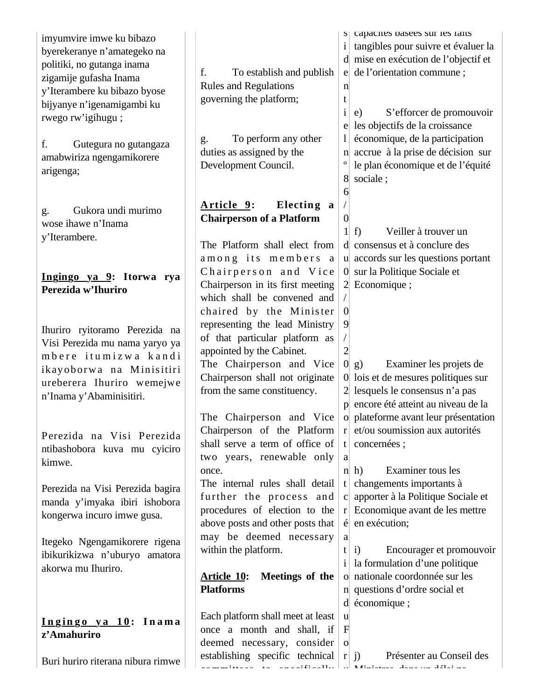| imyumvire imwe ku bibazo<br>byerekeranye n'amategeko na<br>politiki, no gutanga inama<br>zigamije gufasha Inama<br>y'Iterambere ku bibazo byose<br>bijyanye n'igenamigambi ku<br>rwego rw'igihugu;<br>f.<br>Gutegura no gutangaza<br>amabwiriza ngengamikorere<br>arigenga; | f.<br>To establish and publish<br><b>Rules and Regulations</b><br>governing the platform;<br>To perform any other<br>g.<br>duties as assigned by the<br>Development Council.                                                               | n<br>t<br>$\mathbf{i}$<br>o                 | s capacities basees sur les faits<br>i angibles pour suivre et évaluer la<br>d mise en exécution de l'objectif et<br>e de l'orientation commune;<br>S'efforcer de promouvoir<br>e)<br>les objectifs de la croissance<br>économique, de la participation<br>n accrue à la prise de décision sur<br>le plan économique et de l'équité<br>sociale; |
|-----------------------------------------------------------------------------------------------------------------------------------------------------------------------------------------------------------------------------------------------------------------------------|--------------------------------------------------------------------------------------------------------------------------------------------------------------------------------------------------------------------------------------------|---------------------------------------------|-------------------------------------------------------------------------------------------------------------------------------------------------------------------------------------------------------------------------------------------------------------------------------------------------------------------------------------------------|
| Gukora undi murimo<br>g.<br>wose ihawe n'Inama<br>y'Iterambere.<br>Ingingo ya 9: Itorwa rya<br>Perezida w'Ihuriro                                                                                                                                                           | Article 9:<br>Electing a<br><b>Chairperson of a Platform</b><br>The Platform shall elect from<br>among its members a<br>Chairperson and Vice<br>Chairperson in its first meeting<br>which shall be convened and<br>chaired by the Minister | 6<br>$\overline{0}$<br>11<br>$\overline{0}$ | Veiller à trouver un<br>f<br>d consensus et à conclure des<br>u accords sur les questions portant<br>0 sur la Politique Sociale et<br>$2$ Economique;                                                                                                                                                                                           |
| Ihuriro ryitoramo Perezida na<br>Visi Perezida mu nama yaryo ya<br>mbere itumizwa kandi<br>ikayoborwa na Minisitiri<br>ureberera Ihuriro wemejwe<br>n'Inama y'Abaminisitiri.                                                                                                | representing the lead Ministry<br>of that particular platform as<br>appointed by the Cabinet.<br>The Chairperson and Vice<br>Chairperson shall not originate<br>from the same constituency.                                                | 9<br>$\overline{c}$                         | Examiner les projets de<br>0 g)<br>0 lois et de mesures politiques sur<br>2 lesquels le consensus n'a pas<br>p encore été atteint au niveau de la                                                                                                                                                                                               |
| Perezida na Visi Perezida<br>ntibashobora kuva mu cyiciro<br>kimwe.                                                                                                                                                                                                         | The Chairperson and Vice<br>Chairperson of the Platform<br>shall serve a term of office of<br>two years, renewable only<br>once.                                                                                                           | a                                           | o plateforme avant leur présentation<br>$r$ et/ou soumission aux autorités<br>t   concernées ;<br>Examiner tous les<br>$n \, h$ )                                                                                                                                                                                                               |
| Perezida na Visi Perezida bagira<br>manda y'imyaka ibiri ishobora<br>kongerwa incuro imwe gusa.                                                                                                                                                                             | The internal rules shall detail<br>further the process and<br>procedures of election to the<br>above posts and other posts that                                                                                                            |                                             | $t$ changements importants à<br>c apporter à la Politique Sociale et<br>$r$ Economique avant de les mettre<br>$\acute{\rm e}$ en exécution;                                                                                                                                                                                                     |
| Itegeko Ngengamikorere rigena<br>ibikurikizwa n'uburyo amatora<br>akorwa mu Ihuriro.                                                                                                                                                                                        | may be deemed necessary<br>within the platform.<br>Meetings of the<br><u> Article 10:</u><br><b>Platforms</b>                                                                                                                              | a<br>t                                      | Encourager et promouvoir<br>i)<br>i   la formulation d'une politique<br>o nationale coordonnée sur les<br>n questions d'ordre social et<br>$d$ économique;                                                                                                                                                                                      |
| Ingingo ya 10: Inama<br>z'Amahuriro                                                                                                                                                                                                                                         | Each platform shall meet at least<br>once a month and shall, if<br>deemed necessary, consider<br>establishing specific technical                                                                                                           | u<br>$\mathbf{F}$<br>$\Omega$               | r j)<br>Présenter au Conseil des                                                                                                                                                                                                                                                                                                                |
| Buri huriro riterana nibura rimwe                                                                                                                                                                                                                                           |                                                                                                                                                                                                                                            |                                             | ومركبه الألقان ومستحقق ومستحققه الأراحي والمتحدث والمتحمل والمتحدث                                                                                                                                                                                                                                                                              |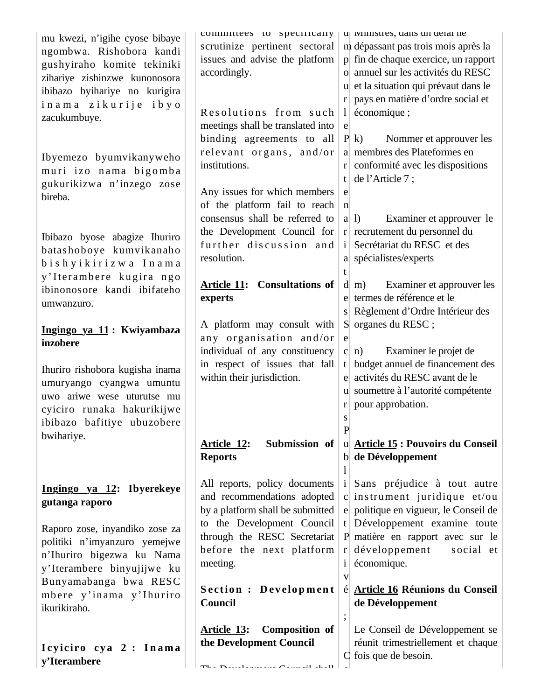| mu kwezi, n'igihe cyose bibaye<br>ngombwa. Rishobora kandi<br>gushyiraho komite tekiniki<br>zihariye zishinzwe kunonosora<br>ibibazo byihariye no kurigira<br>inama zikurije ibyo<br>zacukumbuye. | committees to specifically<br>scrutinize pertinent sectoral<br>issues and advise the platform<br>accordingly.<br>Resolutions from such<br>meetings shall be translated into | u vinnistres, dans un detai ne<br>m dépassant pas trois mois après la<br>p fin de chaque exercice, un rapport<br>o annuel sur les activités du RESC<br>u et la situation qui prévaut dans le<br>pays en matière d'ordre social et<br>r <sub>l</sub><br>économique;<br>$\mathbf{l}$<br>$\mathbf e$ |
|---------------------------------------------------------------------------------------------------------------------------------------------------------------------------------------------------|-----------------------------------------------------------------------------------------------------------------------------------------------------------------------------|---------------------------------------------------------------------------------------------------------------------------------------------------------------------------------------------------------------------------------------------------------------------------------------------------|
| Ibyemezo byumvikanyweho<br>muri izo nama bigomba<br>gukurikizwa n'inzego zose<br>bireba.                                                                                                          | binding agreements to all<br>relevant organs, and/or<br>institutions.<br>Any issues for which members<br>of the platform fail to reach<br>consensus shall be referred to    | P(k)<br>Nommer et approuver les<br>a membres des Plateformes en<br>$r$ conformité avec les dispositions<br>de l'Article 7;<br>t<br>e<br>$\mathbf n$<br>Examiner et approuver le<br>$a \mid l$                                                                                                     |
| Ibibazo byose abagize Ihuriro<br>batashoboye kumvikanaho<br>bishyikirizwa Inama<br>y'Iterambere kugira ngo                                                                                        | the Development Council for<br>further discussion and<br>resolution.                                                                                                        | $r$ recrutement du personnel du<br>Secrétariat du RESC et des<br>a spécialistes/experts<br>t                                                                                                                                                                                                      |
| ibinonosore kandi ibifateho<br>umwanzuro.                                                                                                                                                         | <b>Article 11: Consultations of</b><br>experts                                                                                                                              | Examiner et approuver les<br>$d$ m)<br>termes de référence et le<br>e<br>Règlement d'Ordre Intérieur des<br><sub>S</sub>                                                                                                                                                                          |
| Ingingo ya 11: Kwiyambaza<br>inzobere                                                                                                                                                             | A platform may consult with<br>any organisation and/or<br>individual of any constituency                                                                                    | S organes du RESC;<br>e<br>Examiner le projet de<br>$\mathbf{C}$<br>n)                                                                                                                                                                                                                            |
| Ihuriro rishobora kugisha inama<br>umuryango cyangwa umuntu<br>uwo ariwe wese uturutse mu<br>cyiciro runaka hakurikijwe<br>ibibazo bafitiye ubuzobere                                             | in respect of issues that fall<br>within their jurisdiction.                                                                                                                | budget annuel de financement des<br>t<br>activités du RESC avant de le<br>e<br>u soumettre à l'autorité compétente<br>pour approbation.<br>$\mathbf{r}$<br>S<br>$\mathbf{P}$                                                                                                                      |
| bwihariye.                                                                                                                                                                                        | Submission of<br><b>Article 12:</b><br><b>Reports</b>                                                                                                                       | u Article 15 : Pouvoirs du Conseil<br>b de Développement                                                                                                                                                                                                                                          |
| Ingingo ya 12: Ibyerekeye<br>gutanga raporo                                                                                                                                                       | All reports, policy documents<br>and recommendations adopted<br>by a platform shall be submitted                                                                            | Sans préjudice à tout autre<br>c instrument juridique et/ou<br>e politique en vigueur, le Conseil de                                                                                                                                                                                              |
| Raporo zose, inyandiko zose za<br>politiki n'imyanzuro yemejwe<br>n'Ihuriro bigezwa ku Nama<br>y'Iterambere binyujijwe ku                                                                         | to the Development Council<br>through the RESC Secretariat<br>before the next platform<br>meeting.                                                                          | t Développement examine toute<br>P matière en rapport avec sur le<br>développement<br>social et<br>$r_{\rm}$<br>économique.<br>$\bf{1}$<br>V                                                                                                                                                      |
| Bunyamabanga bwa RESC<br>mbere y'inama y'Ihuriro<br>ikurikiraho.                                                                                                                                  | <b>Section : Development</b><br>Council                                                                                                                                     | <b>Article 16 Réunions du Conseil</b><br>é<br>de Développement                                                                                                                                                                                                                                    |
| Icyiciro cya 2 : Inama<br>y'Iterambere                                                                                                                                                            | <u>Article 13:</u><br>Composition of<br>the Development Council<br>$TL_{\alpha}$ Development $O_{\alpha_1,\ldots,\alpha_n}(1)$ and $11$                                     | Le Conseil de Développement se<br>réunit trimestriellement et chaque<br>C fois que de besoin.                                                                                                                                                                                                     |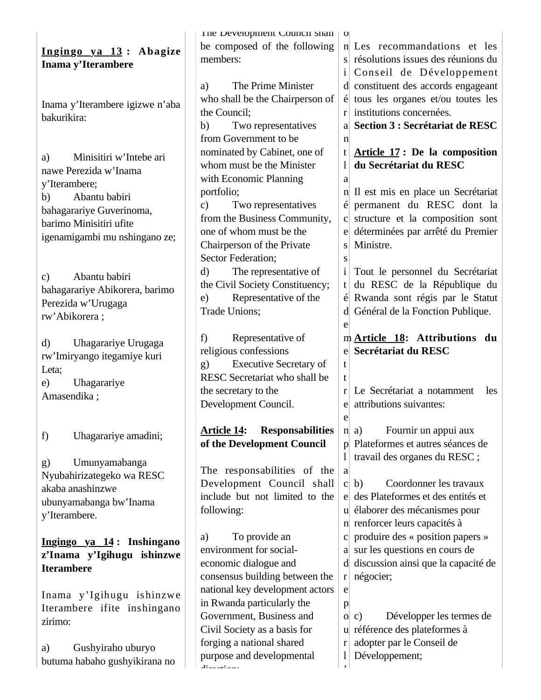| Ingingo ya 13: Abagize<br>Inama y'Iterambere                                                                                                                                           | The Development Council snall   0<br>be composed of the following<br>members:                                                                                                                                                      | n Les recommandations et les<br>s résolutions issues des réunions du<br>Conseil de Développement                                                                                                                                                                                      |
|----------------------------------------------------------------------------------------------------------------------------------------------------------------------------------------|------------------------------------------------------------------------------------------------------------------------------------------------------------------------------------------------------------------------------------|---------------------------------------------------------------------------------------------------------------------------------------------------------------------------------------------------------------------------------------------------------------------------------------|
| Inama y'Iterambere igizwe n'aba<br>bakurikira:                                                                                                                                         | The Prime Minister<br>a)<br>who shall be the Chairperson of<br>the Council;<br>b)<br>Two representatives<br>from Government to be                                                                                                  | d constituent des accords engageant<br>$\acute{\rm{e}}$ tous les organes et/ou toutes les<br>$r$ institutions concernées.<br>a Section 3 : Secrétariat de RESC                                                                                                                        |
| Minisitiri w'Intebe ari<br>a)<br>nawe Perezida w'Inama<br>y'Iterambere;<br>Abantu babiri<br>b)<br>bahagarariye Guverinoma,<br>barimo Minisitiri ufite<br>igenamigambi mu nshingano ze; | nominated by Cabinet, one of<br>whom must be the Minister<br>with Economic Planning<br>portfolio;<br>Two representatives<br>$\mathbf{c})$<br>from the Business Community,<br>one of whom must be the<br>Chairperson of the Private | $\mathbf n$<br>Article 17: De la composition<br>t<br>du Secrétariat du RESC<br>1 <sup>1</sup><br>a<br>n Il est mis en place un Secrétariat<br>é permanent du RESC dont la<br>c structure et la composition sont<br>e déterminées par arrêté du Premier<br>Ministre.<br>S <sub>1</sub> |
| Abantu babiri<br>$\mathbf{c})$<br>bahagarariye Abikorera, barimo<br>Perezida w'Urugaga<br>rw'Abikorera;                                                                                | Sector Federation;<br>The representative of<br>d)<br>the Civil Society Constituency;<br>Representative of the<br>e)<br>Trade Unions;                                                                                               | S<br>Tout le personnel du Secrétariat<br>$\mathbf{i}$<br>du RESC de la République du<br>t<br>é Rwanda sont régis par le Statut<br>d Général de la Fonction Publique.<br>e                                                                                                             |
| Uhagarariye Urugaga<br>d)<br>rw'Imiryango itegamiye kuri<br>Leta;<br>Uhagarariye<br>e)<br>Amasendika;                                                                                  | Representative of<br>f)<br>religious confessions<br><b>Executive Secretary of</b><br>g)<br>RESC Secretariat who shall be<br>the secretary to the<br>Development Council.                                                           | m Article 18: Attributions du<br>e Secrétariat du RESC<br>t<br>t<br>Le Secrétariat a notamment<br>les<br>r<br>attributions suivantes:<br>e                                                                                                                                            |
| Uhagarariye amadini;<br>f)                                                                                                                                                             | <b>Responsabilities</b><br><b>Article 14:</b><br>of the Development Council                                                                                                                                                        | e<br>Fournir un appui aux<br>n   a)<br>p Plateformes et autres séances de                                                                                                                                                                                                             |
| Umunyamabanga<br>g)<br>Nyubahirizategeko wa RESC<br>akaba anashinzwe<br>ubunyamabanga bw'Inama<br>y'Iterambere.                                                                        | The responsabilities of the<br>Development Council shall<br>include but not limited to the<br>following:                                                                                                                           | travail des organes du RESC ;<br>$\mathbf{I}$<br>a<br>Coordonner les travaux<br>c b)<br>e des Plateformes et des entités et<br>u élaborer des mécanismes pour<br>n renforcer leurs capacités à                                                                                        |
| Ingingo ya 14: Inshingano<br>z'Inama y'Igihugu ishinzwe<br><b>Iterambere</b><br>Inama y'Igihugu ishinzwe                                                                               | To provide an<br>a)<br>environment for social-<br>economic dialogue and<br>consensus building between the<br>national key development actors<br>in Rwanda particularly the                                                         | c produire des « position papers »<br>a sur les questions en cours de<br>d discussion ainsi que la capacité de<br>$r$ négocier;<br>e                                                                                                                                                  |
| Iterambere ifite inshingano<br>zirimo:<br>Gushyiraho uburyo<br>a)<br>butuma habaho gushyikirana no                                                                                     | Government, Business and<br>Civil Society as a basis for<br>forging a national shared<br>purpose and developmental<br>وسوفهم مسفلا                                                                                                 | p<br>Développer les termes de<br>O(C)<br>u référence des plateformes à<br>adopter par le Conseil de<br>r<br>Développement;<br>1<br>$\cdot$                                                                                                                                            |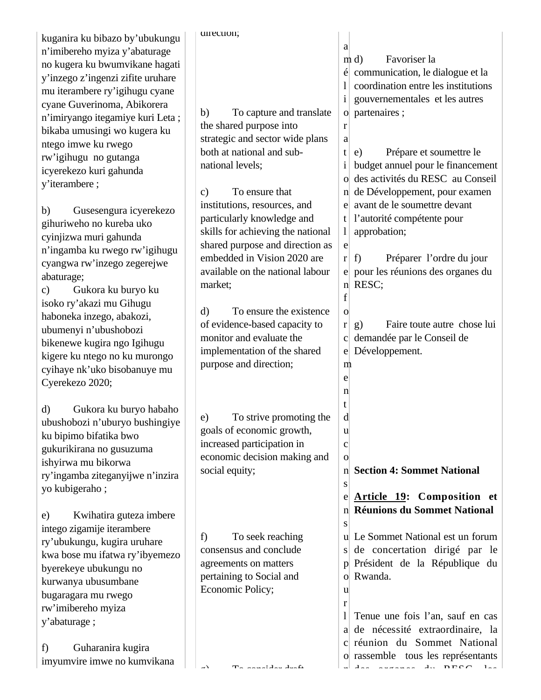| kuganira ku bibazo by'ubukungu                              | uirection;                                                       |                                                        |
|-------------------------------------------------------------|------------------------------------------------------------------|--------------------------------------------------------|
| n'imibereho myiza y'abaturage                               |                                                                  | a                                                      |
| no kugera ku bwumvikane hagati                              |                                                                  | Favoriser la<br>m d                                    |
| y'inzego z'ingenzi zifite uruhare                           |                                                                  | $\acute{\text{e}}$ communication, le dialogue et la    |
| mu iterambere ry'igihugu cyane                              |                                                                  | coordination entre les institutions                    |
| cyane Guverinoma, Abikorera                                 |                                                                  | gouvernementales et les autres<br>$\mathbf{i}$         |
| n'imiryango itegamiye kuri Leta;                            | b)<br>To capture and translate                                   | partenaires;<br>$\overline{O}$                         |
| bikaba umusingi wo kugera ku                                | the shared purpose into                                          | r                                                      |
| ntego imwe ku rwego                                         | strategic and sector wide plans                                  | a                                                      |
| rw'igihugu no gutanga                                       | both at national and sub-                                        | Prépare et soumettre le<br>t<br>e)                     |
| icyerekezo kuri gahunda                                     | national levels;                                                 | budget annuel pour le financement<br>$\mathbf{i}$      |
| y'iterambere;                                               |                                                                  | des activités du RESC au Conseil<br>$\overline{O}$     |
|                                                             | To ensure that<br>$\mathbf{c}$                                   | de Développement, pour examen<br>n                     |
| Gusesengura icyerekezo<br>b)                                | institutions, resources, and                                     | avant de le soumettre devant<br>el                     |
| gihuriweho no kureba uko                                    | particularly knowledge and                                       | l'autorité compétente pour<br>t                        |
| cyinjizwa muri gahunda                                      | skills for achieving the national                                | approbation;<br>$\frac{1}{2}$                          |
| n'ingamba ku rwego rw'igihugu                               | shared purpose and direction as                                  | e                                                      |
| cyangwa rw'inzego zegerejwe                                 | embedded in Vision 2020 are                                      | Préparer l'ordre du jour<br>f)<br>r <sub>l</sub>       |
| abaturage;                                                  | available on the national labour                                 | pour les réunions des organes du<br>e                  |
| Gukora ku buryo ku<br>$\mathbf{c})$                         | market;                                                          | n RESC;                                                |
|                                                             |                                                                  | f                                                      |
| isoko ry'akazi mu Gihugu                                    | To ensure the existence<br>$\mathbf{d}$                          | $\mathbf{o}$                                           |
| haboneka inzego, abakozi,                                   | of evidence-based capacity to                                    | Faire toute autre chose lui<br>$\bf r$<br>$\mathbf{g}$ |
| ubumenyi n'ubushobozi                                       | monitor and evaluate the                                         | demandée par le Conseil de<br>$\mathbf{C}$             |
| bikenewe kugira ngo Igihugu                                 | implementation of the shared                                     | Développement.<br>$\mathbf{e}$                         |
| kigere ku ntego no ku murongo                               | purpose and direction;                                           | m                                                      |
| cyihaye nk'uko bisobanuye mu                                |                                                                  | e                                                      |
| Cyerekezo 2020;                                             |                                                                  | n                                                      |
|                                                             |                                                                  | t                                                      |
| Gukora ku buryo habaho<br>d)                                | To strive promoting the<br>e)                                    | d                                                      |
| ubushobozi n'uburyo bushingiye                              | goals of economic growth,                                        | u                                                      |
| ku bipimo bifatika bwo                                      | increased participation in                                       | $\mathbf{C}$                                           |
| gukurikirana no gusuzuma                                    | economic decision making and                                     | $\mathbf{O}$                                           |
| ishyirwa mu bikorwa                                         | social equity;                                                   | <b>Section 4: Sommet National</b><br>n                 |
| ry'ingamba ziteganyijwe n'inzira                            |                                                                  | S                                                      |
| yo kubigeraho;                                              |                                                                  | Article 19: Composition et<br>e                        |
|                                                             |                                                                  | <b>Réunions du Sommet National</b><br>n                |
| Kwihatira guteza imbere<br>e)<br>intego zigamije iterambere |                                                                  | S                                                      |
| ry'ubukungu, kugira uruhare                                 | To seek reaching<br>f)                                           | u Le Sommet National est un forum                      |
|                                                             | consensus and conclude                                           | de concertation dirigé par le<br>S <sub>1</sub>        |
| kwa bose mu ifatwa ry'ibyemezo                              | agreements on matters                                            | Président de la République du<br>$\mathsf{p}$          |
| byerekeye ubukungu no                                       | pertaining to Social and                                         | Rwanda.<br>$\overline{O}$                              |
| kurwanya ubusumbane                                         | Economic Policy;                                                 | u                                                      |
| bugaragara mu rwego                                         |                                                                  | r                                                      |
| rw'imibereho myiza                                          |                                                                  | Tenue une fois l'an, sauf en cas<br>$\mathbf{I}$       |
| y'abaturage;                                                |                                                                  | a de nécessité extraordinaire, la                      |
|                                                             |                                                                  | c réunion du Sommet National                           |
| Guharanira kugira<br>f)                                     |                                                                  | o rassemble tous les représentants                     |
| imyumvire imwe no kumvikana                                 | $\mathbf{T}_{\alpha}$ and the dealer<br>$\overline{\phantom{a}}$ | $\lambda$<br>$4.5$ DECA<br>$1 - -$                     |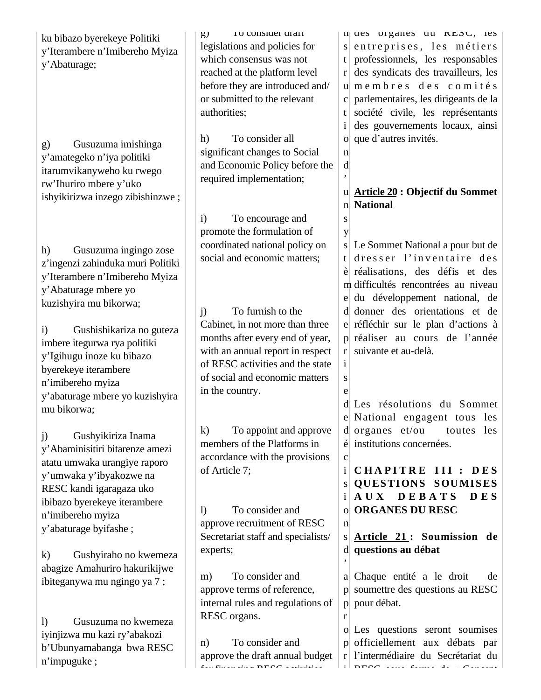| ku bibazo byerekeye Politiki<br>y'Iterambere n'Imibereho Myiza<br>y'Abaturage;<br>Gusuzuma imishinga<br>g)<br>y'amategeko n'iya politiki<br>itarumvikanyweho ku rwego<br>rw'Ihuriro mbere y'uko | <b>10 CONSIGER GRAFT</b><br>g)<br>legislations and policies for<br>which consensus was not<br>reached at the platform level<br>before they are introduced and/<br>or submitted to the relevant<br>authorities;<br>To consider all<br>h)<br>significant changes to Social<br>and Economic Policy before the<br>required implementation; | n ues organes uu KESC, les<br>s entreprises, les métiers<br>professionnels, les responsables<br>t<br>des syndicats des travailleurs, les<br>r<br>umembres des comités<br>parlementaires, les dirigeants de la<br>société civile, les représentants<br>t<br>$\mathbf{i}$<br>des gouvernements locaux, ainsi<br>que d'autres invités.<br>$\mathbf n$<br>d |
|-------------------------------------------------------------------------------------------------------------------------------------------------------------------------------------------------|----------------------------------------------------------------------------------------------------------------------------------------------------------------------------------------------------------------------------------------------------------------------------------------------------------------------------------------|---------------------------------------------------------------------------------------------------------------------------------------------------------------------------------------------------------------------------------------------------------------------------------------------------------------------------------------------------------|
| ishyikirizwa inzego zibishinzwe;                                                                                                                                                                | To encourage and<br>$\mathbf{i}$<br>promote the formulation of                                                                                                                                                                                                                                                                         | <b>Article 20 : Objectif du Sommet</b><br>u<br><b>National</b><br>$\mathbf{n}$<br>S<br>y                                                                                                                                                                                                                                                                |
| Gusuzuma ingingo zose<br>h)<br>z'ingenzi zahinduka muri Politiki<br>y'Iterambere n'Imibereho Myiza<br>y'Abaturage mbere yo<br>kuzishyira mu bikorwa;                                            | coordinated national policy on<br>social and economic matters;<br>To furnish to the                                                                                                                                                                                                                                                    | Le Sommet National a pour but de<br>S<br>dresser l'inventaire des<br>t.<br>è réalisations, des défis et des<br>m difficultés rencontrées au niveau<br>du développement national, de<br>donner des orientations et de<br><sub>d</sub>                                                                                                                    |
| Gushishikariza no guteza<br>$\mathbf{i}$<br>imbere itegurwa rya politiki<br>y'Igihugu inoze ku bibazo<br>byerekeye iterambere<br>n'imibereho myiza<br>y'abaturage mbere yo kuzishyira           | j)<br>Cabinet, in not more than three<br>months after every end of year,<br>with an annual report in respect<br>of RESC activities and the state<br>of social and economic matters<br>in the country.                                                                                                                                  | e réfléchir sur le plan d'actions à<br>p réaliser au cours de l'année<br>suivante et au-delà.<br>r<br>$\mathbf{i}$<br>S<br>e                                                                                                                                                                                                                            |
| mu bikorwa;<br>Gushyikiriza Inama<br>j)<br>y'Abaminisitiri bitarenze amezi                                                                                                                      | $\bf k)$<br>To appoint and approve<br>members of the Platforms in                                                                                                                                                                                                                                                                      | Les résolutions du Sommet<br>e National engagent tous les<br>$d$ organes $et/ou$<br>toutes les<br>institutions concernées.                                                                                                                                                                                                                              |
| atatu umwaka urangiye raporo<br>y'umwaka y'ibyakozwe na<br>RESC kandi igaragaza uko<br>ibibazo byerekeye iterambere<br>n'imibereho myiza                                                        | accordance with the provisions<br>of Article 7;<br>To consider and<br>$\mathbf{D}$                                                                                                                                                                                                                                                     | $\mathbf{C}$<br>$\mathbf{i}$<br>CHAPITRE III :<br>DES<br><b>QUESTIONS SOUMISES</b><br>S<br>D E B A T S<br>A U X<br><b>DES</b><br>i<br><b>ORGANES DU RESC</b>                                                                                                                                                                                            |
| y'abaturage byifashe;<br>Gushyiraho no kwemeza<br>$\bf k)$                                                                                                                                      | approve recruitment of RESC<br>Secretariat staff and specialists/<br>experts;                                                                                                                                                                                                                                                          | $\mathbf n$<br>Article 21: Soumission de<br>S<br>questions au débat<br>d                                                                                                                                                                                                                                                                                |
| abagize Amahuriro hakurikijwe<br>ibiteganywa mu ngingo ya 7;                                                                                                                                    | To consider and<br>m)<br>approve terms of reference,<br>internal rules and regulations of                                                                                                                                                                                                                                              | a Chaque entité a le droit<br>de<br>soumettre des questions au RESC<br>pour débat.<br>$\mathbf{p}$                                                                                                                                                                                                                                                      |
| Gusuzuma no kwemeza<br>$\bf{D}$<br>iyinjizwa mu kazi ry'abakozi<br>b'Ubunyamabanga bwa RESC<br>n'impuguke;                                                                                      | RESC organs.<br>To consider and<br>n)<br>approve the draft annual budget<br>factured and DECO addition                                                                                                                                                                                                                                 | r<br>o Les questions seront soumises<br>p officiellement aux débats par<br>l'intermédiaire du Secrétariat du<br>r<br>DECO and family de Canadia                                                                                                                                                                                                         |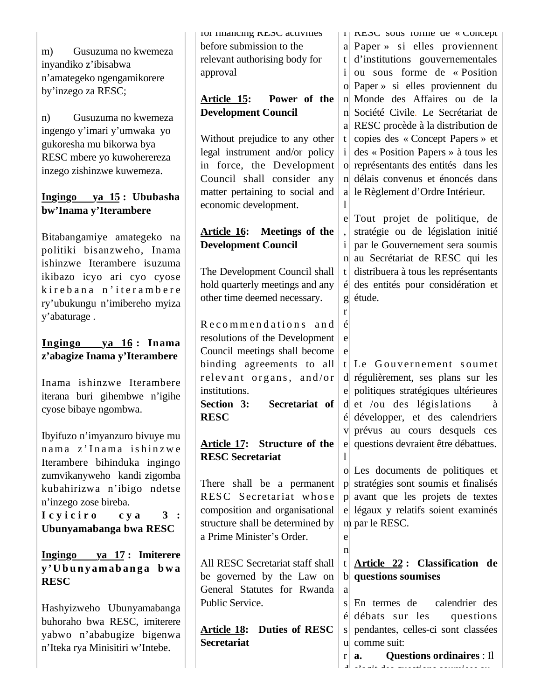m) Gusuzuma no kwemeza inyandiko z'ibisabwa n'amategeko ngengamikorere by'inzego za RESC;

n) Gusuzuma no kwemeza ingengo y'imari y'umwaka yo gukoresha mu bikorwa bya RESC mbere yo kuwoherereza inzego zishinzwe kuwemeza.

#### **Ingingo ya 15 : Ububasha bw'Inama y'Iterambere**

Bitabangamiye amategeko na politiki bisanzweho, Inama ishinzwe Iterambere isuzuma ikibazo icyo ari cyo cyose kirebana n'iterambere ry'ubukungu n'imibereho myiza y'abaturage .

#### **Ingingo ya 16 : Inama z'abagize Inama y'Iterambere**

Inama ishinzwe Iterambere iterana buri gihembwe n'igihe cyose bibaye ngombwa.

Ibyifuzo n'imyanzuro bivuye mu nama z'Inama ishinzwe Iterambere bihinduka ingingo zumvikanyweho kandi zigomba kubahirizwa n'ibigo ndetse n'inzego zose bireba. I c y i c i r o c y a 3 :

**Ubunyamabanga bwa RESC**

**Ingingo ya 17 : Imiterere y ' U b u n y a m a b a n g a b w a RESC** 

Hashyizweho Ubunyamabanga buhoraho bwa RESC, imiterere yabwo n'ababugize bigenwa n'Iteka rya Minisitiri w'Intebe.

for financing **RESC** activities before submission to the relevant authorising body for approval

### **Article 15: Power of the Development Council**

Without prejudice to any other legal instrument and/or policy in force, the Development Council shall consider any matter pertaining to social and economic development.

### **Article 16: Meetings of the Development Council**

The Development Council shall hold quarterly meetings and any other time deemed necessary.

Recommendations and resolutions of the Development Council meetings shall become binding agreements to all relevant organs, and/or institutions. **Section 3: Secretariat of RESC** 

# **Article 17: Structure of the RESC Secretariat**

There shall be a permanent RESC Secretariat whose composition and organisational structure shall be determined by a Prime Minister's Order.

All RESC Secretariat staff shall be governed by the Law on General Statutes for Rwanda Public Service.

**Article 18: Duties of RESC Secretariat**

i RESC sous forme de « Concept a Paper » si elles proviennent t d'institutions gouvernementales i ou sous forme de « Position o Paper » si elles proviennent du n Monde des Affaires ou de la n Société Civile. Le Secrétariat de a RESC procède à la distribution de t copies des « Concept Papers » et i des « Position Papers » à tous les o représentants des entités dans les n délais convenus et énoncés dans a le Règlement d'Ordre Intérieur.

e Tout projet de politique, de i par le Gouvernement sera soumis n au Secrétariat de RESC qui les t distribuera à tous les représentants é des entités pour considération et g étude. stratégie ou de législation initié

t Le Gouvernement soumet d régulièrement, ses plans sur les e politiques stratégiques ultérieures d et /ou des législations à é développer, et des calendriers v prévus au cours desquels ces e questions devraient être débattues.

o Les documents de politiques et p stratégies sont soumis et finalisés p avant que les projets de textes e légaux y relatifs soient examinés m par le RESC.

e n

a

d

l

 $\mathbf{1}$ 

,

r é e e

#### t **Article 22 : Classification de**  b **questions soumises**

s En termes de é débats sur les questions s pendantes, celles-ci sont classées u comme suit:  $r|a.$ calendrier des **a. Questions ordinaires** : Il s'agit des questions soumises au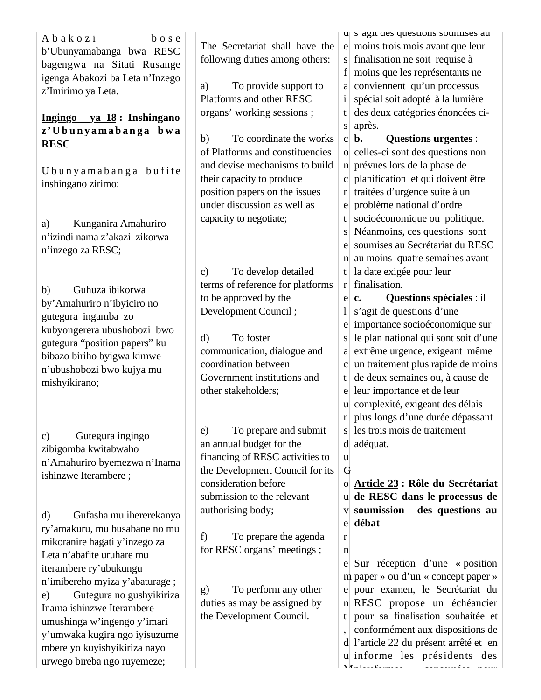A b a k o z i b o s e b'Ubunyamabanga bwa RESC bagengwa na Sitati Rusange igenga Abakozi ba Leta n'Inzego z'Imirimo ya Leta.

#### **Ingingo ya 18 : Inshingano z' U b u n y a m a b a n g a b w a RESC**

U bunyamabanga bufite inshingano zirimo:

a) Kunganira Amahuriro n'izindi nama z'akazi zikorwa n'inzego za RESC;

b) Guhuza ibikorwa by'Amahuriro n'ibyiciro no gutegura ingamba zo kubyongerera ubushobozi bwo gutegura "position papers" ku bibazo biriho byigwa kimwe n'ubushobozi bwo kujya mu mishyikirano;

c) Gutegura ingingo zibigomba kwitabwaho n'Amahuriro byemezwa n'Inama ishinzwe Iterambere ;

d) Gufasha mu ihererekanya ry'amakuru, mu busabane no mu mikoranire hagati y'inzego za Leta n'abafite uruhare mu iterambere ry'ubukungu n'imibereho myiza y'abaturage ; e) Gutegura no gushyikiriza Inama ishinzwe Iterambere umushinga w'ingengo y'imari y'umwaka kugira ngo iyisuzume mbere yo kuyishyikiriza nayo urwego bireba ngo ruyemeze;

The Secretariat shall have the following duties among others:

a) To provide support to Platforms and other RESC organs' working sessions ;

b) To coordinate the works of Platforms and constituencies and devise mechanisms to build their capacity to produce position papers on the issues under discussion as well as capacity to negotiate;

c) To develop detailed terms of reference for platforms to be approved by the Development Council ;

d) To foster communication, dialogue and coordination between Government institutions and other stakeholders;

e) To prepare and submit an annual budget for the financing of RESC activities to the Development Council for its consideration before submission to the relevant authorising body;

u G

r n

f) To prepare the agenda for RESC organs' meetings ;

g) To perform any other duties as may be assigned by the Development Council.

d s agit des questions soumises au e moins trois mois avant que leur s finalisation ne soit requise à f moins que les représentants ne a conviennent qu'un processus i spécial soit adopté à la lumière t des deux catégories énoncées cis après.

 $c\vert b.$ o celles-ci sont des questions non n prévues lors de la phase de c planification et qui doivent être r traitées d'urgence suite à un e problème national d'ordre t socioéconomique ou politique. s Néanmoins, ces questions sont e soumises au Secrétariat du RESC n au moins quatre semaines avant t la date exigée pour leur r finalisation.  $e \mid c$ . l s'agit de questions d'une e importance socioéconomique sur s le plan national qui sont soit d'une a extrême urgence, exigeant même c un traitement plus rapide de moins t de deux semaines ou, à cause de e leur importance et de leur u complexité, exigeant des délais r plus longs d'une durée dépassant s les trois mois de traitement d adéquat. **b. Questions urgentes** : **c. Questions spéciales** : il

o **Article 23 : Rôle du Secrétariat**  u **de RESC dans le processus de**  v soumission e **débat**  des questions au

e Sur réception d'une « position m paper » ou d'un « concept paper » e pour examen, le Secrétariat du n RESC propose un échéancier t pour sa finalisation souhaitée et , conformément aux dispositions de d l'article 22 du présent arrêté et en u informe les présidents des Materiale de la concernées pour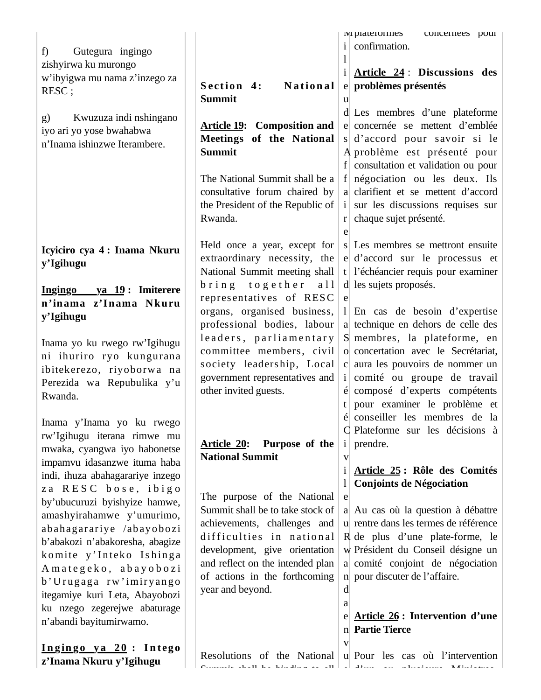|                                        |                                      | <b>IVI</b> platerormes<br>concernees pour        |
|----------------------------------------|--------------------------------------|--------------------------------------------------|
| Gutegura ingingo<br>f)                 |                                      | confirmation.<br>$\mathbf{i}$                    |
| zishyirwa ku murongo                   |                                      | 1                                                |
|                                        |                                      | Article 24: Discussions des<br>$\mathbf{i}$      |
| w'ibyigwa mu nama z'inzego za          | Section 4:<br>National               | e problèmes présentés                            |
| RESC;                                  | <b>Summit</b>                        | u                                                |
|                                        |                                      | d Les membres d'une plateforme                   |
| Kwuzuza indi nshingano<br>$\mathbf{g}$ | <b>Article 19:</b> Composition and   | e concernée se mettent d'emblée                  |
| iyo ari yo yose bwahabwa               | Meetings of the National             | s d'accord pour savoir si le                     |
| n'Inama ishinzwe Iterambere.           | <b>Summit</b>                        | A problème est présenté pour                     |
|                                        |                                      | f consultation et validation ou pour             |
|                                        | The National Summit shall be a       | f négociation ou les deux. Ils                   |
|                                        | consultative forum chaired by        | a clarifient et se mettent d'accord              |
|                                        | the President of the Republic of     | sur les discussions requises sur<br>$\mathbf{1}$ |
|                                        | Rwanda.                              | chaque sujet présenté.<br>r                      |
|                                        |                                      | e                                                |
|                                        | Held once a year, except for         | s Les membres se mettront ensuite                |
| Icyiciro cya 4: Inama Nkuru            | extraordinary necessity, the         | e d'accord sur le processus et                   |
| y'Igihugu                              | National Summit meeting shall        | t l'échéancier requis pour examiner              |
|                                        | bring together<br>a 11               | d les sujets proposés.                           |
| Ingingo ya 19 : Imiterere              | representatives of RESC              | e                                                |
| n'inama z'Inama Nkuru                  | organs, organised business,          | 1 En cas de besoin d'expertise                   |
| y'Igihugu                              | professional bodies, labour          | a technique en dehors de celle des               |
|                                        | leaders, parliamentary               | S membres, la plateforme, en                     |
| Inama yo ku rwego rw'Igihugu           | committee members, civil             | o concertation avec le Secrétariat,              |
| ni ihuriro ryo kungurana               | society leadership, Local            | c aura les pouvoirs de nommer un                 |
| ibitekerezo, riyoborwa na              | government representatives and       | comité ou groupe de travail<br>$\mathbf{1}$      |
| Perezida wa Repubulika y'u             | other invited guests.                | composé d'experts compétents                     |
| Rwanda.                                |                                      | t pour examiner le problème et                   |
|                                        |                                      | é conseiller les membres de la                   |
| Inama y'Inama yo ku rwego              |                                      | C Plateforme sur les décisions à                 |
| rw'Igihugu iterana rimwe mu            | Purpose of the<br><u>Article 20:</u> | $i$ prendre.                                     |
| mwaka, cyangwa iyo habonetse           | <b>National Summit</b>               | V                                                |
| impamvu idasanzwe ituma haba           |                                      | $\mathbf{i}$<br>Article 25 : Rôle des Comités    |
| indi, ihuza abahagarariye inzego       |                                      | <b>Conjoints de Négociation</b>                  |
| za RESC bose, ibigo                    | The purpose of the National          | e                                                |
| by'ubucuruzi byishyize hamwe,          | Summit shall be to take stock of     | a Au cas où la question à débattre               |
| amashyirahamwe y'umurimo,              | achievements, challenges and         | u rentre dans les termes de référence            |
| abahagarariye /abayobozi               | difficulties in national             | R de plus d'une plate-forme, le                  |
| b'abakozi n'abakoresha, abagize        | development, give orientation        | w Président du Conseil désigne un                |
| komite y'Inteko Ishinga                | and reflect on the intended plan     | a comité conjoint de négociation                 |
| Amategeko, abayobozi                   | of actions in the forthcoming        | n pour discuter de l'affaire.                    |
| b'Urugaga rw'imiryango                 | year and beyond.                     | d                                                |
| itegamiye kuri Leta, Abayobozi         |                                      | a                                                |
| ku nzego zegerejwe abaturage           |                                      | Article 26 : Intervention d'une<br>e             |
| n'abandi bayitumirwamo.                |                                      | n Partie Tierce                                  |
|                                        |                                      | V                                                |
| Ingingo ya 20: Intego                  | Resolutions of the National          | u Pour les cas où l'intervention                 |
| z'Inama Nkuru y'Igihugu                |                                      |                                                  |

Summit shall be binding to all e d'un ou plusieurs Ministres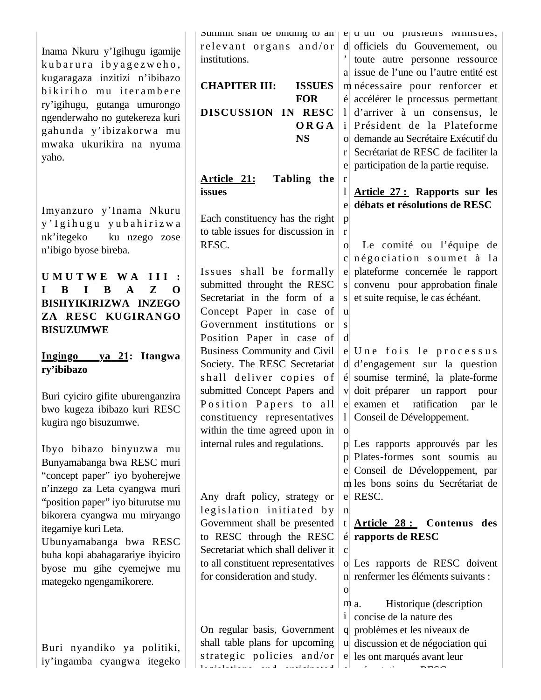Inama Nkuru y'Igihugu igamije kub arura iby agezweho, kugaragaza inzitizi n'ibibazo bikiriho mu iterambere ry'igihugu, gutanga umurongo ngenderwaho no gutekereza kuri gahunda y'ibizakorwa mu mwaka ukurikira na nyuma yaho.

Imyanzuro y'Inama Nkuru y'Igihugu yubahirizwa nk'itegeko ku nzego zose n'ibigo byose bireba.

**U M U T W E W A I I I : I B I B A Z O BISHYIKIRIZWA INZEGO ZA RESC KUGIRANGO BISUZUMWE** 

**Ingingo ya 21: Itangwa ry'ibibazo** 

Buri cyiciro gifite uburenganzira bwo kugeza ibibazo kuri RESC kugira ngo bisuzumwe.

Ibyo bibazo binyuzwa mu Bunyamabanga bwa RESC muri "concept paper" iyo byoherejwe n'inzego za Leta cyangwa muri "position paper" iyo biturutse mu bikorera cyangwa mu miryango itegamiye kuri Leta. Ubunyamabanga bwa RESC buha kopi abahagarariye ibyiciro byose mu gihe cyemejwe mu mategeko ngengamikorere.

Buri nyandiko ya politiki, iy'ingamba cyangwa itegeko Summit shall be binding to all relevant organs and/or institutions.

**CHAPITER III: ISSUES FOR DISCUSSION IN RESC ORGA NS**

**Article 21: Tabling the issues** 

r

p r

> u s d

o

n

c

Each constituency has the right to table issues for discussion in RESC.

Issues shall be formally submitted throught the RESC Secretariat in the form of a Concept Paper in case of Government institutions or Position Paper in case of Business Community and Civil Society. The RESC Secretariat shall deliver copies of submitted Concept Papers and Position Papers to all constituency representatives within the time agreed upon in internal rules and regulations.

Any draft policy, strategy or legislation initiated by Government shall be presented to RESC through the RESC Secretariat which shall deliver it to all constituent representatives for consideration and study.

On regular basis, Government shall table plans for upcoming s trategic policies and/or legislations and anticipated

e d un ou plusieurs Ministres, d officiels du Gouvernement, ou ' toute autre personne ressource a issue de l'une ou l'autre entité est m nécessaire pour renforcer et é accélérer le processus permettant l d'arriver à un consensus, le i Président de la Plateforme o demande au Secrétaire Exécutif du r Secrétariat de RESC de faciliter la e participation de la partie requise.

l **Article 27 : Rapports sur les**  e **débats et résolutions de RESC**

o c négociation soumet à la e plateforme concernée le rapport s convenu pour approbation finale s et suite requise, le cas échéant. Le comité ou l'équipe de

e Une fois le processus d d'engagement sur la question é soumise terminé, la plate-forme v doit préparer un rapport pour e examen et ratification par le l Conseil de Développement.

p Les rapports approuvés par les p Plates-formes sont soumis au e Conseil de Développement, par m les bons soins du Secrétariat de e RESC.

t **Article 28 : Contenus des**  é **rapports de RESC** 

o Les rapports de RESC doivent n renfermer les éléments suivants : o

 $m a$ . i concise de la nature des q problèmes et les niveaux de u discussion et de négociation qui e les ont marqués avant leur e Historique (description  $\ell$  ti RESC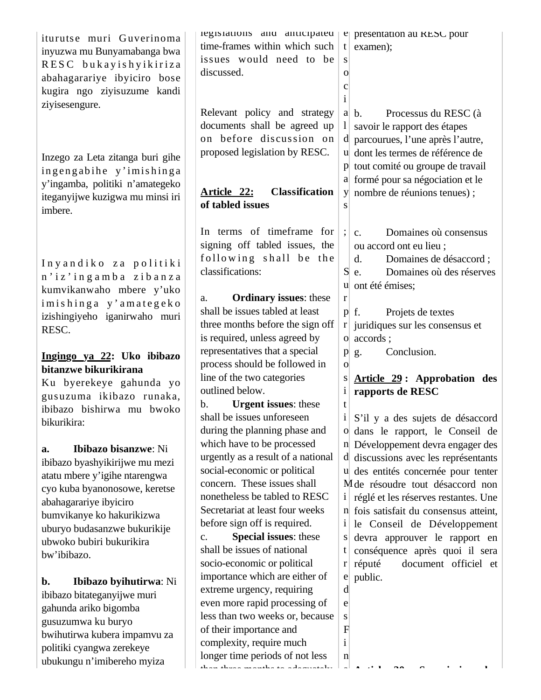| iturutse muri Guverinoma<br>inyuzwa mu Bunyamabanga bwa<br>RESC bukayishyikiriza<br>abahagarariye ibyiciro bose<br>kugira ngo ziyisuzume kandi<br>ziyisesengure.                                                                                                 | registations and anticipated<br>time-frames within which such<br>issues would need to be<br>discussed.                                                                                                                                                                                                                                  | e presentation au RESC pour<br>t<br>examen);<br>S<br>$\overline{O}$<br>c                                                                                                                                                                                                                                                                                                                                                                             |
|------------------------------------------------------------------------------------------------------------------------------------------------------------------------------------------------------------------------------------------------------------------|-----------------------------------------------------------------------------------------------------------------------------------------------------------------------------------------------------------------------------------------------------------------------------------------------------------------------------------------|------------------------------------------------------------------------------------------------------------------------------------------------------------------------------------------------------------------------------------------------------------------------------------------------------------------------------------------------------------------------------------------------------------------------------------------------------|
| Inzego za Leta zitanga buri gihe<br>ingengabihe y'imishinga<br>y'ingamba, politiki n'amategeko<br>iteganyijwe kuzigwa mu minsi iri<br>imbere.                                                                                                                    | Relevant policy and strategy<br>documents shall be agreed up<br>on before discussion on<br>proposed legislation by RESC.<br><b>Classification</b><br>Article 22:<br>of tabled issues                                                                                                                                                    | Processus du RESC (à<br>$a \mid b$ .<br>savoir le rapport des étapes<br>d parcourues, l'une après l'autre,<br>u dont les termes de référence de<br>tout comité ou groupe de travail<br>p<br>a formé pour sa négociation et le<br>y nombre de réunions tenues);                                                                                                                                                                                       |
| Inyandiko za politiki<br>n'iz'ingamba zibanza<br>kumvikanwaho mbere y'uko<br>imishinga y'amategeko                                                                                                                                                               | In terms of timeframe for<br>signing off tabled issues, the<br>following shall be the<br>classifications:<br><b>Ordinary issues:</b> these<br>a.                                                                                                                                                                                        | Domaines où consensus<br>C <sub>1</sub><br>ou accord ont eu lieu;<br>Domaines de désaccord;<br>$\mathbf{d}$ .<br>S<br>Domaines où des réserves<br>e.<br>u ont été émises;<br>r                                                                                                                                                                                                                                                                       |
| izishingiyeho iganirwaho muri<br>RESC.<br>Ingingo ya 22: Uko ibibazo                                                                                                                                                                                             | shall be issues tabled at least<br>three months before the sign off<br>is required, unless agreed by<br>representatives that a special<br>process should be followed in                                                                                                                                                                 | $p \mid f$ .<br>Projets de textes<br>juridiques sur les consensus et<br>r <sub>l</sub><br>o accords;<br>Conclusion.<br>g.<br>p<br>$\overline{O}$                                                                                                                                                                                                                                                                                                     |
| bitanzwe bikurikirana<br>Ku byerekeye gahunda yo<br>gusuzuma ikibazo runaka,<br>ibibazo bishirwa mu bwoko<br>bikurikira:                                                                                                                                         | line of the two categories<br>outlined below.<br><b>Urgent issues: these</b><br>b.<br>shall be issues unforeseen<br>during the planning phase and                                                                                                                                                                                       | Article 29: Approbation des<br>S<br>$\mathbf{i}$<br>rapports de RESC<br>t<br>$\mathbf{i}$<br>S'il y a des sujets de désaccord<br>o dans le rapport, le Conseil de                                                                                                                                                                                                                                                                                    |
| Ibibazo bisanzwe: Ni<br>a.<br>ibibazo byashyikirijwe mu mezi<br>atatu mbere y'igihe ntarengwa<br>cyo kuba byanonosowe, keretse<br>abahagarariye ibyiciro<br>bumvikanye ko hakurikizwa<br>uburyo budasanzwe bukurikije<br>ubwoko bubiri bukurikira<br>bw'ibibazo. | which have to be processed<br>urgently as a result of a national<br>social-economic or political<br>concern. These issues shall<br>nonetheless be tabled to RESC<br>Secretariat at least four weeks<br>before sign off is required.<br><b>Special issues: these</b><br>c.<br>shall be issues of national<br>socio-economic or political | n Développement devra engager des<br>d discussions avec les représentants<br>u des entités concernée pour tenter<br>M de résoudre tout désaccord non<br>réglé et les réserves restantes. Une<br>$\mathbf{i}$<br>n fois satisfait du consensus atteint,<br>$\mathbf{i}$<br>le Conseil de Développement<br>devra approuver le rapport en<br>S<br>conséquence après quoi il sera<br>$t_{\parallel}$<br>réputé<br>document officiel et<br>r <sub>l</sub> |
| Ibibazo byihutirwa: Ni<br>b.<br>ibibazo bitateganyijwe muri<br>gahunda ariko bigomba<br>gusuzumwa ku buryo<br>bwihutirwa kubera impamvu za<br>politiki cyangwa zerekeye<br>ubukungu n'imibereho myiza                                                            | importance which are either of<br>extreme urgency, requiring<br>even more rapid processing of<br>less than two weeks or, because<br>of their importance and<br>complexity, require much<br>longer time periods of not less<br>وبالمفحصح والمراجية جالفسح ومراقب والمسالة المجالة                                                        | $e$ public.<br>d<br>e<br>S<br>$F_{\rm}$<br>$\mathbf{i}$<br>$\mathbf{n}$<br>ᆚ                                                                                                                                                                                                                                                                                                                                                                         |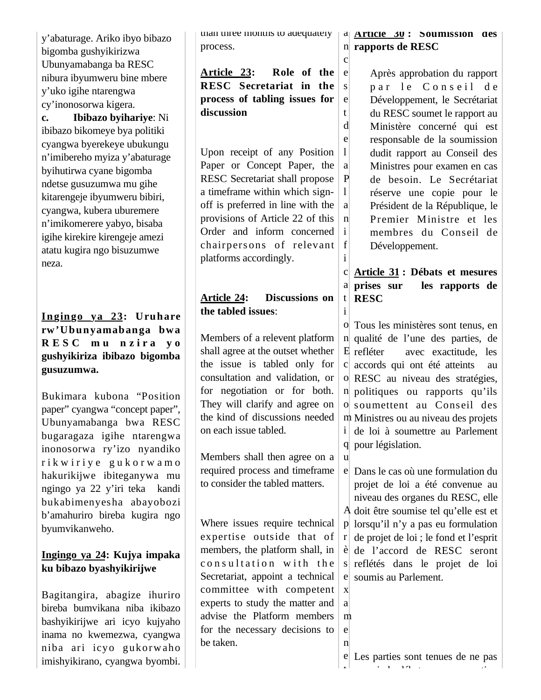y'abaturage. Ariko ibyo bibazo bigomba gushyikirizwa Ubunyamabanga ba RESC nibura ibyumweru bine mbere y'uko igihe ntarengwa cy'inonosorwa kigera.

**c. Ibibazo byihariye**: Ni ibibazo bikomeye bya politiki cyangwa byerekeye ubukungu n'imibereho myiza y'abaturage byihutirwa cyane bigomba ndetse gusuzumwa mu gihe kitarengeje ibyumweru bibiri, cyangwa, kubera uburemere n'imikomerere yabyo, bisaba igihe kirekire kirengeje amezi atatu kugira ngo bisuzumwe neza.

#### **Ingingo ya 23: Uruhare rw'Ubunyamabanga bwa R E S C m u n z i r a y o gushyikiriza ibibazo bigomba gusuzumwa.**

Bukimara kubona "Position paper" cyangwa "concept paper", Ubunyamabanga bwa RESC bugaragaza igihe ntarengwa inonosorwa ry'izo nyandiko r i k w i r i y e g u k o r w a m o hakurikijwe ibiteganywa mu ngingo ya 22 y'iri teka kandi bukabimenyesha abayobozi b'amahuriro bireba kugira ngo byumvikanweho.

### **Ingingo ya 24: Kujya impaka ku bibazo byashyikirijwe**

Bagitangira, abagize ihuriro bireba bumvikana niba ikibazo bashyikirijwe ari icyo kujyaho inama no kwemezwa, cyangwa niba ari icyo gukorw aho imishyikirano, cyangwa byombi. than three months to adequately process.

**Article 23: Role of the RESC Secretariat in the process of tabling issues for discussion** e

Upon receipt of any Position Paper or Concept Paper, the RESC Secretariat shall propose a timeframe within which signoff is preferred in line with the provisions of Article 22 of this Order and inform concerned chairpersons of relevant platforms accordingly.  $\mathbf{1}$ a P  $\mathbf{1}$ a n i f i

# **Article 24: Discussions on the tabled issues**:

Members of a relevent platform shall agree at the outset whether the issue is tabled only for consultation and validation, or for negotiation or for both. They will clarify and agree on the kind of discussions needed on each issue tabled.

Members shall then agree on a required process and timeframe to consider the tabled matters.

Where issues require technical expertise outside that of members, the platform shall, in consultation with the Secretariat, appoint a technical committee with competent experts to study the matter and advise the Platform members for the necessary decisions to be taken.

#### a **Article 30 : Soumission des rapports de RESC**

n c

s e t d e

i

x a m e n

Après approbation du rapport par le Conseil de Développement, le Secrétariat du RESC soumet le rapport au Ministère concerné qui est responsable de la soumission dudit rapport au Conseil des Ministres pour examen en cas de besoin. Le Secrétariat réserve une copie pour le Président de la République, le Premier Ministre et les membres du Conseil de Développement.

#### c **Article 31 : Débats et mesures**  a prises sur t **RESC**  les rapports de

o Tous les ministères sont tenus, en n qualité de l'une des parties, de E refléter c accords qui ont été atteints au o RESC au niveau des stratégies, n politiques ou rapports qu'ils o soumettent au Conseil des m Ministres ou au niveau des projets i de loi à soumettre au Parlement q pour législation. u avec exactitude, les

e Dans le cas où une formulation du A doit être soumise tel qu'elle est et p lorsqu'il n'y a pas eu formulation r è de l'accord de RESC seront s reflétés dans le projet de loi e soumis au Parlement. projet de loi a été convenue au niveau des organes du RESC, elle de projet de loi ; le fond et l'esprit

e Les parties sont tenues de ne pas t i la début de la component de la proponent de la component de la component de la component de la component de<br>La component de la component de la component de la component de la component de la component de la component d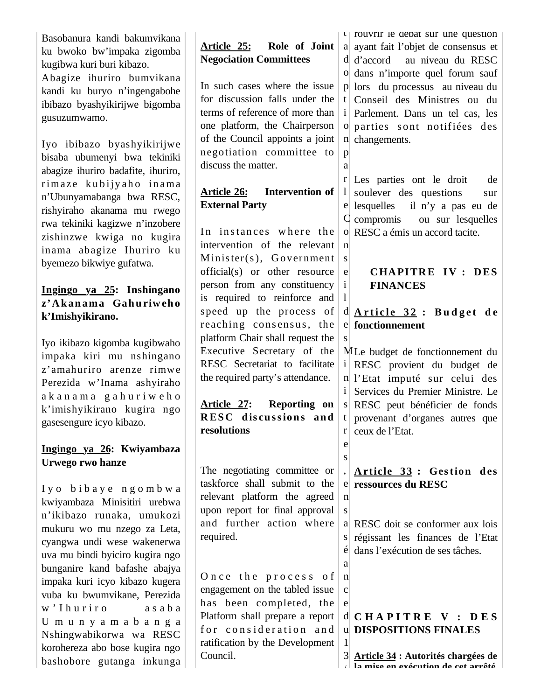Basobanura kandi bakumvikana ku bwoko bw'impaka zigomba kugibwa kuri buri kibazo. Abagize ihuriro bumvikana kandi ku buryo n'ingengabohe ibibazo byashyikirijwe bigomba gusuzumwamo.

Iyo ibibazo byashyikirijwe bisaba ubumenyi bwa tekiniki abagize ihuriro badafite, ihuriro, rimaze kubijyaho inama n'Ubunyamabanga bwa RESC, rishyiraho akanama mu rwego rwa tekiniki kagizwe n'inzobere zishinzwe kwiga no kugira inama abagize Ihuriro ku byemezo bikwiye gufatwa.

#### **Ingingo ya 25: Inshingano z'A k an ama Gah u riw eh o k'Imishyikirano.**

Iyo ikibazo kigomba kugibwaho impaka kiri mu nshingano z'amahuriro arenze rimwe Perezida w'Inama ashyiraho a k a n a m a g a h u r i w e h o k'imishyikirano kugira ngo gasesengure icyo kibazo.

#### **Ingingo ya 26: Kwiyambaza Urwego rwo hanze**

I y o b i b a y e n g o m b w a kwiyambaza Minisitiri urebwa n'ikibazo runaka, umukozi mukuru wo mu nzego za Leta, cyangwa undi wese wakenerwa uva mu bindi byiciro kugira ngo bunganire kand bafashe abajya impaka kuri icyo kibazo kugera vuba ku bwumvikane, Perezida w'I huriro asaba U m u n y a m a b a n g a Nshingwabikorwa wa RESC korohereza abo bose kugira ngo bashobore gutanga inkunga

# **Article 25: Role of Joint Negociation Committees**

In such cases where the issue for discussion falls under the terms of reference of more than one platform, the Chairperson of the Council appoints a joint negotiation committee to discuss the matter.

p a

 $1<sup>1</sup>$ 

n s e i l

s

e s ,

n s

a n c e

1

### **Article 26: Intervention of External Party**

In instances where the intervention of the relevant Minister(s), Government official(s) or other resource person from any constituency is required to reinforce and speed up the process of reaching consensus, the platform Chair shall request the Executive Secretary of the RESC Secretariat to facilitate the required party's attendance.

**Article 27: Reporting on RESC** discussions and **resolutions**

The negotiating committee or taskforce shall submit to the relevant platform the agreed upon report for final approval and further action where required.

Once the process of engagement on the tabled issue has been completed, the Platform shall prepare a report for consideration and ratification by the Development Council.

 $\iota$ | rouvrir le debat sur une question a ayant fait l'objet de consensus et d d'accord o dans n'importe quel forum sauf p lors du processus au niveau du t Conseil des Ministres ou du i o parties sont notifiées des n changements. au niveau du RESC Parlement. Dans un tel cas, les

r Les parties ont le droit de e lesquelles C compromis o RESC a émis un accord tacite. soulever des questions sur il n'y a pas eu de ou sur lesquelles

### **CHAPITRE IV : DES FINANCES**

### d **A r t i c l e 3 2 : B u d g e t d e**  e **fonctionnement**

M Le budget de fonctionnement du i RESC provient du budget de n l'Etat imputé sur celui des i Services du Premier Ministre. Le s RESC peut bénéficier de fonds t r ceux de l'Etat. provenant d'organes autres que

e **ressources du RESC A rticle 33 : Ges tion d es** 

a RESC doit se conformer aux lois s régissant les finances de l'Etat é dans l'exécution de ses tâches.

### d **C H A P I T R E V : D E S**  u **DISPOSITIONS FINALES**

3 **Article 34 : Autorités chargées de**  / **la mise en exécution de cet arrêté**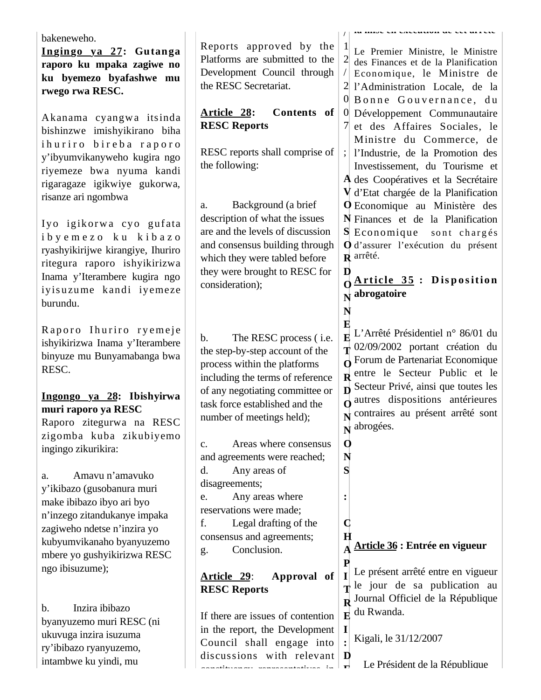| bakeneweho.                                                                                                                                                                                         |                                                                                                                                                                                |                                    |                                                                                                                                                                                                                                                                                                                           |
|-----------------------------------------------------------------------------------------------------------------------------------------------------------------------------------------------------|--------------------------------------------------------------------------------------------------------------------------------------------------------------------------------|------------------------------------|---------------------------------------------------------------------------------------------------------------------------------------------------------------------------------------------------------------------------------------------------------------------------------------------------------------------------|
| Ingingo ya 27: Gutanga<br>raporo ku mpaka zagiwe no<br>ku byemezo byafashwe mu<br>rwego rwa RESC.<br>Akanama cyangwa itsinda                                                                        | Reports approved by the<br>Platforms are submitted to the<br>Development Council through<br>the RESC Secretariat.<br>Article 28:<br>Contents of                                | 2                                  | Le Premier Ministre, le Ministre<br>des Finances et de la Planification<br>Economique, le Ministre de<br>2 l'Administration Locale, de la<br>0 Bonne Gouvernance, du<br>0 Développement Communautaire                                                                                                                     |
| bishinzwe imishyikirano biha<br>ihuriro bireba raporo<br>y'ibyumvikanyweho kugira ngo<br>riyemeze bwa nyuma kandi<br>rigaragaze igikwiye gukorwa,<br>risanze ari ngombwa<br>Iyo igikorwa cyo gufata | <b>RESC Reports</b><br>RESC reports shall comprise of<br>the following:<br>Background (a brief<br>a.<br>description of what the issues<br>are and the levels of discussion     | $\mathbf{C}$                       | 7 et des Affaires Sociales, le<br>Ministre du Commerce, de<br>l'Industrie, de la Promotion des<br>Investissement, du Tourisme et<br>A des Coopératives et la Secrétaire<br>V d'Etat chargée de la Planification<br><b>Q</b> Economique au Ministère des<br>N Finances et de la Planification<br>S Economique sont chargés |
| ibyemezo ku kibazo<br>ryashyikirijwe kirangiye, Ihuriro<br>ritegura raporo ishyikirizwa<br>Inama y'Iterambere kugira ngo<br>iyisuzume kandi iyemeze<br>burundu.<br>Raporo Ihuriro ryemeje           | and consensus building through<br>which they were tabled before<br>they were brought to RESC for<br>consideration);                                                            | D<br>N                             | O d'assurer l'exécution du présent<br>$\bf R$ arrêté.<br><b>Article 35: Disposition</b><br>$\overrightarrow{N}$ abrogatoire                                                                                                                                                                                               |
| ishyikirizwa Inama y'Iterambere<br>binyuze mu Bunyamabanga bwa<br>RESC.<br>Ingongo ya 28: Ibishyirwa                                                                                                | The RESC process ( <i>i.e.</i><br>b.<br>the step-by-step account of the<br>process within the platforms<br>including the terms of reference<br>of any negotiating committee or |                                    | $\mathbf{E}$ L'Arrêté Présidentiel n° 86/01 du<br>$\frac{1}{\sqrt{1}}$ 02/09/2002 portant création du<br>$\alpha$ Forum de Partenariat Economique<br>$\mathbf R$ entre le Secteur Public et le<br>$\mathbf{D}$ Secteur Privé, ainsi que toutes les                                                                        |
| muri raporo ya RESC<br>Raporo zitegurwa na RESC<br>zigomba kuba zikubiyemo<br>ingingo zikurikira:                                                                                                   | task force established and the<br>number of meetings held);<br>Areas where consensus<br>c.<br>and agreements were reached;                                                     | 0<br>N                             | $\Omega$ autres dispositions antérieures<br>v contraires au présent arrêté sont<br>$\mathbf{N}$ abrogées.                                                                                                                                                                                                                 |
| Amavu n'amavuko<br>a.<br>y'ikibazo (gusobanura muri<br>make ibibazo ibyo ari byo<br>n'inzego zitandukanye impaka<br>zagiweho ndetse n'inzira yo                                                     | Any areas of<br>d.<br>disagreements;<br>Any areas where<br>e.<br>reservations were made;<br>Legal drafting of the<br>f.<br>consensus and agreements;                           | S<br>C<br>H                        |                                                                                                                                                                                                                                                                                                                           |
| kubyumvikanaho byanyuzemo<br>mbere yo gushyikirizwa RESC<br>ngo ibisuzume);<br>Inzira ibibazo<br>$\mathbf b$ .                                                                                      | Conclusion.<br>g.<br>Article 29:<br>Approval of<br><b>RESC Reports</b>                                                                                                         | P                                  | Article 36 : Entrée en vigueur<br>Le présent arrêté entre en vigueur<br>$\mathbf{\tau}$ le jour de sa publication au<br>R Journal Officiel de la République                                                                                                                                                               |
| byanyuzemo muri RESC (ni<br>ukuvuga inzira isuzuma<br>ry'ibibazo ryanyuzemo,<br>intambwe ku yindi, mu                                                                                               | If there are issues of contention<br>in the report, the Development<br>Council shall engage into<br>discussions with relevant<br>atallica del cadadega alegadego de fa         | $\bf{E}$<br>$\mathbf{I}$<br>D<br>ъ | du Rwanda.<br>Kigali, le 31/12/2007<br>Le Président de la République                                                                                                                                                                                                                                                      |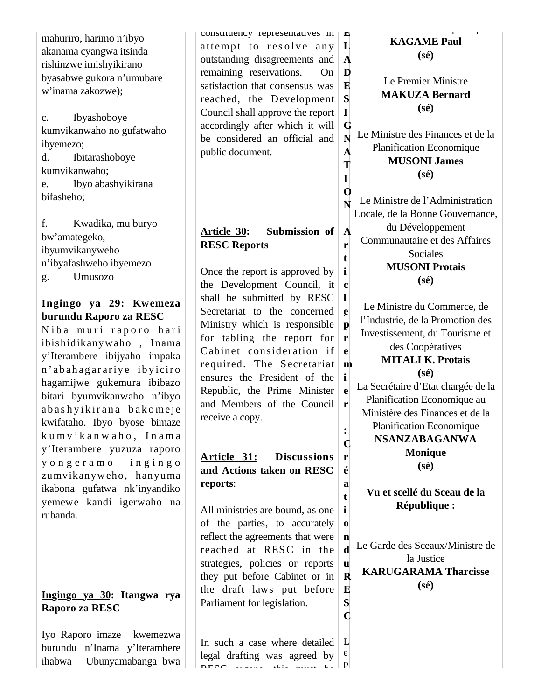| mahuriro, harimo n'ibyo<br>akanama cyangwa itsinda<br>rishinzwe imishyikirano<br>byasabwe gukora n'umubare<br>w'inama zakozwe);<br>Ibyashoboye<br>$\mathbf{c}$ .<br>kumvikanwaho no gufatwaho<br>ibyemezo;<br>Ibitarashoboye<br>d.<br>kumvikanwaho;<br>Ibyo abashyikirana<br>e.<br>bifasheho;                                                                                               | consumency representatives in $\  \mathbf{r} \ $<br>attempt to resolve any<br>outstanding disagreements and<br>remaining reservations.<br>On<br>satisfaction that consensus was<br>reached, the Development<br>Council shall approve the report<br>accordingly after which it will<br>be considered an official and<br>public document.                                           | $\mathbf L$<br>$\mathbf A$<br>D<br>$\bf E$<br>S<br>$\mathbf{I}$<br>G<br>N<br>$\overline{\mathbf{A}}$<br>T<br>$\Omega$        | <b>KAGAME Paul</b><br>$(s\acute{e})$<br>Le Premier Ministre<br><b>MAKUZA Bernard</b><br>$(s\acute{e})$<br>Le Ministre des Finances et de la<br><b>Planification Economique</b><br><b>MUSONI James</b><br>$(s\acute{e})$<br>Le Ministre de l'Administration                                                                                                                 |
|---------------------------------------------------------------------------------------------------------------------------------------------------------------------------------------------------------------------------------------------------------------------------------------------------------------------------------------------------------------------------------------------|-----------------------------------------------------------------------------------------------------------------------------------------------------------------------------------------------------------------------------------------------------------------------------------------------------------------------------------------------------------------------------------|------------------------------------------------------------------------------------------------------------------------------|----------------------------------------------------------------------------------------------------------------------------------------------------------------------------------------------------------------------------------------------------------------------------------------------------------------------------------------------------------------------------|
| f.<br>Kwadika, mu buryo<br>bw'amategeko,<br>ibyumvikanyweho<br>n'ibyafashweho ibyemezo<br>Umusozo<br>g.                                                                                                                                                                                                                                                                                     | Submission of<br>Article 30:<br><b>RESC Reports</b><br>Once the report is approved by<br>the Development Council, it                                                                                                                                                                                                                                                              | $\mathbf A$<br>r<br>t<br>$\bf c$                                                                                             | Locale, de la Bonne Gouvernance,<br>du Développement<br>Communautaire et des Affaires<br>Sociales<br><b>MUSONI Protais</b><br>$(s\acute{e})$                                                                                                                                                                                                                               |
| Ingingo ya 29: Kwemeza<br>burundu Raporo za RESC<br>Niba muri raporo hari<br>ibishidikanywaho, Inama<br>y'Iterambere ibijyaho impaka<br>n'abahagarariye ibyiciro<br>hagamijwe gukemura ibibazo<br>bitari byumvikanwaho n'ibyo<br>abashyikirana bakomeje<br>kwifataho. Ibyo byose bimaze<br>kumvikanwaho, Inama<br>y'Iterambere yuzuza raporo<br>yongeramo ingingo<br>zumvikanyweho, hanyuma | shall be submitted by RESC<br>Secretariat to the concerned<br>Ministry which is responsible<br>for tabling the report for<br>Cabinet consideration if<br>required. The Secretariat<br>ensures the President of the<br>Republic, the Prime Minister<br>and Members of the Council<br>receive a copy.<br>Article 31:<br><b>Discussions</b><br>and Actions taken on RESC<br>reports: | ${\bf e}$<br>$\mathbf{p}$<br>$\mathbf{r}$<br>$\mathbf{e}$<br>m<br>$\mathbf{i}$<br>e<br>$\mathbf{r}$<br>$\mathbf C$<br>r<br>é | Le Ministre du Commerce, de<br>l'Industrie, de la Promotion des<br>Investissement, du Tourisme et<br>des Coopératives<br><b>MITALI K. Protais</b><br>$(s\acute{e})$<br>La Secrétaire d'Etat chargée de la<br>Planification Economique au<br>Ministère des Finances et de la<br><b>Planification Economique</b><br><b>NSANZABAGANWA</b><br><b>Monique</b><br>$(s\acute{e})$ |
| ikabona gufatwa nk'inyandiko<br>yemewe kandi igerwaho na<br>rubanda.                                                                                                                                                                                                                                                                                                                        | All ministries are bound, as one<br>of the parties, to accurately<br>reflect the agreements that were<br>reached at RESC in the<br>strategies, policies or reports<br>they put before Cabinet or in                                                                                                                                                                               | a<br>t<br>i<br>$\bf{0}$<br>n<br>$\mathbf{h}$<br>u<br>R                                                                       | Vu et scellé du Sceau de la<br><b>République:</b><br>Le Garde des Sceaux/Ministre de<br>la Justice<br><b>KARUGARAMA Tharcisse</b>                                                                                                                                                                                                                                          |
| Ingingo ya 30: Itangwa rya<br>Raporo za RESC                                                                                                                                                                                                                                                                                                                                                | the draft laws put before<br>Parliament for legislation.                                                                                                                                                                                                                                                                                                                          | E<br>${\bf S}$<br>$\mathbf C$                                                                                                | $(s\acute{e})$                                                                                                                                                                                                                                                                                                                                                             |
| Iyo Raporo imaze<br>kwemezwa<br>burundu n'Inama y'Iterambere<br>ihabwa<br>Ubunyamabanga bwa                                                                                                                                                                                                                                                                                                 | In such a case where detailed<br>legal drafting was agreed by<br>$\overline{D} \overline{D} \overline{D} \overline{D} \overline{D}$                                                                                                                                                                                                                                               | L<br>e<br> p                                                                                                                 |                                                                                                                                                                                                                                                                                                                                                                            |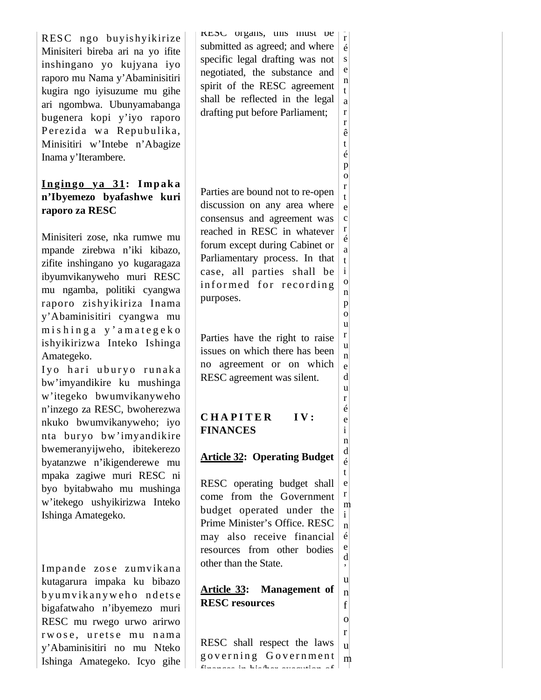RESC ngo buyishyikirize Minisiteri bireba ari na yo ifite inshingano yo kujyana iyo raporo mu Nama y'Abaminisitiri kugira ngo iyisuzume mu gihe ari ngombwa. Ubunyamabanga bugenera kopi y'iyo raporo Perezida wa Repubulika, Minisitiri w'Intebe n'Abagize Inama y'Iterambere.

#### **I n gin go ya 31: I mp ak a n'Ibyemezo byafashwe kuri raporo za RESC**

Minisiteri zose, nka rumwe mu mpande zirebwa n'iki kibazo, zifite inshingano yo kugaragaza ibyumvikanyweho muri RESC mu ngamba, politiki cyangwa raporo zishyikiriza Inama y'Abaminisitiri cyangwa mu m is h inga y'amategeko ishyikirizwa Inteko Ishinga Amategeko.

Iyo hari uburyo runaka bw'imyandikire ku mushinga w'itegeko bwumvikanyweho n'inzego za RESC, bwoherezwa nkuko bwumvikanyweho; iyo nta buryo bw'imyandikire bwemeranyijweho, ibitekerezo byatanzwe n'ikigenderewe mu mpaka zagiwe muri RESC ni byo byitabwaho mu mushinga w'itekego ushyikirizwa Inteko Ishinga Amategeko.

Impande zose zumvikana kutagarura impaka ku bibazo b yu m v ik an y w eho ndets e bigafatwaho n'ibyemezo muri RESC mu rwego urwo arirwo rwose, uretse mu nama y'Abaminisitiri no mu Nteko Ishinga Amategeko. Icyo gihe RESC organs, this must be submitted as agreed; and where specific legal drafting was not negotiated, the substance and spirit of the RESC agreement shall be reflected in the legal drafting put before Parliament; r é s e n t a r r

> ê t é p o r t

o n

o u r u n e d u r é e i n d é

o

Parties are bound not to re-open discussion on any area where consensus and agreement was reached in RESC in whatever forum except during Cabinet or Parliamentary process. In that case, all parties shall be informed for recording purposes. e c r é a t i p

Parties have the right to raise issues on which there has been no agreement or on which RESC agreement was silent.

# CHAPITER IV: **FINANCES**

# **Article 32: Operating Budget**

RESC operating budget shall come from the Government budget operated under the Prime Minister's Office. RESC may also receive financial resources from other bodies other than the State. t e r m i n é e d '

**Article 33: Management of RESC resources** u n f

RESC shall respect the laws governing Government finances in his/her execution of r u m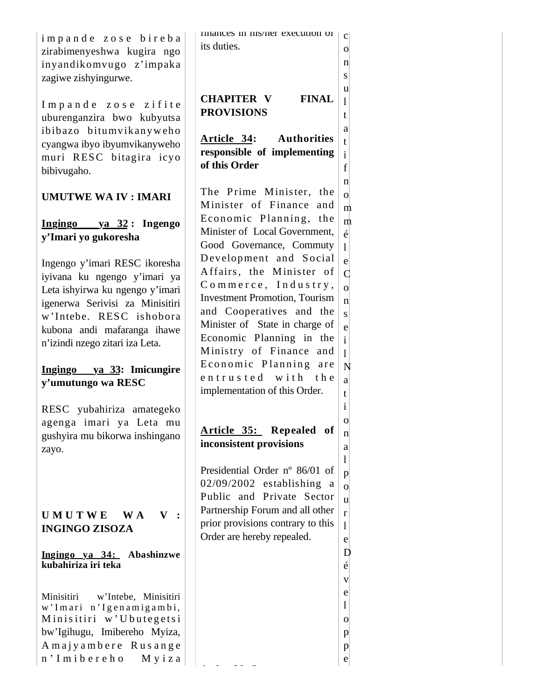|                                    | nnances in mis/ner execution of       | $\mathbf{C}$       |
|------------------------------------|---------------------------------------|--------------------|
| impande zose bireba                | its duties.                           |                    |
| zirabimenyeshwa kugira ngo         |                                       | $\overline{O}$     |
| inyandikomvugo z'impaka            |                                       | n                  |
| zagiwe zishyingurwe.               |                                       | S                  |
|                                    |                                       |                    |
|                                    | <b>CHAPITER V</b><br><b>FINAL</b>     | u                  |
| Impande zose zifite                |                                       | $\mathbf{1}$       |
| uburenganzira bwo kubyutsa         | <b>PROVISIONS</b>                     | t                  |
|                                    |                                       | a                  |
| ibibazo bitumvikanyweho            | Article 34: Authorities               |                    |
| cyangwa ibyo ibyumvikanyweho       |                                       | t                  |
| muri RESC bitagira icyo            | responsible of implementing           | $\mathbf{i}$       |
| bibivugaho.                        | of this Order                         | f                  |
|                                    |                                       | $\mathbf n$        |
|                                    | The Prime Minister, the               | $\mathbf{o}$       |
| <b>UMUTWE WA IV: IMARI</b>         | Minister of Finance and               |                    |
|                                    |                                       | m                  |
| $Ingingo ya 32 : Ingengo$          | Economic Planning, the                | m                  |
|                                    | Minister of Local Government,         | $\acute{\rm e}$    |
| y'Imari yo gukoresha               | Good Governance, Commuty              | $\mathbf{1}$       |
|                                    |                                       |                    |
| Ingengo y'imari RESC ikoresha      | Development and Social                | e                  |
| iyivana ku ngengo y'imari ya       | Affairs, the Minister of              | $\overline{C}$     |
|                                    | Commerce, Industry,                   | $\overline{O}$     |
| Leta ishyirwa ku ngengo y'imari    | <b>Investment Promotion</b> , Tourism | $\mathbf{n}$       |
| igenerwa Serivisi za Minisitiri    |                                       |                    |
| w'Intebe. RESC ishobora            | and Cooperatives and the              | $\mathbf S$        |
| kubona andi mafaranga ihawe        | Minister of State in charge of        | e                  |
| n'izindi nzego zitari iza Leta.    | Economic Planning in the              | $\mathbf{i}$       |
|                                    | Ministry of Finance and               | $\mathbf{1}$       |
|                                    | Economic Planning are                 |                    |
| Ingingo ya 33: Imicungire          | entrusted with the                    | N                  |
| y'umutungo wa RESC                 |                                       | a                  |
|                                    | implementation of this Order.         | t                  |
| RESC yubahiriza amategeko          |                                       | $\mathbf{i}$       |
|                                    |                                       |                    |
| agenga imari ya Leta mu            | Article 35: Repealed of               | $\mathbf{O}$       |
| gushyira mu bikorwa inshingano     |                                       | $\mathbf n$        |
| zayo.                              | inconsistent provisions               | a                  |
|                                    |                                       | 1                  |
|                                    | Presidential Order n° 86/01 of        | p                  |
|                                    | $02/09/2002$ establishing a           |                    |
|                                    | Public and Private Sector             | $\overline{O}$     |
|                                    |                                       | u                  |
| UMUTWE<br>W A<br>V                 | Partnership Forum and all other       | r                  |
| <b>INGINGO ZISOZA</b>              | prior provisions contrary to this     | 1                  |
|                                    | Order are hereby repealed.            | e                  |
|                                    |                                       |                    |
| Ingingo ya 34: Abashinzwe          |                                       | D                  |
| kubahiriza iri teka                |                                       | $\acute{\text{e}}$ |
|                                    |                                       | V                  |
|                                    |                                       | e                  |
| Minisitiri<br>w'Intebe, Minisitiri |                                       | 1                  |
| w'Imari n'Igenamigambi,            |                                       |                    |
| Minisitiri w'Ubutegetsi            |                                       | $\Omega$           |
| bw'Igihugu, Imibereho Myiza,       |                                       | $\mathbf{p}$       |
| Amajyambere Rusange                |                                       | p                  |
| n'Imibereho<br>Myiza               |                                       | e                  |
|                                    |                                       |                    |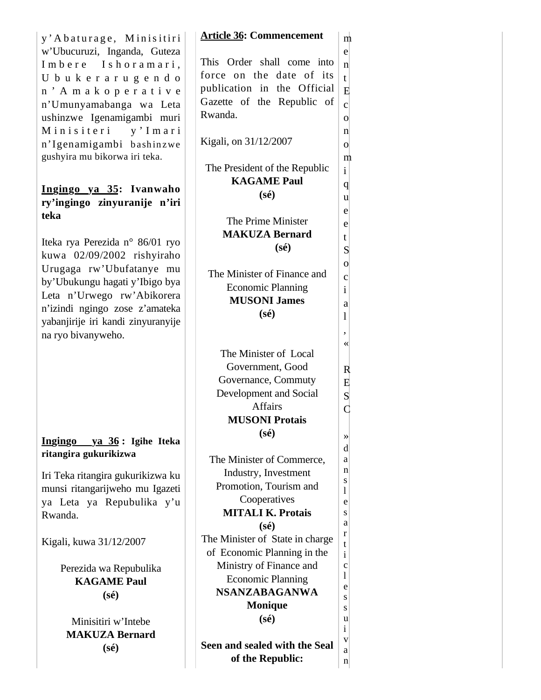| y'Abaturage, Minisitiri            | <b>Article 36: Commencement</b> | m                           |
|------------------------------------|---------------------------------|-----------------------------|
| w'Ubucuruzi, Inganda, Guteza       |                                 | e                           |
| Imbere Ishoramari,                 | This Order shall come into      | $\mathbf n$                 |
| U b u k e r a r u g e n d o        | force on the date of its        | $\mathfrak{t}$              |
| n' Amakoperative                   | publication in the Official     | Ε                           |
| n'Umunyamabanga wa Leta            | Gazette of the Republic of      | $\mathbf{c}$                |
| ushinzwe Igenamigambi muri         | Rwanda.                         | $\mathbf{o}$                |
| Minisiteri<br>y'Imari              |                                 | n                           |
| n'Igenamigambi bashinzwe           | Kigali, on 31/12/2007           | $\mathbf{o}$                |
| gushyira mu bikorwa iri teka.      |                                 | m                           |
|                                    | The President of the Republic   | $\mathbf{i}$                |
|                                    | <b>KAGAME Paul</b>              | $\mathbf{q}$                |
| Ingingo ya 35: Ivanwaho            | $(s\acute{e})$                  | u                           |
| ry'ingingo zinyuranije n'iri       |                                 | e                           |
| teka                               | The Prime Minister              |                             |
|                                    | <b>MAKUZA Bernard</b>           | e                           |
| Iteka rya Perezida n° 86/01 ryo    | $(s\acute{e})$                  | t<br>S                      |
| kuwa 02/09/2002 rishyiraho         |                                 |                             |
| Urugaga rw'Ubufatanye mu           | The Minister of Finance and     | $\mathbf 0$                 |
| by'Ubukungu hagati y'Ibigo bya     | <b>Economic Planning</b>        | $\mathbf c$<br>$\mathbf{i}$ |
| Leta n'Urwego rw'Abikorera         | <b>MUSONI James</b>             |                             |
| n'izindi ngingo zose z'amateka     | $(s\acute{e})$                  | a                           |
| yabanjirije iri kandi zinyuranyije |                                 | 1                           |
| na ryo bivanyweho.                 |                                 | ,                           |
|                                    | The Minister of Local           | ≪                           |
|                                    | Government, Good                |                             |
|                                    |                                 | R                           |
|                                    | Governance, Commuty             | E                           |
|                                    | Development and Social          | S<br>C                      |
|                                    | <b>Affairs</b>                  |                             |
|                                    | <b>MUSONI Protais</b>           |                             |
| Ingingo ya 36: Igihe Iteka         | $(s\acute{e})$                  | »                           |
| ritangira gukurikizwa              |                                 | d                           |
|                                    | The Minister of Commerce,       | a                           |
| Iri Teka ritangira gukurikizwa ku  | Industry, Investment            | n<br>S                      |
| munsi ritangarijweho mu Igazeti    | Promotion, Tourism and          | 1                           |
| ya Leta ya Repubulika y'u          | Cooperatives                    | e                           |
| Rwanda.                            | <b>MITALI K. Protais</b>        | S                           |
|                                    | $(s\acute{e})$                  | а<br>r                      |
| Kigali, kuwa 31/12/2007            | The Minister of State in charge | t                           |
|                                    | of Economic Planning in the     | $\mathbf{i}$                |
| Perezida wa Repubulika             | Ministry of Finance and         | $\mathbf c$                 |
| <b>KAGAME Paul</b>                 | <b>Economic Planning</b>        | 1                           |
| $(s\acute{e})$                     | <b>NSANZABAGANWA</b>            | e<br>S                      |
|                                    | <b>Monique</b>                  | S                           |
| Minisitiri w'Intebe                | $(s\acute{e})$                  | u                           |
| <b>MAKUZA Bernard</b>              |                                 | $\mathbf{i}$                |
| $(s\acute{e})$                     | Seen and sealed with the Seal   | V                           |
|                                    | of the Republic:                | a<br>n                      |
|                                    |                                 |                             |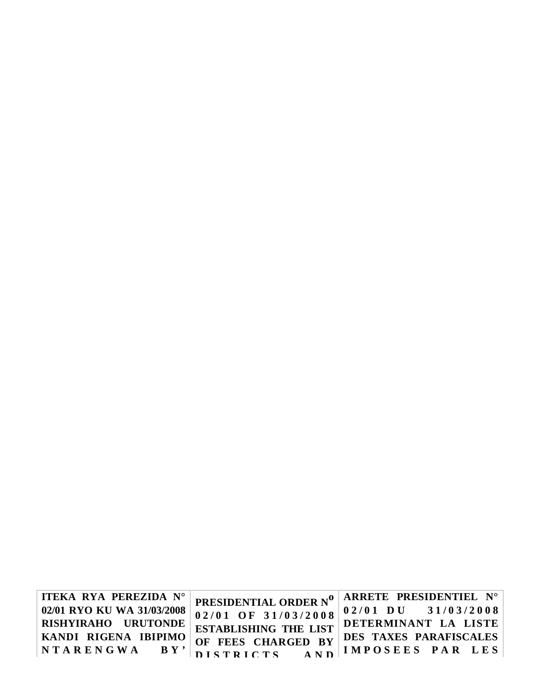| ITEKA RYA PEREZIDA N°      | <b>PRESIDENTIAL ORDER Nº   ARRETE PRESIDENTIEL N°</b>                                                                                                                            |
|----------------------------|----------------------------------------------------------------------------------------------------------------------------------------------------------------------------------|
| 02/01 RYO KU WA 31/03/2008 | 02/01 OF 31/03/2008 $0.2/01$ DU 31/03/2008                                                                                                                                       |
|                            |                                                                                                                                                                                  |
|                            |                                                                                                                                                                                  |
|                            | RISHYIRAHO URUTONDE ESTABLISHING THE LIST DETERMINANT LA LISTE<br>KANDI RIGENA IBIPIMO OF FEES CHARGED BY DES TAXES PARAFISCALES<br>NTARENGWA BY' DISTRICTS AND IMPOSEES PAR LES |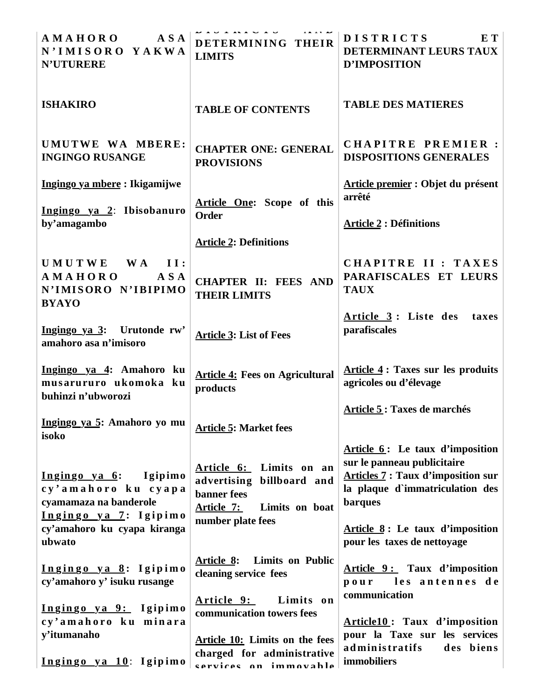| <b>AMAHORO</b><br>A S A<br>N'IMISORO YAKWA<br><b>N'UTURERE</b>                                                                              | <b><i>DIDIMIVID</i></b><br>DETERMINING THEIR<br><b>LIMITS</b>                                                                   | <b>DISTRICTS</b><br>E T<br>DETERMINANT LEURS TAUX<br><b>D'IMPOSITION</b>                                                                                                                                                   |
|---------------------------------------------------------------------------------------------------------------------------------------------|---------------------------------------------------------------------------------------------------------------------------------|----------------------------------------------------------------------------------------------------------------------------------------------------------------------------------------------------------------------------|
| <b>ISHAKIRO</b>                                                                                                                             | <b>TABLE OF CONTENTS</b>                                                                                                        | <b>TABLE DES MATIERES</b>                                                                                                                                                                                                  |
| UMUTWE WA MBERE:<br><b>INGINGO RUSANGE</b>                                                                                                  | <b>CHAPTER ONE: GENERAL</b><br><b>PROVISIONS</b>                                                                                | CHAPITRE PREMIER :<br><b>DISPOSITIONS GENERALES</b>                                                                                                                                                                        |
| Ingingo ya mbere: Ikigamijwe<br>Ingingo ya 2: Ibisobanuro                                                                                   | Article One: Scope of this                                                                                                      | Article premier : Objet du présent<br>arrêté                                                                                                                                                                               |
| by'amagambo                                                                                                                                 | <b>Order</b><br><b>Article 2: Definitions</b>                                                                                   | <b>Article 2 : Définitions</b>                                                                                                                                                                                             |
| UMUTWE WA<br>II:<br><b>AMAHORO</b><br>A S A<br>N'IMISORO N'IBIPIMO<br><b>BYAYO</b>                                                          | <b>CHAPTER II: FEES AND</b><br><b>THEIR LIMITS</b>                                                                              | CHAPITRE II : TAXES<br>PARAFISCALES ET LEURS<br><b>TAUX</b>                                                                                                                                                                |
| Ingingo ya 3: Urutonde rw'<br>amahoro asa n'imisoro                                                                                         | <b>Article 3: List of Fees</b>                                                                                                  | Article 3: Liste des<br>taxes<br>parafiscales                                                                                                                                                                              |
| Ingingo ya 4: Amahoro ku<br>musarururo ukomoka ku<br>buhinzi n'ubworozi                                                                     | <b>Article 4: Fees on Agricultural</b><br>products                                                                              | Article 4: Taxes sur les produits<br>agricoles ou d'élevage                                                                                                                                                                |
| Ingingo ya 5: Amahoro yo mu<br>isoko                                                                                                        | <b>Article 5: Market fees</b>                                                                                                   | Article 5 : Taxes de marchés                                                                                                                                                                                               |
| Ingingo ya 6:<br>Igipimo<br>cy'amahoro ku cyapa<br>cyamamaza na banderole<br>Ingingo ya 7: Igipimo<br>cy'amahoro ku cyapa kiranga<br>ubwato | Article 6: Limits on an<br>advertising billboard and<br><b>banner</b> fees<br>Article 7:<br>Limits on boat<br>number plate fees | Article 6: Le taux d'imposition<br>sur le panneau publicitaire<br><b>Articles 7: Taux d'imposition sur</b><br>la plaque d'immatriculation des<br>barques<br>Article 8: Le taux d'imposition<br>pour les taxes de nettoyage |
| Ingingo ya 8: Igipimo<br>cy'amahoro y' isuku rusange                                                                                        | <b>Limits on Public</b><br><b>Article 8:</b><br>cleaning service fees                                                           | Article 9: Taux d'imposition<br>pour les antennes de                                                                                                                                                                       |
| Ingingo ya 9: Igipimo<br>cy'amahoro ku minara                                                                                               | Article 9:<br>Limits on<br>communication towers fees                                                                            | communication<br>Article10: Taux d'imposition                                                                                                                                                                              |
| y'itumanaho<br>Ingingo ya 10: Igipimo                                                                                                       | <b>Article 10:</b> Limits on the fees<br>charged for administrative<br>cervices on immovable                                    | pour la Taxe sur les services<br>administratifs<br>des biens<br><i>immobiliers</i>                                                                                                                                         |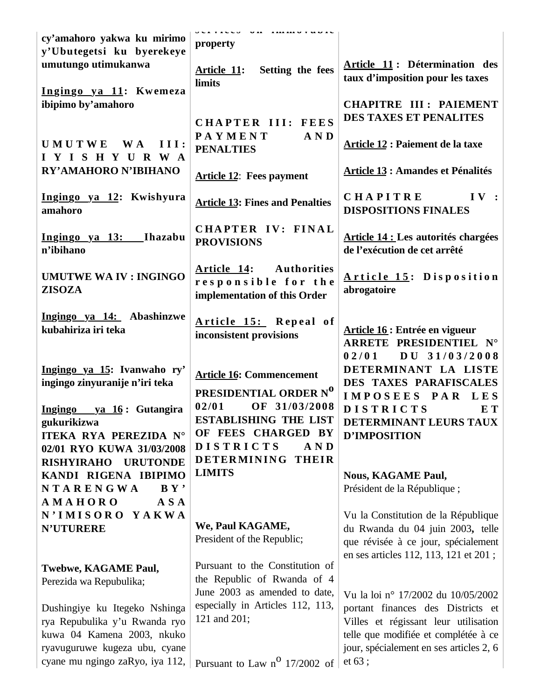| cy'amahoro yakwa ku mirimo<br>y'Ubutegetsi ku byerekeye                                                                                                          | $U$ vi $V$ iv video $V$<br>$\overline{\mathbf{u}}$ as<br>property                 |                                                                                                                                                                                                              |
|------------------------------------------------------------------------------------------------------------------------------------------------------------------|-----------------------------------------------------------------------------------|--------------------------------------------------------------------------------------------------------------------------------------------------------------------------------------------------------------|
| umutungo utimukanwa<br>Ingingo ya 11: Kwemeza                                                                                                                    | Setting the fees<br>Article 11:<br><b>limits</b>                                  | Article 11: Détermination des<br>taux d'imposition pour les taxes                                                                                                                                            |
| ibipimo by'amahoro                                                                                                                                               | CHAPTER III: FEES                                                                 | <b>CHAPITRE III : PAIEMENT</b><br>DES TAXES ET PENALITES                                                                                                                                                     |
| UMUTWE WA<br>III:<br>IYISHYURWA                                                                                                                                  | <b>PAYMENT</b><br>AND<br><b>PENALTIES</b>                                         | Article 12 : Paiement de la taxe                                                                                                                                                                             |
| RY'AMAHORO N'IBIHANO                                                                                                                                             | <b>Article 12: Fees payment</b>                                                   | <b>Article 13 : Amandes et Pénalités</b>                                                                                                                                                                     |
| Ingingo ya 12: Kwishyura<br>amahoro                                                                                                                              | <b>Article 13: Fines and Penalties</b>                                            | <b>CHAPITRE</b><br>IV :<br><b>DISPOSITIONS FINALES</b>                                                                                                                                                       |
| Ingingo ya 13:<br>Ihazabu<br>n'ibihano                                                                                                                           | CHAPTER IV: FINAL<br><b>PROVISIONS</b>                                            | <b>Article 14 : Les autorités chargées</b><br>de l'exécution de cet arrêté                                                                                                                                   |
| <b>UMUTWE WA IV: INGINGO</b><br><b>ZISOZA</b>                                                                                                                    | Article 14: Authorities<br>responsible for the<br>implementation of this Order    | Article 15: Disposition<br>abrogatoire                                                                                                                                                                       |
| Ingingo ya 14: Abashinzwe<br>kubahiriza iri teka                                                                                                                 | Article 15: Repeal of<br>inconsistent provisions                                  | Article 16 : Entrée en vigueur<br>ARRETE PRESIDENTIEL N°<br>02/01                                                                                                                                            |
|                                                                                                                                                                  |                                                                                   | $DU$ 31/03/2008                                                                                                                                                                                              |
| Ingingo ya 15: Ivanwaho ry'<br>ingingo zinyuranije n'iri teka                                                                                                    | <b>Article 16: Commencement</b><br>PRESIDENTIAL ORDER Nº                          | DETERMINANT LA LISTE<br>DES TAXES PARAFISCALES<br>IMPOSEES PAR LES                                                                                                                                           |
| Ingingo ya 16: Gutangira<br>gukurikizwa<br>ITEKA RYA PEREZIDA N°                                                                                                 | 02/01<br>OF 31/03/2008<br><b>ESTABLISHING THE LIST</b><br>OF FEES CHARGED BY      | <b>DISTRICTS</b><br>E T<br>DETERMINANT LEURS TAUX<br>D'IMPOSITION                                                                                                                                            |
| 02/01 RYO KUWA 31/03/2008<br><b>URUTONDE</b><br><b>RISHYIRAHO</b>                                                                                                | <b>DISTRICTS</b><br>A N D<br><b>DETERMINING</b><br><b>THEIR</b>                   |                                                                                                                                                                                                              |
| KANDI RIGENA IBIPIMO<br>NTARENGWA<br>BY'                                                                                                                         | <b>LIMITS</b>                                                                     | <b>Nous, KAGAME Paul,</b><br>Président de la République;                                                                                                                                                     |
| <b>AMAHORO</b><br>A S A<br><b>N'IMISORO</b><br>YAKWA<br><b>N'UTURERE</b>                                                                                         | We, Paul KAGAME,<br>President of the Republic;                                    | Vu la Constitution de la République<br>du Rwanda du 04 juin 2003, telle<br>que révisée à ce jour, spécialement                                                                                               |
| Twebwe, KAGAME Paul,<br>Perezida wa Repubulika;                                                                                                                  | Pursuant to the Constitution of<br>the Republic of Rwanda of 4                    | en ses articles 112, 113, 121 et 201;                                                                                                                                                                        |
| Dushingiye ku Itegeko Nshinga<br>rya Repubulika y'u Rwanda ryo<br>kuwa 04 Kamena 2003, nkuko<br>ryavuguruwe kugeza ubu, cyane<br>cyane mu ngingo zaRyo, iya 112, | June 2003 as amended to date,<br>especially in Articles 112, 113,<br>121 and 201; | Vu la loi nº 17/2002 du 10/05/2002<br>portant finances des Districts et<br>Villes et régissant leur utilisation<br>telle que modifiée et complétée à ce<br>jour, spécialement en ses articles 2, 6<br>et 63; |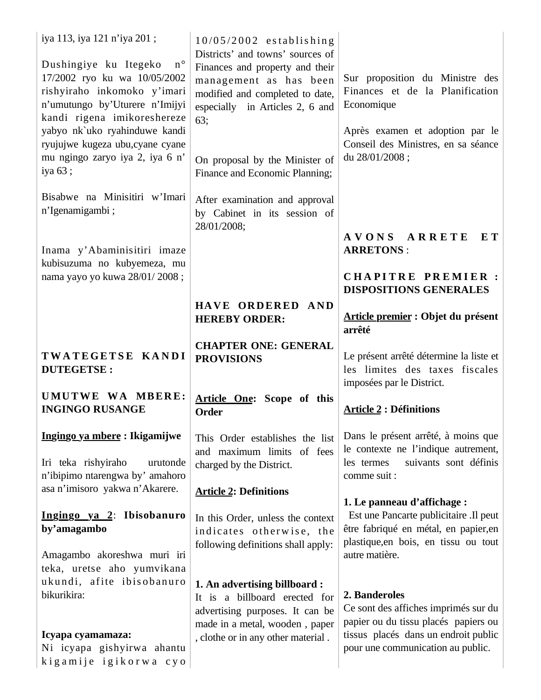| iya 113, iya 121 n'iya 201;<br>$\,$ n $^{\circ}$<br>Dushingiye ku Itegeko<br>17/2002 ryo ku wa 10/05/2002<br>rishyiraho inkomoko y'imari<br>n'umutungo by'Uturere n'Imijyi<br>kandi rigena imikoreshereze<br>yabyo nk`uko ryahinduwe kandi<br>ryujujwe kugeza ubu,cyane cyane<br>mu ngingo zaryo iya 2, iya 6 n'<br>iya 63; | $10/05/2002$ establishing<br>Districts' and towns' sources of<br>Finances and property and their<br>management as has been<br>modified and completed to date,<br>especially in Articles 2, 6 and<br>63;<br>On proposal by the Minister of<br>Finance and Economic Planning; | Sur proposition du Ministre des<br>Finances et de la Planification<br>Economique<br>Après examen et adoption par le<br>Conseil des Ministres, en sa séance<br>du 28/01/2008; |
|-----------------------------------------------------------------------------------------------------------------------------------------------------------------------------------------------------------------------------------------------------------------------------------------------------------------------------|-----------------------------------------------------------------------------------------------------------------------------------------------------------------------------------------------------------------------------------------------------------------------------|------------------------------------------------------------------------------------------------------------------------------------------------------------------------------|
| Bisabwe na Minisitiri w'Imari<br>n'Igenamigambi;                                                                                                                                                                                                                                                                            | After examination and approval<br>by Cabinet in its session of<br>28/01/2008;                                                                                                                                                                                               |                                                                                                                                                                              |
| Inama y'Abaminisitiri imaze<br>kubisuzuma no kubyemeza, mu                                                                                                                                                                                                                                                                  |                                                                                                                                                                                                                                                                             | AVONS ARRETE<br>E T<br><b>ARRETONS:</b>                                                                                                                                      |
| nama yayo yo kuwa 28/01/2008;                                                                                                                                                                                                                                                                                               |                                                                                                                                                                                                                                                                             | <b>CHAPITRE PREMIER:</b><br><b>DISPOSITIONS GENERALES</b>                                                                                                                    |
|                                                                                                                                                                                                                                                                                                                             | HAVE ORDERED AND<br><b>HEREBY ORDER:</b>                                                                                                                                                                                                                                    | Article premier : Objet du présent<br>arrêté                                                                                                                                 |
| TWATEGETSE KANDI<br><b>DUTEGETSE:</b>                                                                                                                                                                                                                                                                                       | <b>CHAPTER ONE: GENERAL</b><br><b>PROVISIONS</b>                                                                                                                                                                                                                            | Le présent arrêté détermine la liste et<br>les limites des taxes fiscales<br>imposées par le District.                                                                       |
| UMUTWE WA MBERE:<br><b>INGINGO RUSANGE</b>                                                                                                                                                                                                                                                                                  | Article One: Scope of this<br>Order                                                                                                                                                                                                                                         | <b>Article 2 : Définitions</b>                                                                                                                                               |
| Ingingo ya mbere : Ikigamijwe<br>Iri teka rishyiraho<br>urutonde<br>n'ibipimo ntarengwa by' amahoro                                                                                                                                                                                                                         | This Order establishes the list<br>and maximum limits of fees<br>charged by the District.                                                                                                                                                                                   | Dans le présent arrêté, à moins que<br>le contexte ne l'indique autrement,<br>suivants sont définis<br>les termes<br>comme suit :                                            |
| asa n'imisoro yakwa n'Akarere.                                                                                                                                                                                                                                                                                              | <b>Article 2: Definitions</b>                                                                                                                                                                                                                                               | 1. Le panneau d'affichage :                                                                                                                                                  |
| Ingingo ya 2: Ibisobanuro<br>by'amagambo                                                                                                                                                                                                                                                                                    | In this Order, unless the context<br>indicates otherwise, the                                                                                                                                                                                                               | Est une Pancarte publicitaire .Il peut<br>être fabriqué en métal, en papier,en<br>plastique, en bois, en tissu ou tout                                                       |
| Amagambo akoreshwa muri iri<br>teka, uretse aho yumvikana                                                                                                                                                                                                                                                                   | following definitions shall apply:                                                                                                                                                                                                                                          | autre matière.                                                                                                                                                               |
| ukundi, afite ibisobanuro<br>bikurikira:                                                                                                                                                                                                                                                                                    | 1. An advertising billboard:<br>It is a billboard erected for<br>advertising purposes. It can be<br>made in a metal, wooden, paper                                                                                                                                          | 2. Banderoles<br>Ce sont des affiches imprimés sur du<br>papier ou du tissu placés papiers ou                                                                                |
| Icyapa cyamamaza:<br>Ni icyapa gishyirwa ahantu<br>kigamije igikorwa cyo                                                                                                                                                                                                                                                    | , clothe or in any other material.                                                                                                                                                                                                                                          | tissus placés dans un endroit public<br>pour une communication au public.                                                                                                    |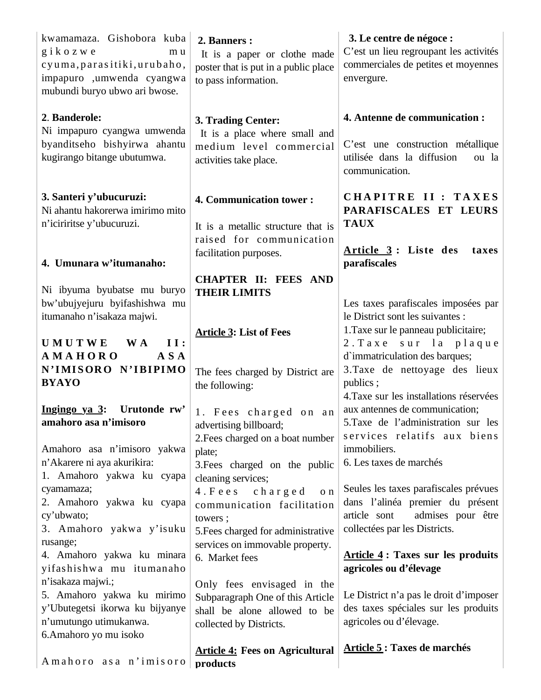| kwamamaza. Gishobora kuba<br>$g$ i $k$ o $z$ w $e$<br>m u<br>cyuma, parasitiki, urubaho,<br>impapuro ,umwenda cyangwa<br>mubundi buryo ubwo ari bwose. | 2. Banners :<br>It is a paper or clothe made<br>poster that is put in a public place<br>to pass information.              | 3. Le centre de négoce :<br>C'est un lieu regroupant les activités<br>commerciales de petites et moyennes<br>envergure.     |
|--------------------------------------------------------------------------------------------------------------------------------------------------------|---------------------------------------------------------------------------------------------------------------------------|-----------------------------------------------------------------------------------------------------------------------------|
| 2. Banderole:<br>Ni impapuro cyangwa umwenda<br>byanditseho bishyirwa ahantu<br>kugirango bitange ubutumwa.                                            | 3. Trading Center:<br>It is a place where small and<br>medium level commercial<br>activities take place.                  | 4. Antenne de communication :<br>C'est une construction métallique<br>utilisée dans la diffusion<br>ou la<br>communication. |
| 3. Santeri y'ubucuruzi:<br>Ni ahantu hakorerwa imirimo mito<br>n'iciriritse y'ubucuruzi.                                                               | 4. Communication tower:<br>It is a metallic structure that is<br>raised for communication                                 | CHAPITRE II : TAXES<br>PARAFISCALES ET LEURS<br><b>TAUX</b><br>Article 3: Liste des<br>taxes                                |
| 4. Umunara w'itumanaho:                                                                                                                                | facilitation purposes.                                                                                                    | parafiscales                                                                                                                |
| Ni ibyuma byubatse mu buryo<br>bw'ubujyejuru byifashishwa mu<br>itumanaho n'isakaza majwi.                                                             | <b>CHAPTER II: FEES AND</b><br><b>THEIR LIMITS</b><br><b>Article 3: List of Fees</b>                                      | Les taxes parafiscales imposées par<br>le District sont les suivantes :<br>1. Taxe sur le panneau publicitaire;             |
| <b>UMUTWE</b><br><b>II:</b><br><b>WA</b>                                                                                                               |                                                                                                                           | 2. Taxe sur la plaque                                                                                                       |
| <b>AMAHORO</b><br>A S A<br>N'IMISORO N'IBIPIMO<br><b>BYAYO</b>                                                                                         | The fees charged by District are<br>the following:                                                                        | d'immatriculation des barques;<br>3. Taxe de nettoyage des lieux<br>publics;<br>4. Taxe sur les installations réservées     |
| Ingingo ya 3: Urutonde rw'<br>amahoro asa n'imisoro                                                                                                    | 1. Fees charged on an<br>advertising billboard;                                                                           | aux antennes de communication;<br>5. Taxe de l'administration sur les<br>services relatifs aux biens                        |
| Amahoro asa n'imisoro yakwa                                                                                                                            | 2. Fees charged on a boat number<br>plate;                                                                                | immobiliers.                                                                                                                |
| n'Akarere ni aya akurikira:                                                                                                                            | 3. Fees charged on the public                                                                                             | 6. Les taxes de marchés                                                                                                     |
| 1. Amahoro yakwa ku cyapa<br>cyamamaza;                                                                                                                | cleaning services;<br>4. Fees charged<br>$\ensuremath{\textnormal{o}}$ n                                                  | Seules les taxes parafiscales prévues                                                                                       |
| 2. Amahoro yakwa ku cyapa                                                                                                                              | communication facilitation                                                                                                | dans l'alinéa premier du présent                                                                                            |
| cy'ubwato;                                                                                                                                             | towers;                                                                                                                   | article sont<br>admises pour être                                                                                           |
| 3. Amahoro yakwa y'isuku<br>rusange;                                                                                                                   | 5. Fees charged for administrative                                                                                        | collectées par les Districts.                                                                                               |
| 4. Amahoro yakwa ku minara                                                                                                                             | services on immovable property.<br>6. Market fees                                                                         | <b>Article 4: Taxes sur les produits</b>                                                                                    |
| yifashishwa mu itumanaho                                                                                                                               |                                                                                                                           | agricoles ou d'élevage                                                                                                      |
| n'isakaza majwi.;<br>5. Amahoro yakwa ku mirimo<br>y'Ubutegetsi ikorwa ku bijyanye<br>n'umutungo utimukanwa.<br>6. Amahoro yo mu isoko                 | Only fees envisaged in the<br>Subparagraph One of this Article<br>shall be alone allowed to be<br>collected by Districts. | Le District n'a pas le droit d'imposer<br>des taxes spéciales sur les produits<br>agricoles ou d'élevage.                   |
| Amahoro asa n'imisoro                                                                                                                                  | <b>Article 4: Fees on Agricultural</b><br>products                                                                        | Article 5: Taxes de marchés                                                                                                 |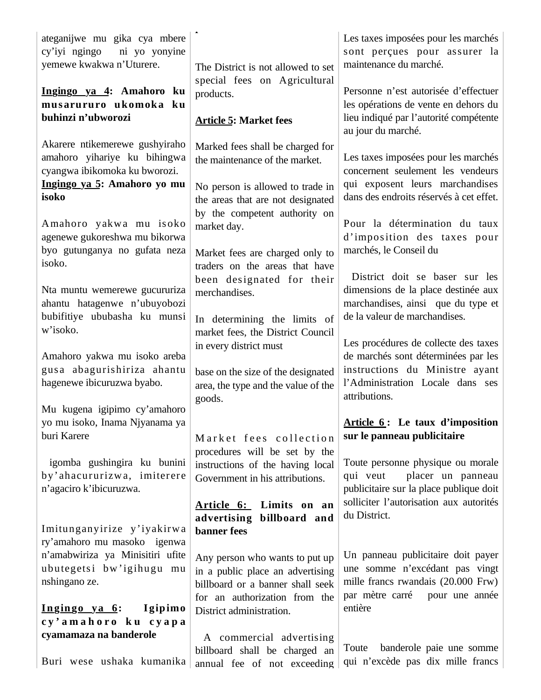ateganijwe mu gika cya mbere cy'iyi ngingo ni yo yonyine yemewe kwakwa n'Uturere.

**Ingingo ya 4: Amahoro ku musarururo ukomoka ku buhinzi n'ubworozi**

Akarere ntikemerewe gushyiraho amahoro yihariye ku bihingwa cyangwa ibikomoka ku bworozi. **Ingingo ya 5: Amahoro yo mu isoko**

Amahoro yakwa mu isoko agenewe gukoreshwa mu bikorwa byo gutunganya no gufata neza isoko.

Nta muntu wemerewe gucururiza ahantu hatagenwe n'ubuyobozi bubifitiye ububasha ku munsi w'isoko.

Amahoro yakwa mu isoko areba gus a abaguris hiriza ahantu hagenewe ibicuruzwa byabo.

Mu kugena igipimo cy'amahoro yo mu isoko, Inama Njyanama ya buri Karere

 igomba gushingira ku bunini by'ahacururizw a, imiterere n'agaciro k'ibicuruzwa.

Imitunganyirize y'iyakirw a ry'amahoro mu masoko igenwa n'amabwiriza ya Minisitiri ufite ubutegetsi bw'igihugu mu nshingano ze.

### Ingingo ya 6: Igipimo **c y ' a m a h o r o k u c y a p a cyamamaza na banderole**

The District is not allowed to set special fees on Agricultural products.

# **Article 5: Market fees**

**p**

Marked fees shall be charged for the maintenance of the market.

No person is allowed to trade in the areas that are not designated by the competent authority on market day.

Market fees are charged only to traders on the areas that have been designated for their merchandises.

In determining the limits of market fees, the District Council in every district must

base on the size of the designated area, the type and the value of the goods.

Market fees collection procedures will be set by the instructions of the having local Government in his attributions.

#### **Article 6: Limits on an advertising billboard and banner fees**

Any person who wants to put up in a public place an advertising billboard or a banner shall seek for an authorization from the District administration.

Buri wese ushaka kumanika annual fee of not exceeding A commercial advertising billboard shall be charged an

Les taxes imposées pour les marchés sont perçues pour assurer la maintenance du marché.

Personne n'est autorisée d'effectuer les opérations de vente en dehors du lieu indiqué par l'autorité compétente au jour du marché.

Les taxes imposées pour les marchés concernent seulement les vendeurs qui exposent leurs marchandises dans des endroits réservés à cet effet.

Pour la détermination du taux d'imposition des taxes pour marchés, le Conseil du

 District doit se baser sur les dimensions de la place destinée aux marchandises, ainsi que du type et de la valeur de marchandises.

Les procédures de collecte des taxes de marchés sont déterminées par les instructions du Ministre ayant l'Administration Locale dans ses attributions.

#### **Article 6 : Le taux d'imposition sur le panneau publicitaire**

Toute personne physique ou morale qui veut placer un panneau publicitaire sur la place publique doit solliciter l'autorisation aux autorités du District.

Un panneau publicitaire doit payer une somme n'excédant pas vingt mille francs rwandais (20.000 Frw) par mètre carré pour une année entière

Toute banderole paie une somme qui n'excède pas dix mille francs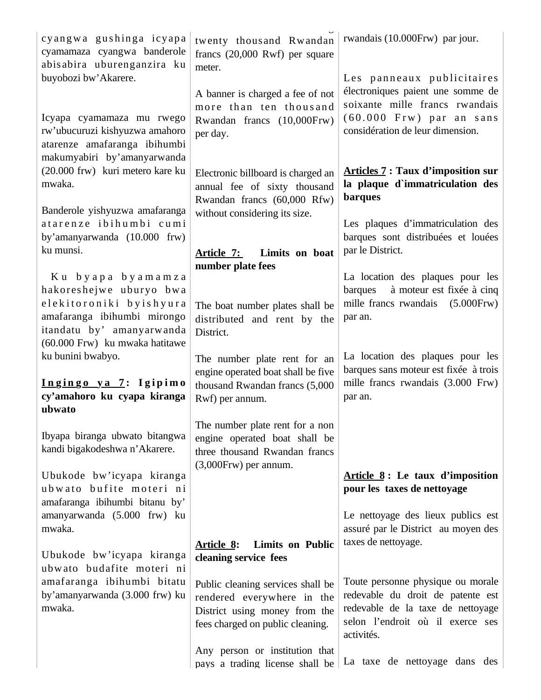| cyangwa gushinga icyapa<br>cyamamaza cyangwa banderole<br>abisabira uburenganzira ku<br>buyobozi bw'Akarere.<br>Icyapa cyamamaza mu rwego<br>rw'ubucuruzi kishyuzwa amahoro<br>atarenze amafaranga ibihumbi | twenty thousand Rwandan<br>francs $(20,000$ Rwf) per square<br>meter.<br>A banner is charged a fee of not<br>more than ten thousand<br>Rwandan francs (10,000Frw)<br>per day. | rwandais (10.000Frw) par jour.<br>Les panneaux publicitaires<br>électroniques paient une somme de<br>soixante mille francs rwandais<br>$(60.000$ Frw) par an sans<br>considération de leur dimension. |
|-------------------------------------------------------------------------------------------------------------------------------------------------------------------------------------------------------------|-------------------------------------------------------------------------------------------------------------------------------------------------------------------------------|-------------------------------------------------------------------------------------------------------------------------------------------------------------------------------------------------------|
| makumyabiri by'amanyarwanda<br>(20.000 frw) kuri metero kare ku<br>mwaka.<br>Banderole yishyuzwa amafaranga                                                                                                 | Electronic billboard is charged an<br>annual fee of sixty thousand<br>Rwandan francs (60,000 Rfw)                                                                             | <b>Articles 7: Taux d'imposition sur</b><br>la plaque d'immatriculation des<br><b>barques</b>                                                                                                         |
| atarenze ibihumbi cumi<br>by'amanyarwanda (10.000 frw)<br>ku munsi.                                                                                                                                         | without considering its size.<br>Article 7:<br>Limits on boat<br>number plate fees                                                                                            | Les plaques d'immatriculation des<br>barques sont distribuées et louées<br>par le District.                                                                                                           |
| Ku byapa byamamza<br>hakoreshejwe uburyo bwa<br>elekitoroniki byishyura<br>amafaranga ibihumbi mirongo<br>itandatu by' amanyarwanda<br>(60.000 Frw) ku mwaka hatitawe                                       | The boat number plates shall be<br>distributed and rent by the<br>District.                                                                                                   | La location des plaques pour les<br>à moteur est fixée à cinq<br>barques<br>mille francs rwandais<br>$(5.000$ Frw $)$<br>par an.                                                                      |
| ku bunini bwabyo.<br>Ingingo ya 7: Igipimo<br>cy'amahoro ku cyapa kiranga<br>ubwato                                                                                                                         | The number plate rent for an<br>engine operated boat shall be five<br>thousand Rwandan francs (5,000<br>Rwf) per annum.                                                       | La location des plaques pour les<br>barques sans moteur est fixée à trois<br>mille francs rwandais (3.000 Frw)<br>par an.                                                                             |
| Ibyapa biranga ubwato bitangwa<br>kandi bigakodeshwa n'Akarere.                                                                                                                                             | The number plate rent for a non<br>engine operated boat shall be<br>three thousand Rwandan francs                                                                             |                                                                                                                                                                                                       |
| Ubukode bw'icyapa kiranga<br>ubwato bufite moteri ni<br>amafaranga ibihumbi bitanu by'<br>amanyarwanda (5.000 frw) ku<br>mwaka.                                                                             | (3,000Frw) per annum.                                                                                                                                                         | Article $8:$ Le taux d'imposition<br>pour les taxes de nettoyage<br>Le nettoyage des lieux publics est<br>assuré par le District au moyen des                                                         |
| Ubukode bw'icyapa kiranga<br>ubwato budafite moteri ni                                                                                                                                                      | <b>Limits on Public</b><br><u>Article 8:</u><br>cleaning service fees                                                                                                         | taxes de nettoyage.                                                                                                                                                                                   |
| amafaranga ibihumbi bitatu<br>by'amanyarwanda (3.000 frw) ku<br>mwaka.                                                                                                                                      | Public cleaning services shall be<br>rendered everywhere in the<br>District using money from the<br>fees charged on public cleaning.                                          | Toute personne physique ou morale<br>redevable du droit de patente est<br>redevable de la taxe de nettoyage<br>selon l'endroit où il exerce ses<br>activités.                                         |
|                                                                                                                                                                                                             | Any person or institution that<br>pays a trading license shall be                                                                                                             | La taxe de nettoyage dans des                                                                                                                                                                         |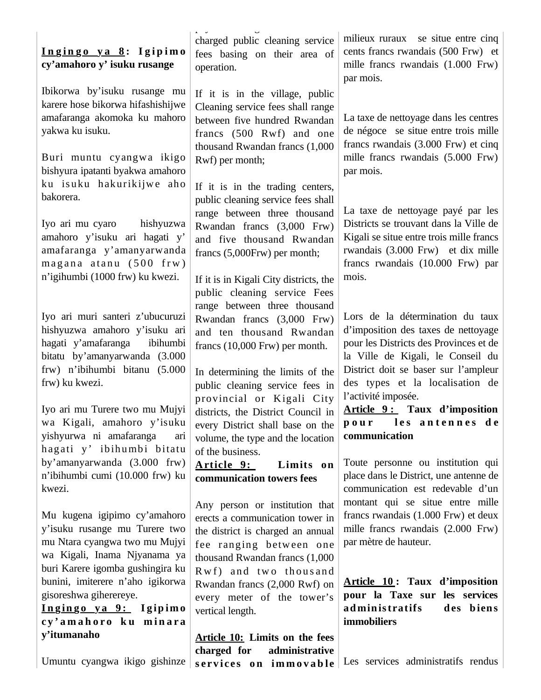#### **I n g i n g o y a 8 : I g i p i m o cy'amahoro y' isuku rusange**

Ibikorwa by'isuku rusange mu karere hose bikorwa hifashishijwe amafaranga akomoka ku mahoro yakwa ku isuku.

Buri muntu cyangwa ikigo bishyura ipatanti byakwa amahoro ku isuku hakurikijwe aho bakorera.

Iyo ari mu cyaro hishyuzwa amahoro y'isuku ari hagati y' amafaranga y'amanyarwanda  $m$  ag an a  $at$  an  $(500$  f rw) n'igihumbi (1000 frw) ku kwezi.

Iyo ari muri santeri z'ubucuruzi hishyuzwa amahoro y'isuku ari hagati y'amafaranga ibihumbi bitatu by'amanyarwanda (3.000 frw) n'ibihumbi bitanu (5.000 frw) ku kwezi.

Iyo ari mu Turere two mu Mujyi wa Kigali, amahoro y'isuku yishyurwa ni amafaranga ari hagati y' ibihumbi bitatu by'amanyarwanda (3.000 frw) n'ibihumbi cumi (10.000 frw) ku kwezi.

Mu kugena igipimo cy'amahoro y'isuku rusange mu Turere two mu Ntara cyangwa two mu Mujyi wa Kigali, Inama Njyanama ya buri Karere igomba gushingira ku bunini, imiterere n'aho igikorwa gisoreshwa giherereye.

**I n g in g o y a 9 : I g ip im o c y ' a m a h o r o k u m i n a r a y'itumanaho**

Umuntu cyangwa ikigo gishinze

 $p = 0$ charged public cleaning service fees basing on their area of operation.

If it is in the village, public Cleaning service fees shall range between five hundred Rwandan francs (500 Rwf) and one thousand Rwandan francs (1,000 Rwf) per month;

If it is in the trading centers, public cleaning service fees shall range between three thousand Rwandan francs (3,000 Frw) and five thousand Rwandan francs (5,000Frw) per month;

If it is in Kigali City districts, the public cleaning service Fees range between three thousand Rwandan francs (3,000 Frw) and ten thousand Rwandan francs (10,000 Frw) per month.

In determining the limits of the public cleaning service fees in provincial or Kigali City districts, the District Council in every District shall base on the volume, the type and the location of the business.

**Article 9: Limits on communication towers fees**

Any person or institution that erects a communication tower in the district is charged an annual fee ranging betw een one thousand Rwandan francs (1,000 Rwf) and two thous and Rwandan francs (2,000 Rwf) on every meter of the tower's vertical length.

**Article 10: Limits on the fees charged for administrative**   $s$ **ervices** on **immovable** 

milieux ruraux se situe entre cinq cents francs rwandais (500 Frw) et mille francs rwandais (1.000 Frw) par mois.

La taxe de nettoyage dans les centres de négoce se situe entre trois mille francs rwandais (3.000 Frw) et cinq mille francs rwandais (5.000 Frw) par mois.

La taxe de nettoyage payé par les Districts se trouvant dans la Ville de Kigali se situe entre trois mille francs rwandais (3.000 Frw) et dix mille francs rwandais (10.000 Frw) par mois.

Lors de la détermination du taux d'imposition des taxes de nettoyage pour les Districts des Provinces et de la Ville de Kigali, le Conseil du District doit se baser sur l'ampleur des types et la localisation de l'activité imposée.

**Article 9 : Taux d'imposition p o u r l e s a n t e n n e s d e communication**

Toute personne ou institution qui place dans le District, une antenne de communication est redevable d'un montant qui se situe entre mille francs rwandais (1.000 Frw) et deux mille francs rwandais (2.000 Frw) par mètre de hauteur.

**Article 10 : Taux d'imposition pour la Taxe sur les services ad min is tratifs d es b ien s immobiliers**

Les services administratifs rendus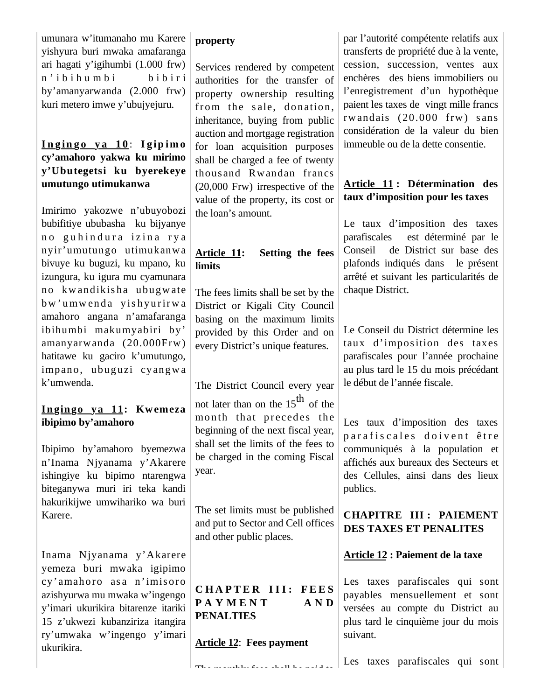umunara w'itumanaho mu Karere yishyura buri mwaka amafaranga ari hagati y'igihumbi (1.000 frw) n' i bi h u m bi bi bi bi ri by'amanyarwanda (2.000 frw) kuri metero imwe y'ubujyejuru.

### **I n g in g o y a 1 0** : **I g ip im o cy'amahoro yakwa ku mirimo y'Ubutegetsi ku byerekeye umutungo utimukanwa**

Imirimo yakozwe n'ubuyobozi bubifitiye ububasha ku bijyanye no guhindura izina rya nyir'umutungo utimukanwa bivuye ku buguzi, ku mpano, ku izungura, ku igura mu cyamunara no kw andikis ha ubugw ate bw'umwenda yishyurirwa amahoro angana n'amafaranga ibihumbi makumyabiri by' amanyarwanda (20.000Frw) hatitawe ku gaciro k'umutungo, impano, ubuguzi cyangw a k'umwenda.

### **Ingingo ya 11: Kwemeza ibipimo by'amahoro**

Ibipimo by'amahoro byemezwa n'Inama Njyanama y'Akarere ishingiye ku bipimo ntarengwa biteganywa muri iri teka kandi hakurikijwe umwihariko wa buri Karere.

Inama Njyanama y'Akarere yemeza buri mwaka igipimo cy'amahoro asa n'imisoro azishyurwa mu mwaka w'ingengo y'imari ukurikira bitarenze itariki 15 z'ukwezi kubanziriza itangira ry'umwaka w'ingengo y'imari ukurikira.

### **property**

Services rendered by competent authorities for the transfer of property ownership resulting from the sale, donation, inheritance, buying from public auction and mortgage registration for loan acquisition purposes shall be charged a fee of twenty thousand Rwandan francs (20,000 Frw) irrespective of the value of the property, its cost or the loan's amount.

# **Article 11: Setting the fees limits**

The fees limits shall be set by the District or Kigali City Council basing on the maximum limits provided by this Order and on every District's unique features.

The District Council every year not later than on the  $15<sup>th</sup>$  of the month that precedes the beginning of the next fiscal year, shall set the limits of the fees to be charged in the coming Fiscal year.

The set limits must be published and put to Sector and Cell offices and other public places.

# **CHAPTER III: FEES PAYMENT** AND **PENALTIES**

The monthly fees shall be paid to

**Article 12**: **Fees payment**

par l'autorité compétente relatifs aux transferts de propriété due à la vente, cession, succession, ventes aux enchères des biens immobiliers ou l'enregistrement d'un hypothèque paient les taxes de vingt mille francs rw andais  $(20.000$  frw) sans considération de la valeur du bien immeuble ou de la dette consentie.

# **Article 11 : Détermination des taux d'imposition pour les taxes**

Le taux d'imposition des taxes parafiscales est déterminé par le Conseil de District sur base des plafonds indiqués dans le présent arrêté et suivant les particularités de chaque District.

Le Conseil du District détermine les taux d'imposition des taxes parafiscales pour l'année prochaine au plus tard le 15 du mois précédant le début de l'année fiscale.

Les taux d'imposition des taxes parafiscales doivent être communiqués à la population et affichés aux bureaux des Secteurs et des Cellules, ainsi dans des lieux publics.

### **CHAPITRE III : PAIEMENT DES TAXES ET PENALITES**

**Article 12 : Paiement de la taxe**

Les taxes parafiscales qui sont payables mensuellement et sont versées au compte du District au plus tard le cinquième jour du mois suivant.

Les taxes parafiscales qui sont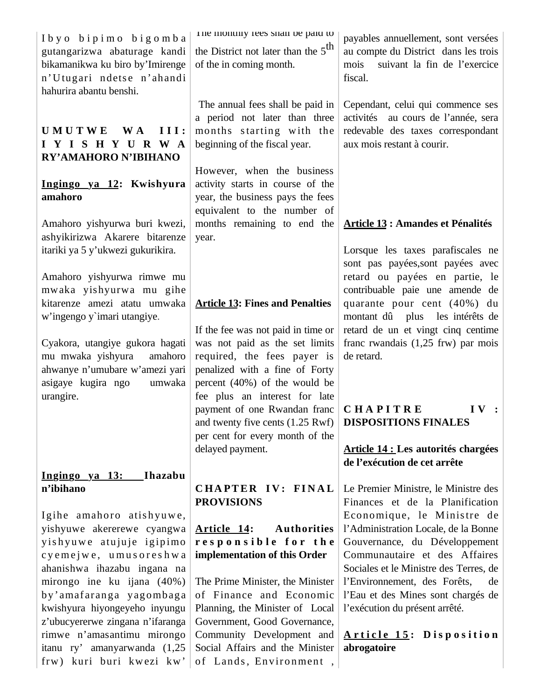| Ibyo bipimo bigomba<br>gutangarizwa abaturage kandi<br>bikamanikwa ku biro by'Imirenge<br>n'Utugari ndetse n'ahandi<br>hahurira abantu benshi. | The monthly rees shall be paid to<br>the District not later than the $5th$<br>of the in coming month.                             | payables annuellement, sont versées<br>au compte du District dans les trois<br>suivant la fin de l'exercice<br>mois<br>fiscal.              |
|------------------------------------------------------------------------------------------------------------------------------------------------|-----------------------------------------------------------------------------------------------------------------------------------|---------------------------------------------------------------------------------------------------------------------------------------------|
| III:<br><b>UMUTWE</b><br><b>W</b> A<br>IYISHYURWA<br>RY'AMAHORO N'IBIHANO                                                                      | The annual fees shall be paid in<br>a period not later than three<br>months starting with the<br>beginning of the fiscal year.    | Cependant, celui qui commence ses<br>activités au cours de l'année, sera<br>redevable des taxes correspondant<br>aux mois restant à courir. |
|                                                                                                                                                |                                                                                                                                   |                                                                                                                                             |
| Ingingo ya 12: Kwishyura<br>amahoro                                                                                                            | However, when the business<br>activity starts in course of the<br>year, the business pays the fees<br>equivalent to the number of |                                                                                                                                             |
| Amahoro yishyurwa buri kwezi,                                                                                                                  | months remaining to end the                                                                                                       | <b>Article 13 : Amandes et Pénalités</b>                                                                                                    |
|                                                                                                                                                |                                                                                                                                   |                                                                                                                                             |
| ashyikirizwa Akarere bitarenze<br>itariki ya 5 y'ukwezi gukurikira.                                                                            | year.                                                                                                                             | Lorsque les taxes parafiscales ne<br>sont pas payées, sont payées avec                                                                      |
| Amahoro yishyurwa rimwe mu                                                                                                                     |                                                                                                                                   | retard ou payées en partie, le                                                                                                              |
| mwaka yishyurwa mu gihe                                                                                                                        |                                                                                                                                   | contribuable paie une amende de                                                                                                             |
|                                                                                                                                                |                                                                                                                                   |                                                                                                                                             |
| kitarenze amezi atatu umwaka                                                                                                                   | <b>Article 13: Fines and Penalties</b>                                                                                            | quarante pour cent (40%) du                                                                                                                 |
| w'ingengo y'imari utangiye.                                                                                                                    |                                                                                                                                   | montant dû plus les intérêts de                                                                                                             |
|                                                                                                                                                | If the fee was not paid in time or                                                                                                | retard de un et vingt cinq centime                                                                                                          |
|                                                                                                                                                |                                                                                                                                   |                                                                                                                                             |
| Cyakora, utangiye gukora hagati                                                                                                                | was not paid as the set limits                                                                                                    | franc rwandais $(1,25$ frw) par mois                                                                                                        |
| mu mwaka yishyura<br>amahoro                                                                                                                   | required, the fees payer is                                                                                                       | de retard.                                                                                                                                  |
| ahwanye n'umubare w'amezi yari                                                                                                                 | penalized with a fine of Forty                                                                                                    |                                                                                                                                             |
|                                                                                                                                                |                                                                                                                                   |                                                                                                                                             |
| asigaye kugira ngo<br>umwaka                                                                                                                   | percent $(40%)$ of the would be                                                                                                   |                                                                                                                                             |
| urangire.                                                                                                                                      | fee plus an interest for late                                                                                                     |                                                                                                                                             |
|                                                                                                                                                |                                                                                                                                   |                                                                                                                                             |
|                                                                                                                                                | payment of one Rwandan franc                                                                                                      | <b>IV</b> :<br>CHAPITRE                                                                                                                     |
|                                                                                                                                                | and twenty five cents (1.25 Rwf)                                                                                                  | <b>DISPOSITIONS FINALES</b>                                                                                                                 |
|                                                                                                                                                | per cent for every month of the                                                                                                   |                                                                                                                                             |
|                                                                                                                                                |                                                                                                                                   |                                                                                                                                             |
|                                                                                                                                                | delayed payment.                                                                                                                  | <b>Article 14 : Les autorités chargées</b>                                                                                                  |
|                                                                                                                                                |                                                                                                                                   | de l'exécution de cet arrête                                                                                                                |
| Ingingo ya 13:<br>Ihazabu                                                                                                                      |                                                                                                                                   |                                                                                                                                             |
|                                                                                                                                                |                                                                                                                                   |                                                                                                                                             |
| n'ibihano                                                                                                                                      | CHAPTER IV: FINAL                                                                                                                 | Le Premier Ministre, le Ministre des                                                                                                        |
|                                                                                                                                                | <b>PROVISIONS</b>                                                                                                                 | Finances et de la Planification                                                                                                             |
| Igihe amahoro atishyuwe,                                                                                                                       |                                                                                                                                   | Economique, le Ministre de                                                                                                                  |
|                                                                                                                                                |                                                                                                                                   |                                                                                                                                             |
| yishyuwe akererewe cyangwa                                                                                                                     | Article 14:<br><b>Authorities</b>                                                                                                 | l'Administration Locale, de la Bonne                                                                                                        |
| yishyuwe atujuje igipimo                                                                                                                       | responsible for the                                                                                                               | Gouvernance, du Développement                                                                                                               |
| cyemejwe, umusoreshwa                                                                                                                          | implementation of this Order                                                                                                      | Communautaire et des Affaires                                                                                                               |
| ahanishwa ihazabu ingana na                                                                                                                    |                                                                                                                                   | Sociales et le Ministre des Terres, de                                                                                                      |
|                                                                                                                                                |                                                                                                                                   |                                                                                                                                             |
| mirongo ine ku ijana (40%)                                                                                                                     | The Prime Minister, the Minister                                                                                                  | l'Environnement, des Forêts,<br>de                                                                                                          |
| by'amafaranga yagombaga                                                                                                                        | of Finance and Economic                                                                                                           | l'Eau et des Mines sont chargés de                                                                                                          |
| kwishyura hiyongeyeho inyungu                                                                                                                  | Planning, the Minister of Local                                                                                                   | l'exécution du présent arrêté.                                                                                                              |
|                                                                                                                                                |                                                                                                                                   |                                                                                                                                             |
| z'ubucyererwe zingana n'ifaranga                                                                                                               | Government, Good Governance,                                                                                                      |                                                                                                                                             |
| rimwe n'amasantimu mirongo                                                                                                                     | Community Development and                                                                                                         | Article 15: Disposition                                                                                                                     |
| itanu ry' amanyarwanda (1,25                                                                                                                   | Social Affairs and the Minister                                                                                                   | abrogatoire                                                                                                                                 |
| frw) kuri buri kwezi kw'                                                                                                                       | of Lands, Environment,                                                                                                            |                                                                                                                                             |
|                                                                                                                                                |                                                                                                                                   |                                                                                                                                             |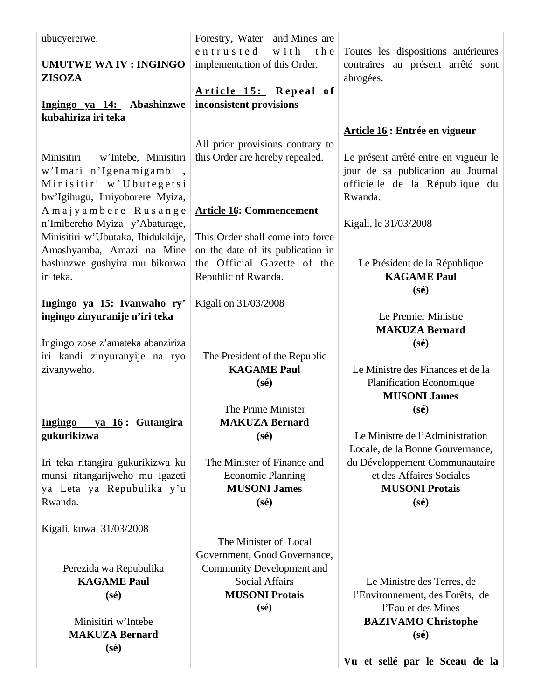| ubucyererwe.                               | Forestry, Water and Mines are                                    |                                                     |
|--------------------------------------------|------------------------------------------------------------------|-----------------------------------------------------|
|                                            | entrusted<br>with<br>the                                         | Toutes les dispositions antérieures                 |
| <b>UMUTWE WA IV: INGINGO</b>               | implementation of this Order.                                    | contraires au présent arrêté sont                   |
| <b>ZISOZA</b>                              |                                                                  | abrogées.                                           |
|                                            | Article 15: Repeal of                                            |                                                     |
| Ingingo ya 14: Abashinzwe                  | inconsistent provisions                                          |                                                     |
| kubahiriza iri teka                        |                                                                  |                                                     |
|                                            |                                                                  | Article 16 : Entrée en vigueur                      |
|                                            | All prior provisions contrary to                                 |                                                     |
| Minisitiri<br>w'Intebe, Minisitiri         | this Order are hereby repealed.                                  | Le présent arrêté entre en vigueur le               |
| w'Imari n'Igenamigambi,                    |                                                                  | jour de sa publication au Journal                   |
| Minisitiri w'Ubutegetsi                    |                                                                  | officielle de la République du                      |
| bw'Igihugu, Imiyoborere Myiza,             |                                                                  | Rwanda.                                             |
| Amajyambere Rusange                        | <b>Article 16: Commencement</b>                                  |                                                     |
| n'Imibereho Myiza y'Abaturage,             |                                                                  | Kigali, le 31/03/2008                               |
| Minisitiri w'Ubutaka, Ibidukikije,         | This Order shall come into force                                 |                                                     |
| Amashyamba, Amazi na Mine                  | on the date of its publication in<br>the Official Gazette of the |                                                     |
| bashinzwe gushyira mu bikorwa<br>iri teka. |                                                                  | Le Président de la République<br><b>KAGAME Paul</b> |
|                                            | Republic of Rwanda.                                              | $(s\acute{e})$                                      |
| Ingingo ya 15: Ivanwaho ry'                | Kigali on 31/03/2008                                             |                                                     |
| ingingo zinyuranije n'iri teka             |                                                                  | Le Premier Ministre                                 |
|                                            |                                                                  | <b>MAKUZA Bernard</b>                               |
| Ingingo zose z'amateka abanziriza          |                                                                  | $(s\acute{e})$                                      |
| iri kandi zinyuranyije na ryo              | The President of the Republic                                    |                                                     |
| zivanyweho.                                | <b>KAGAME Paul</b>                                               | Le Ministre des Finances et de la                   |
|                                            | $(s\acute{e})$                                                   | <b>Planification Economique</b>                     |
|                                            |                                                                  | <b>MUSONI James</b>                                 |
|                                            | The Prime Minister                                               | $(s\acute{e})$                                      |
| <b>Ingingo</b><br>ya 16: Gutangira         | <b>MAKUZA Bernard</b>                                            |                                                     |
| gukurikizwa                                | $(s\acute{e})$                                                   | Le Ministre de l'Administration                     |
|                                            |                                                                  | Locale, de la Bonne Gouvernance,                    |
| Iri teka ritangira gukurikizwa ku          | The Minister of Finance and                                      | du Développement Communautaire                      |
| munsi ritangarijweho mu Igazeti            | <b>Economic Planning</b>                                         | et des Affaires Sociales                            |
| ya Leta ya Repubulika y'u                  | <b>MUSONI James</b>                                              | <b>MUSONI Protais</b>                               |
| Rwanda.                                    | $(s\acute{e})$                                                   | $(s\acute{e})$                                      |
|                                            |                                                                  |                                                     |
| Kigali, kuwa 31/03/2008                    | The Minister of Local                                            |                                                     |
|                                            | Government, Good Governance,                                     |                                                     |
| Perezida wa Repubulika                     | <b>Community Development and</b>                                 |                                                     |
| <b>KAGAME Paul</b>                         | <b>Social Affairs</b>                                            | Le Ministre des Terres, de                          |
| $(s\acute{e})$                             | <b>MUSONI Protais</b>                                            | l'Environnement, des Forêts, de                     |
|                                            | $(s\acute{e})$                                                   | l'Eau et des Mines                                  |
| Minisitiri w'Intebe                        |                                                                  | <b>BAZIVAMO Christophe</b>                          |
| <b>MAKUZA Bernard</b>                      |                                                                  | $(s\acute{e})$                                      |
| $(s\acute{e})$                             |                                                                  |                                                     |